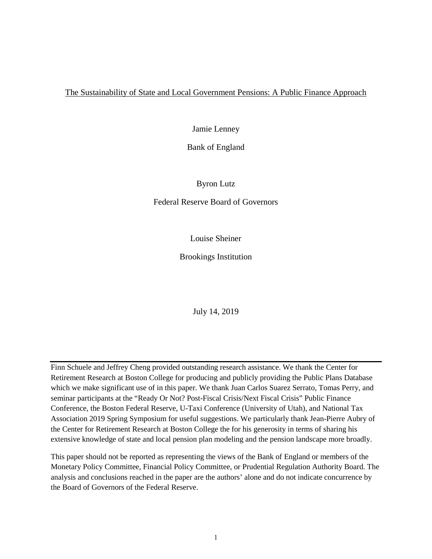## The Sustainability of State and Local Government Pensions: A Public Finance Approach

Jamie Lenney

Bank of England

Byron Lutz

Federal Reserve Board of Governors

Louise Sheiner

Brookings Institution

July 14, 2019

Finn Schuele and Jeffrey Cheng provided outstanding research assistance. We thank the Center for Retirement Research at Boston College for producing and publicly providing the Public Plans Database which we make significant use of in this paper. We thank Juan Carlos Suarez Serrato, Tomas Perry, and seminar participants at the "Ready Or Not? Post-Fiscal Crisis/Next Fiscal Crisis" Public Finance Conference, the Boston Federal Reserve, U-Taxi Conference (University of Utah), and National Tax Association 2019 Spring Symposium for useful suggestions. We particularly thank Jean-Pierre Aubry of the Center for Retirement Research at Boston College the for his generosity in terms of sharing his extensive knowledge of state and local pension plan modeling and the pension landscape more broadly.

This paper should not be reported as representing the views of the Bank of England or members of the Monetary Policy Committee, Financial Policy Committee, or Prudential Regulation Authority Board. The analysis and conclusions reached in the paper are the authors' alone and do not indicate concurrence by the Board of Governors of the Federal Reserve.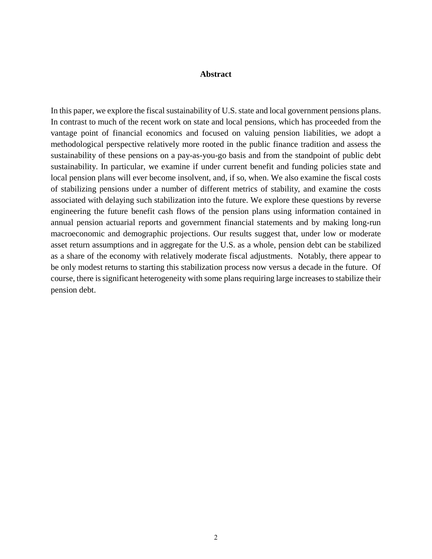### **Abstract**

In this paper, we explore the fiscal sustainability of U.S. state and local government pensions plans. In contrast to much of the recent work on state and local pensions, which has proceeded from the vantage point of financial economics and focused on valuing pension liabilities, we adopt a methodological perspective relatively more rooted in the public finance tradition and assess the sustainability of these pensions on a pay-as-you-go basis and from the standpoint of public debt sustainability. In particular, we examine if under current benefit and funding policies state and local pension plans will ever become insolvent, and, if so, when. We also examine the fiscal costs of stabilizing pensions under a number of different metrics of stability, and examine the costs associated with delaying such stabilization into the future. We explore these questions by reverse engineering the future benefit cash flows of the pension plans using information contained in annual pension actuarial reports and government financial statements and by making long-run macroeconomic and demographic projections. Our results suggest that, under low or moderate asset return assumptions and in aggregate for the U.S. as a whole, pension debt can be stabilized as a share of the economy with relatively moderate fiscal adjustments. Notably, there appear to be only modest returns to starting this stabilization process now versus a decade in the future. Of course, there is significant heterogeneity with some plans requiring large increases to stabilize their pension debt.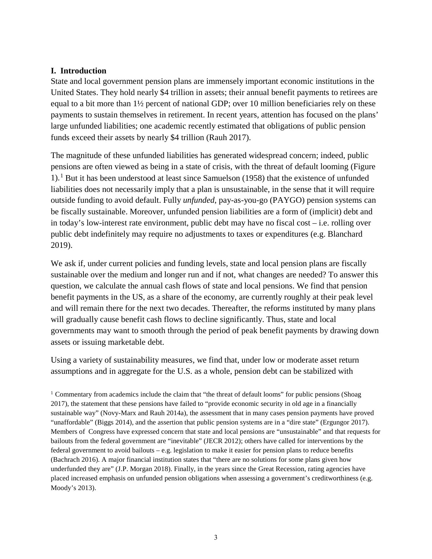## **I. Introduction**

State and local government pension plans are immensely important economic institutions in the United States. They hold nearly \$4 trillion in assets; their annual benefit payments to retirees are equal to a bit more than 1½ percent of national GDP; over 10 million beneficiaries rely on these payments to sustain themselves in retirement. In recent years, attention has focused on the plans' large unfunded liabilities; one academic recently estimated that obligations of public pension funds exceed their assets by nearly \$4 trillion (Rauh 2017).

The magnitude of these unfunded liabilities has generated widespread concern; indeed, public pensions are often viewed as being in a state of crisis, with the threat of default looming (Figure [1](#page-2-0)).<sup>1</sup> But it has been understood at least since Samuelson (1958) that the existence of unfunded liabilities does not necessarily imply that a plan is unsustainable, in the sense that it will require outside funding to avoid default. Fully *unfunded*, pay-as-you-go (PAYGO) pension systems can be fiscally sustainable. Moreover, unfunded pension liabilities are a form of (implicit) debt and in today's low-interest rate environment, public debt may have no fiscal cost – i.e. rolling over public debt indefinitely may require no adjustments to taxes or expenditures (e.g. Blanchard 2019).

We ask if, under current policies and funding levels, state and local pension plans are fiscally sustainable over the medium and longer run and if not, what changes are needed? To answer this question, we calculate the annual cash flows of state and local pensions. We find that pension benefit payments in the US, as a share of the economy, are currently roughly at their peak level and will remain there for the next two decades. Thereafter, the reforms instituted by many plans will gradually cause benefit cash flows to decline significantly. Thus, state and local governments may want to smooth through the period of peak benefit payments by drawing down assets or issuing marketable debt.

Using a variety of sustainability measures, we find that, under low or moderate asset return assumptions and in aggregate for the U.S. as a whole, pension debt can be stabilized with

<span id="page-2-0"></span><sup>1</sup> Commentary from academics include the claim that "the threat of default looms" for public pensions (Shoag 2017), the statement that these pensions have failed to "provide economic security in old age in a financially sustainable way" (Novy-Marx and Rauh 2014a), the assessment that in many cases pension payments have proved "unaffordable" (Biggs 2014), and the assertion that public pension systems are in a "dire state" (Ergungor 2017). Members of Congress have expressed concern that state and local pensions are "unsustainable" and that requests for bailouts from the federal government are "inevitable" (JECR 2012); others have called for interventions by the federal government to avoid bailouts – e.g. legislation to make it easier for pension plans to reduce benefits (Bachrach 2016). A major financial institution states that "there are no solutions for some plans given how underfunded they are" (J.P. Morgan 2018). Finally, in the years since the Great Recession, rating agencies have placed increased emphasis on unfunded pension obligations when assessing a government's creditworthiness (e.g. Moody's 2013).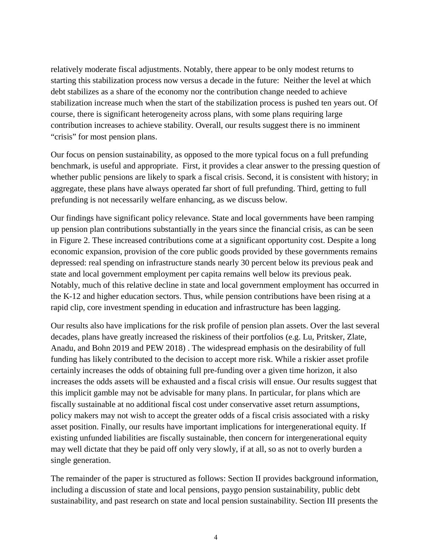relatively moderate fiscal adjustments. Notably, there appear to be only modest returns to starting this stabilization process now versus a decade in the future: Neither the level at which debt stabilizes as a share of the economy nor the contribution change needed to achieve stabilization increase much when the start of the stabilization process is pushed ten years out. Of course, there is significant heterogeneity across plans, with some plans requiring large contribution increases to achieve stability. Overall, our results suggest there is no imminent "crisis" for most pension plans.

Our focus on pension sustainability, as opposed to the more typical focus on a full prefunding benchmark, is useful and appropriate. First, it provides a clear answer to the pressing question of whether public pensions are likely to spark a fiscal crisis. Second, it is consistent with history; in aggregate, these plans have always operated far short of full prefunding. Third, getting to full prefunding is not necessarily welfare enhancing, as we discuss below.

Our findings have significant policy relevance. State and local governments have been ramping up pension plan contributions substantially in the years since the financial crisis, as can be seen in Figure 2. These increased contributions come at a significant opportunity cost. Despite a long economic expansion, provision of the core public goods provided by these governments remains depressed: real spending on infrastructure stands nearly 30 percent below its previous peak and state and local government employment per capita remains well below its previous peak. Notably, much of this relative decline in state and local government employment has occurred in the K-12 and higher education sectors. Thus, while pension contributions have been rising at a rapid clip, core investment spending in education and infrastructure has been lagging.

Our results also have implications for the risk profile of pension plan assets. Over the last several decades, plans have greatly increased the riskiness of their portfolios (e.g. Lu, Pritsker, Zlate, Anadu, and Bohn 2019 and PEW 2018) . The widespread emphasis on the desirability of full funding has likely contributed to the decision to accept more risk. While a riskier asset profile certainly increases the odds of obtaining full pre-funding over a given time horizon, it also increases the odds assets will be exhausted and a fiscal crisis will ensue. Our results suggest that this implicit gamble may not be advisable for many plans. In particular, for plans which are fiscally sustainable at no additional fiscal cost under conservative asset return assumptions, policy makers may not wish to accept the greater odds of a fiscal crisis associated with a risky asset position. Finally, our results have important implications for intergenerational equity. If existing unfunded liabilities are fiscally sustainable, then concern for intergenerational equity may well dictate that they be paid off only very slowly, if at all, so as not to overly burden a single generation.

The remainder of the paper is structured as follows: Section II provides background information, including a discussion of state and local pensions, paygo pension sustainability, public debt sustainability, and past research on state and local pension sustainability. Section III presents the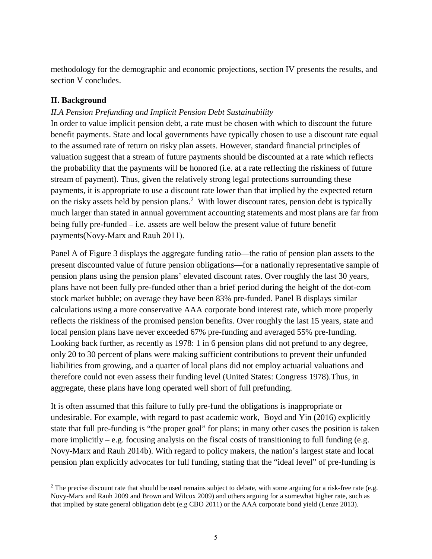methodology for the demographic and economic projections, section IV presents the results, and section V concludes.

## **II. Background**

## *II.A Pension Prefunding and Implicit Pension Debt Sustainability*

In order to value implicit pension debt, a rate must be chosen with which to discount the future benefit payments. State and local governments have typically chosen to use a discount rate equal to the assumed rate of return on risky plan assets. However, standard financial principles of valuation suggest that a stream of future payments should be discounted at a rate which reflects the probability that the payments will be honored (i.e. at a rate reflecting the riskiness of future stream of payment). Thus, given the relatively strong legal protections surrounding these payments, it is appropriate to use a discount rate lower than that implied by the expected return on the risky assets held by pension plans.<sup>[2](#page-4-0)</sup> With lower discount rates, pension debt is typically much larger than stated in annual government accounting statements and most plans are far from being fully pre-funded – i.e. assets are well below the present value of future benefit payments(Novy‐Marx and Rauh 2011).

Panel A of Figure 3 displays the aggregate funding ratio—the ratio of pension plan assets to the present discounted value of future pension obligations—for a nationally representative sample of pension plans using the pension plans' elevated discount rates. Over roughly the last 30 years, plans have not been fully pre-funded other than a brief period during the height of the dot-com stock market bubble; on average they have been 83% pre-funded. Panel B displays similar calculations using a more conservative AAA corporate bond interest rate, which more properly reflects the riskiness of the promised pension benefits. Over roughly the last 15 years, state and local pension plans have never exceeded 67% pre-funding and averaged 55% pre-funding. Looking back further, as recently as 1978: 1 in 6 pension plans did not prefund to any degree, only 20 to 30 percent of plans were making sufficient contributions to prevent their unfunded liabilities from growing, and a quarter of local plans did not employ actuarial valuations and therefore could not even assess their funding level (United States: Congress 1978).Thus, in aggregate, these plans have long operated well short of full prefunding.

It is often assumed that this failure to fully pre-fund the obligations is inappropriate or undesirable. For example, with regard to past academic work, Boyd and Yin (2016) explicitly state that full pre-funding is "the proper goal" for plans; in many other cases the position is taken more implicitly – e.g. focusing analysis on the fiscal costs of transitioning to full funding (e.g. Novy-Marx and Rauh 2014b). With regard to policy makers, the nation's largest state and local pension plan explicitly advocates for full funding, stating that the "ideal level" of pre-funding is

<span id="page-4-0"></span> $2$  The precise discount rate that should be used remains subject to debate, with some arguing for a risk-free rate (e.g. Novy-Marx and Rauh 2009 and Brown and Wilcox 2009) and others arguing for a somewhat higher rate, such as that implied by state general obligation debt (e.g CBO 2011) or the AAA corporate bond yield (Lenze 2013).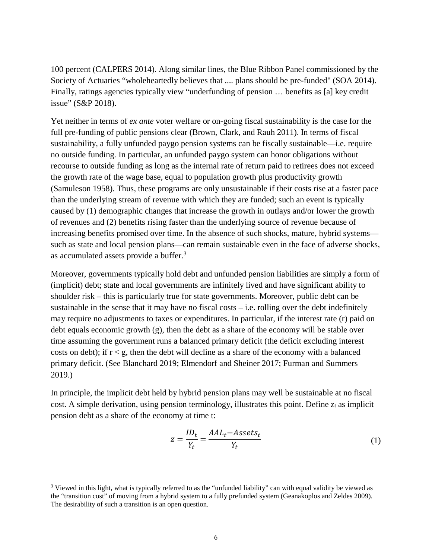100 percent (CALPERS 2014). Along similar lines, the Blue Ribbon Panel commissioned by the Society of Actuaries "wholeheartedly believes that .... plans should be pre-funded" (SOA 2014). Finally, ratings agencies typically view "underfunding of pension … benefits as [a] key credit issue" (S&P 2018).

Yet neither in terms of *ex ante* voter welfare or on-going fiscal sustainability is the case for the full pre-funding of public pensions clear (Brown, Clark, and Rauh 2011). In terms of fiscal sustainability*,* a fully unfunded paygo pension systems can be fiscally sustainable—i.e. require no outside funding*.* In particular, an unfunded paygo system can honor obligations without recourse to outside funding as long as the internal rate of return paid to retirees does not exceed the growth rate of the wage base, equal to population growth plus productivity growth (Samuleson 1958). Thus, these programs are only unsustainable if their costs rise at a faster pace than the underlying stream of revenue with which they are funded; such an event is typically caused by (1) demographic changes that increase the growth in outlays and/or lower the growth of revenues and (2) benefits rising faster than the underlying source of revenue because of increasing benefits promised over time. In the absence of such shocks, mature, hybrid systems such as state and local pension plans—can remain sustainable even in the face of adverse shocks, as accumulated assets provide a buffer.<sup>[3](#page-5-0)</sup>

Moreover, governments typically hold debt and unfunded pension liabilities are simply a form of (implicit) debt; state and local governments are infinitely lived and have significant ability to shoulder risk – this is particularly true for state governments. Moreover, public debt can be sustainable in the sense that it may have no fiscal costs  $-$  i.e. rolling over the debt indefinitely may require no adjustments to taxes or expenditures. In particular, if the interest rate (r) paid on debt equals economic growth (g), then the debt as a share of the economy will be stable over time assuming the government runs a balanced primary deficit (the deficit excluding interest costs on debt); if  $r < g$ , then the debt will decline as a share of the economy with a balanced primary deficit. (See Blanchard 2019; Elmendorf and Sheiner 2017; Furman and Summers 2019.)

In principle, the implicit debt held by hybrid pension plans may well be sustainable at no fiscal cost. A simple derivation, using pension terminology, illustrates this point. Define  $z_t$  as implicit pension debt as a share of the economy at time t:

$$
z = \frac{ID_t}{Y_t} = \frac{AAL_t - Assets_t}{Y_t}
$$
\n<sup>(1)</sup>

<span id="page-5-0"></span><sup>&</sup>lt;sup>3</sup> Viewed in this light, what is typically referred to as the "unfunded liability" can with equal validity be viewed as the "transition cost" of moving from a hybrid system to a fully prefunded system (Geanakoplos and Zeldes 2009). The desirability of such a transition is an open question.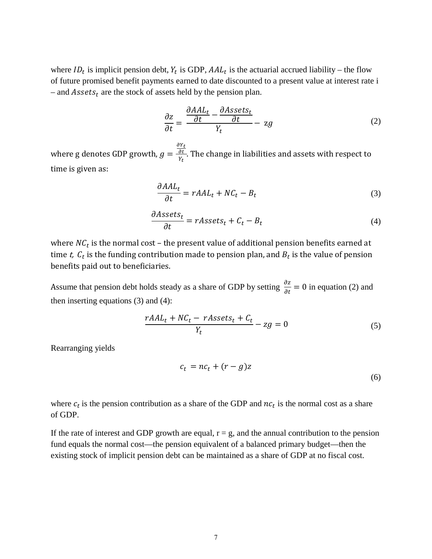where  $ID_t$  is implicit pension debt,  $Y_t$  is GDP,  $AAL_t$  is the actuarial accrued liability – the flow of future promised benefit payments earned to date discounted to a present value at interest rate i – and  $\text{Assets}_t$  are the stock of assets held by the pension plan.

<span id="page-6-0"></span>
$$
\frac{\partial z}{\partial t} = \frac{\frac{\partial AAL_t}{\partial t} - \frac{\partial Assets_t}{\partial t}}{Y_t} - zg
$$
\n(2)

where g denotes GDP growth,  $g =$  $\frac{\partial Y_t}{\partial t}$  $\frac{\partial L}{\partial Y_t}$ . The change in liabilities and assets with respect to time is given as:

<span id="page-6-2"></span><span id="page-6-1"></span>
$$
\frac{\partial AAL_t}{\partial t} = rAAL_t + NC_t - B_t \tag{3}
$$

$$
\frac{\partial Assets_t}{\partial t} = rAssets_t + C_t - B_t \tag{4}
$$

where  $NC_t$  is the normal cost – the present value of additional pension benefits earned at time t,  $C_t$  is the funding contribution made to pension plan, and  $B_t$  is the value of pension benefits paid out to beneficiaries.

Assume that pension debt holds steady as a share of GDP by setting  $\frac{\partial z}{\partial t} = 0$  in equation [\(2\)](#page-6-0) and then inserting equations [\(3\)](#page-6-1) and [\(4\)](#page-6-2):

$$
\frac{rAAL_t + NC_t - rAssets_t + C_t}{Y_t} - zg = 0\tag{5}
$$

Rearranging yields

$$
c_t = nc_t + (r - g)z \tag{6}
$$

where  $c_t$  is the pension contribution as a share of the GDP and  $nc_t$  is the normal cost as a share of GDP.

If the rate of interest and GDP growth are equal,  $r = g$ , and the annual contribution to the pension fund equals the normal cost—the pension equivalent of a balanced primary budget—then the existing stock of implicit pension debt can be maintained as a share of GDP at no fiscal cost.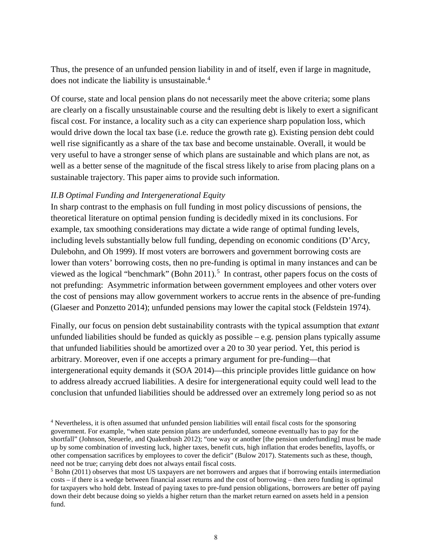Thus, the presence of an unfunded pension liability in and of itself, even if large in magnitude, does not indicate the liability is unsustainable.<sup>[4](#page-7-0)</sup>

Of course, state and local pension plans do not necessarily meet the above criteria; some plans are clearly on a fiscally unsustainable course and the resulting debt is likely to exert a significant fiscal cost. For instance, a locality such as a city can experience sharp population loss, which would drive down the local tax base (i.e. reduce the growth rate g). Existing pension debt could well rise significantly as a share of the tax base and become unstainable. Overall, it would be very useful to have a stronger sense of which plans are sustainable and which plans are not, as well as a better sense of the magnitude of the fiscal stress likely to arise from placing plans on a sustainable trajectory. This paper aims to provide such information.

## *II.B Optimal Funding and Intergenerational Equity*

In sharp contrast to the emphasis on full funding in most policy discussions of pensions, the theoretical literature on optimal pension funding is decidedly mixed in its conclusions. For example, tax smoothing considerations may dictate a wide range of optimal funding levels, including levels substantially below full funding, depending on economic conditions (D'Arcy, Dulebohn, and Oh 1999). If most voters are borrowers and government borrowing costs are lower than voters' borrowing costs, then no pre-funding is optimal in many instances and can be viewed as the logical "benchmark" (Bohn 2011).<sup>[5](#page-7-1)</sup> In contrast, other papers focus on the costs of not prefunding: Asymmetric information between government employees and other voters over the cost of pensions may allow government workers to accrue rents in the absence of pre-funding (Glaeser and Ponzetto 2014); unfunded pensions may lower the capital stock (Feldstein 1974).

Finally, our focus on pension debt sustainability contrasts with the typical assumption that *extant*  unfunded liabilities should be funded as quickly as possible – e.g. pension plans typically assume that unfunded liabilities should be amortized over a 20 to 30 year period. Yet, this period is arbitrary. Moreover, even if one accepts a primary argument for pre-funding—that intergenerational equity demands it (SOA 2014)—this principle provides little guidance on how to address already accrued liabilities. A desire for intergenerational equity could well lead to the conclusion that unfunded liabilities should be addressed over an extremely long period so as not

<span id="page-7-0"></span><sup>4</sup> Nevertheless, it is often assumed that unfunded pension liabilities will entail fiscal costs for the sponsoring government. For example, "when state pension plans are underfunded, someone eventually has to pay for the shortfall" (Johnson, Steuerle, and Quakenbush 2012); "one way or another [the pension underfunding] must be made up by some combination of investing luck, higher taxes, benefit cuts, high inflation that erodes benefits, layoffs, or other compensation sacrifices by employees to cover the deficit" (Bulow 2017). Statements such as these, though, need not be true; carrying debt does not always entail fiscal costs.<br><sup>5</sup> Bohn (2011) observes that most US taxpayers are net borrowers and argues that if borrowing entails intermediation

<span id="page-7-1"></span>costs – if there is a wedge between financial asset returns and the cost of borrowing – then zero funding is optimal for taxpayers who hold debt. Instead of paying taxes to pre-fund pension obligations, borrowers are better off paying down their debt because doing so yields a higher return than the market return earned on assets held in a pension fund.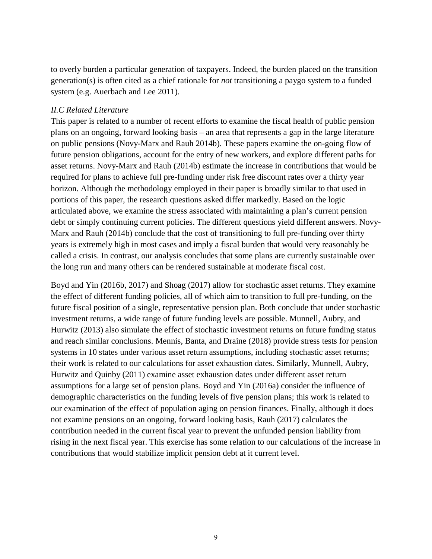to overly burden a particular generation of taxpayers. Indeed, the burden placed on the transition generation(s) is often cited as a chief rationale for *not* transitioning a paygo system to a funded system (e.g. Auerbach and Lee 2011).

## *II.C Related Literature*

This paper is related to a number of recent efforts to examine the fiscal health of public pension plans on an ongoing, forward looking basis – an area that represents a gap in the large literature on public pensions (Novy-Marx and Rauh 2014b). These papers examine the on-going flow of future pension obligations, account for the entry of new workers, and explore different paths for asset returns. Novy-Marx and Rauh (2014b) estimate the increase in contributions that would be required for plans to achieve full pre-funding under risk free discount rates over a thirty year horizon. Although the methodology employed in their paper is broadly similar to that used in portions of this paper, the research questions asked differ markedly. Based on the logic articulated above, we examine the stress associated with maintaining a plan's current pension debt or simply continuing current policies. The different questions yield different answers. Novy-Marx and Rauh (2014b) conclude that the cost of transitioning to full pre-funding over thirty years is extremely high in most cases and imply a fiscal burden that would very reasonably be called a crisis. In contrast, our analysis concludes that some plans are currently sustainable over the long run and many others can be rendered sustainable at moderate fiscal cost.

Boyd and Yin (2016b, 2017) and Shoag (2017) allow for stochastic asset returns. They examine the effect of different funding policies, all of which aim to transition to full pre-funding, on the future fiscal position of a single, representative pension plan. Both conclude that under stochastic investment returns, a wide range of future funding levels are possible. Munnell, Aubry, and Hurwitz (2013) also simulate the effect of stochastic investment returns on future funding status and reach similar conclusions. Mennis, Banta, and Draine (2018) provide stress tests for pension systems in 10 states under various asset return assumptions, including stochastic asset returns; their work is related to our calculations for asset exhaustion dates. Similarly, Munnell, Aubry, Hurwitz and Quinby (2011) examine asset exhaustion dates under different asset return assumptions for a large set of pension plans. Boyd and Yin (2016a) consider the influence of demographic characteristics on the funding levels of five pension plans; this work is related to our examination of the effect of population aging on pension finances. Finally, although it does not examine pensions on an ongoing, forward looking basis, Rauh (2017) calculates the contribution needed in the current fiscal year to prevent the unfunded pension liability from rising in the next fiscal year. This exercise has some relation to our calculations of the increase in contributions that would stabilize implicit pension debt at it current level.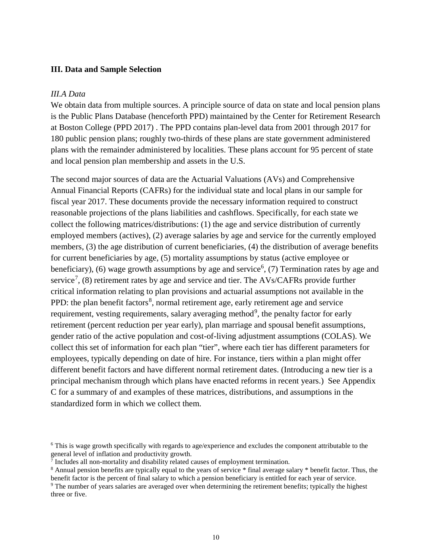### **III. Data and Sample Selection**

### *III.A Data*

We obtain data from multiple sources. A principle source of data on state and local pension plans is the Public Plans Database (henceforth PPD) maintained by the Center for Retirement Research at Boston College (PPD 2017) . The PPD contains plan-level data from 2001 through 2017 for 180 public pension plans; roughly two-thirds of these plans are state government administered plans with the remainder administered by localities. These plans account for 95 percent of state and local pension plan membership and assets in the U.S.

The second major sources of data are the Actuarial Valuations (AVs) and Comprehensive Annual Financial Reports (CAFRs) for the individual state and local plans in our sample for fiscal year 2017. These documents provide the necessary information required to construct reasonable projections of the plans liabilities and cashflows. Specifically, for each state we collect the following matrices/distributions: (1) the age and service distribution of currently employed members (actives), (2) average salaries by age and service for the currently employed members, (3) the age distribution of current beneficiaries, (4) the distribution of average benefits for current beneficiaries by age, (5) mortality assumptions by status (active employee or beneficiary), ([6](#page-9-0)) wage growth assumptions by age and service<sup>6</sup>, (7) Termination rates by age and service<sup>[7](#page-9-1)</sup>, (8) retirement rates by age and service and tier. The AVs/CAFRs provide further critical information relating to plan provisions and actuarial assumptions not available in the PPD: the plan benefit factors<sup>[8](#page-9-2)</sup>, normal retirement age, early retirement age and service requirement, vesting requirements, salary averaging method<sup>[9](#page-9-3)</sup>, the penalty factor for early retirement (percent reduction per year early), plan marriage and spousal benefit assumptions, gender ratio of the active population and cost-of-living adjustment assumptions (COLAS). We collect this set of information for each plan "tier", where each tier has different parameters for employees, typically depending on date of hire. For instance, tiers within a plan might offer different benefit factors and have different normal retirement dates. (Introducing a new tier is a principal mechanism through which plans have enacted reforms in recent years.) See Appendix C for a summary of and examples of these matrices, distributions, and assumptions in the standardized form in which we collect them.

<span id="page-9-0"></span><sup>6</sup> This is wage growth specifically with regards to age/experience and excludes the component attributable to the general level of inflation and productivity growth.<br><sup>7</sup> Includes all non-mortality and disability related causes of employment termination.

<span id="page-9-1"></span>

<span id="page-9-2"></span> $8$  Annual pension benefits are typically equal to the years of service  $*$  final average salary  $*$  benefit factor. Thus, the benefit factor is the percent of final salary to which a pension beneficiary is entitled for e

<span id="page-9-3"></span><sup>&</sup>lt;sup>9</sup> The number of years salaries are averaged over when determining the retirement benefits; typically the highest three or five.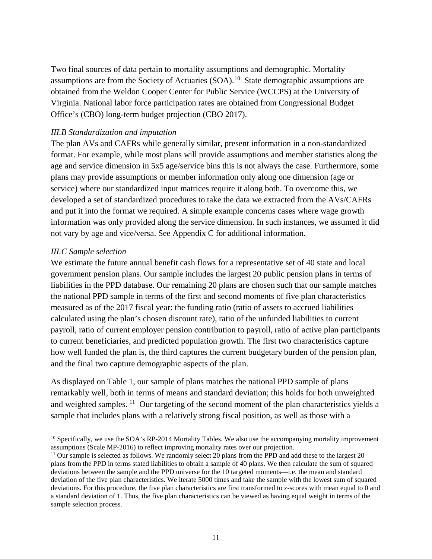Two final sources of data pertain to mortality assumptions and demographic. Mortality assumptions are from the Society of Actuaries  $(SOA)$ .<sup>10</sup> State demographic assumptions are obtained from the Weldon Cooper Center for Public Service (WCCPS) at the University of Virginia. National labor force participation rates are obtained from Congressional Budget Office's (CBO) long-term budget projection (CBO 2017).

## *III.B Standardization and imputation*

The plan AVs and CAFRs while generally similar, present information in a non-standardized format. For example, while most plans will provide assumptions and member statistics along the age and service dimension in 5x5 age/service bins this is not always the case. Furthermore, some plans may provide assumptions or member information only along one dimension (age or service) where our standardized input matrices require it along both. To overcome this, we developed a set of standardized procedures to take the data we extracted from the AVs/CAFRs and put it into the format we required. A simple example concerns cases where wage growth information was only provided along the service dimension. In such instances, we assumed it did not vary by age and vice/versa. See Appendix C for additional information.

## *III.C Sample selection*

We estimate the future annual benefit cash flows for a representative set of 40 state and local government pension plans. Our sample includes the largest 20 public pension plans in terms of liabilities in the PPD database. Our remaining 20 plans are chosen such that our sample matches the national PPD sample in terms of the first and second moments of five plan characteristics measured as of the 2017 fiscal year: the funding ratio (ratio of assets to accrued liabilities calculated using the plan's chosen discount rate), ratio of the unfunded liabilities to current payroll, ratio of current employer pension contribution to payroll, ratio of active plan participants to current beneficiaries, and predicted population growth. The first two characteristics capture how well funded the plan is, the third captures the current budgetary burden of the pension plan, and the final two capture demographic aspects of the plan.

As displayed on Table 1, our sample of plans matches the national PPD sample of plans remarkably well, both in terms of means and standard deviation; this holds for both unweighted and weighted samples. <sup>11</sup> Our targeting of the second moment of the plan characteristics yields a sample that includes plans with a relatively strong fiscal position, as well as those with a

<span id="page-10-0"></span><sup>&</sup>lt;sup>10</sup> Specifically, we use the SOA's RP-2014 Mortality Tables. We also use the accompanying mortality improvement assumptions (Scale MP-2016) to reflect improving mortality rates over our projection.

<span id="page-10-1"></span><sup>&</sup>lt;sup>11</sup> Our sample is selected as follows. We randomly select 20 plans from the PPD and add these to the largest 20 plans from the PPD in terms stated liabilities to obtain a sample of 40 plans. We then calculate the sum of squared deviations between the sample and the PPD universe for the 10 targeted moments—i.e. the mean and standard deviation of the five plan characteristics. We iterate 5000 times and take the sample with the lowest sum of squared deviations. For this procedure, the five plan characteristics are first transformed to z-scores with mean equal to 0 and a standard deviation of 1. Thus, the five plan characteristics can be viewed as having equal weight in terms of the sample selection process.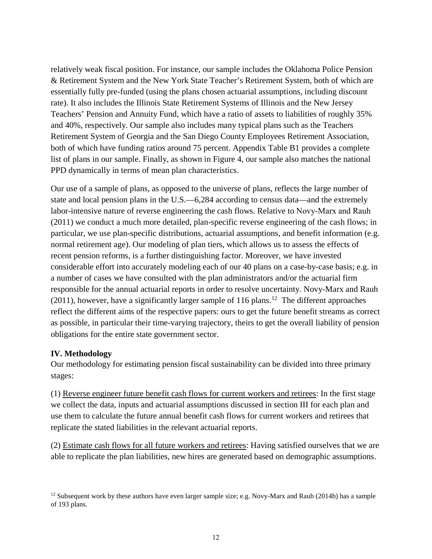relatively weak fiscal position. For instance, our sample includes the Oklahoma Police Pension & Retirement System and the New York State Teacher's Retirement System, both of which are essentially fully pre-funded (using the plans chosen actuarial assumptions, including discount rate). It also includes the Illinois State Retirement Systems of Illinois and the New Jersey Teachers' Pension and Annuity Fund, which have a ratio of assets to liabilities of roughly 35% and 40%, respectively. Our sample also includes many typical plans such as the Teachers Retirement System of Georgia and the San Diego County Employees Retirement Association, both of which have funding ratios around 75 percent. Appendix Table B1 provides a complete list of plans in our sample. Finally, as shown in Figure 4, our sample also matches the national PPD dynamically in terms of mean plan characteristics.

Our use of a sample of plans, as opposed to the universe of plans, reflects the large number of state and local pension plans in the U.S.—6,284 according to census data—and the extremely labor-intensive nature of reverse engineering the cash flows. Relative to Novy–Marx and Rauh (2011) we conduct a much more detailed, plan-specific reverse engineering of the cash flows; in particular, we use plan-specific distributions, actuarial assumptions, and benefit information (e.g. normal retirement age). Our modeling of plan tiers, which allows us to assess the effects of recent pension reforms, is a further distinguishing factor. Moreover, we have invested considerable effort into accurately modeling each of our 40 plans on a case-by-case basis; e.g. in a number of cases we have consulted with the plan administrators and/or the actuarial firm responsible for the annual actuarial reports in order to resolve uncertainty. Novy-Marx and Rauh (2011), however, have a significantly larger sample of 116 plans.<sup>[12](#page-11-0)</sup> The different approaches reflect the different aims of the respective papers: ours to get the future benefit streams as correct as possible, in particular their time-varying trajectory, theirs to get the overall liability of pension obligations for the entire state government sector.

## **IV. Methodology**

Our methodology for estimating pension fiscal sustainability can be divided into three primary stages:

(1) Reverse engineer future benefit cash flows for current workers and retirees: In the first stage we collect the data, inputs and actuarial assumptions discussed in section III for each plan and use them to calculate the future annual benefit cash flows for current workers and retirees that replicate the stated liabilities in the relevant actuarial reports.

(2) Estimate cash flows for all future workers and retirees: Having satisfied ourselves that we are able to replicate the plan liabilities, new hires are generated based on demographic assumptions.

<span id="page-11-0"></span><sup>&</sup>lt;sup>12</sup> Subsequent work by these authors have even larger sample size; e.g. Novy-Marx and Rauh (2014b) has a sample of 193 plans.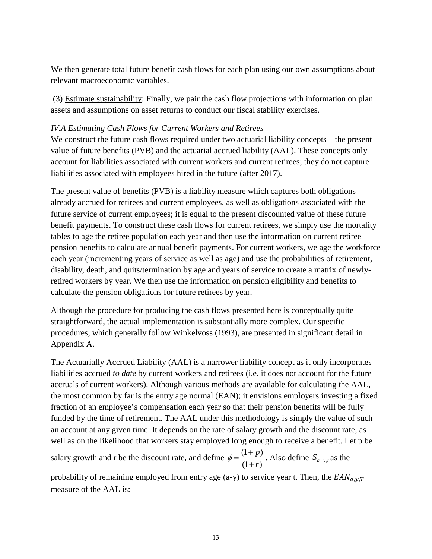We then generate total future benefit cash flows for each plan using our own assumptions about relevant macroeconomic variables.

(3) Estimate sustainability: Finally, we pair the cash flow projections with information on plan assets and assumptions on asset returns to conduct our fiscal stability exercises.

## *IV.A Estimating Cash Flows for Current Workers and Retirees*

We construct the future cash flows required under two actuarial liability concepts – the present value of future benefits (PVB) and the actuarial accrued liability (AAL). These concepts only account for liabilities associated with current workers and current retirees; they do not capture liabilities associated with employees hired in the future (after 2017).

The present value of benefits (PVB) is a liability measure which captures both obligations already accrued for retirees and current employees, as well as obligations associated with the future service of current employees; it is equal to the present discounted value of these future benefit payments. To construct these cash flows for current retirees, we simply use the mortality tables to age the retiree population each year and then use the information on current retiree pension benefits to calculate annual benefit payments. For current workers, we age the workforce each year (incrementing years of service as well as age) and use the probabilities of retirement, disability, death, and quits/termination by age and years of service to create a matrix of newlyretired workers by year. We then use the information on pension eligibility and benefits to calculate the pension obligations for future retirees by year.

Although the procedure for producing the cash flows presented here is conceptually quite straightforward, the actual implementation is substantially more complex. Our specific procedures, which generally follow Winkelvoss (1993), are presented in significant detail in Appendix A.

The Actuarially Accrued Liability (AAL) is a narrower liability concept as it only incorporates liabilities accrued *to date* by current workers and retirees (i.e. it does not account for the future accruals of current workers). Although various methods are available for calculating the AAL, the most common by far is the entry age normal (EAN); it envisions employers investing a fixed fraction of an employee's compensation each year so that their pension benefits will be fully funded by the time of retirement. The AAL under this methodology is simply the value of such an account at any given time. It depends on the rate of salary growth and the discount rate, as well as on the likelihood that workers stay employed long enough to receive a benefit. Let p be

salary growth and r be the discount rate, and define  $\phi = \frac{(1 + p)}{(1 + p)}$  $(1 + r)$ *p*  $\phi = \frac{(1+p)}{(1+r)}$ . Also define *S<sub>a-yt</sub>* as the

probability of remaining employed from entry age (a-y) to service year t. Then, the  $EAN_{a,y,T}$ measure of the AAL is: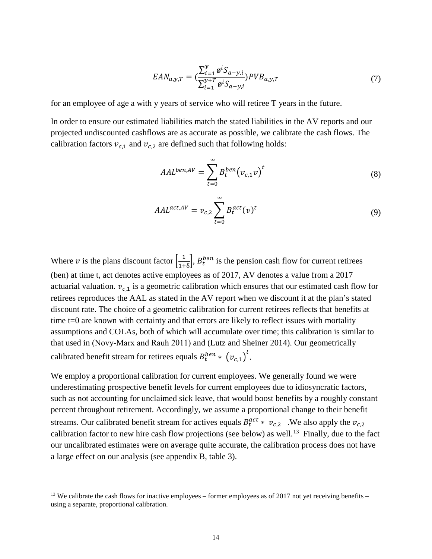$$
EAN_{a,y,T} = \left(\frac{\sum_{i=1}^{y} g^{i} S_{a-y,i}}{\sum_{i=1}^{y+T} g^{i} S_{a-y,i}}\right) PVB_{a,y,T}
$$
(7)

for an employee of age a with y years of service who will retiree T years in the future.

In order to ensure our estimated liabilities match the stated liabilities in the AV reports and our projected undiscounted cashflows are as accurate as possible, we calibrate the cash flows. The calibration factors  $v_{c,1}$  and  $v_{c,2}$  are defined such that following holds:

$$
AAL^{ben,AV} = \sum_{t=0}^{\infty} B_t^{ben} (v_{c,1}v)^t
$$
 (8)

$$
AAL^{act,AV} = v_{c,2} \sum_{t=0}^{\infty} B_t^{act}(v)^t
$$
\n(9)

Where v is the plans discount factor  $\left[\frac{1}{1+\delta}\right]$ ,  $B_t^{ben}$  is the pension cash flow for current retirees (ben) at time t, act denotes active employees as of 2017, AV denotes a value from a 2017 actuarial valuation.  $v_{c,1}$  is a geometric calibration which ensures that our estimated cash flow for retirees reproduces the AAL as stated in the AV report when we discount it at the plan's stated discount rate. The choice of a geometric calibration for current retirees reflects that benefits at time t=0 are known with certainty and that errors are likely to reflect issues with mortality assumptions and COLAs, both of which will accumulate over time; this calibration is similar to that used in (Novy‐Marx and Rauh 2011) and (Lutz and Sheiner 2014). Our geometrically calibrated benefit stream for retirees equals  $B_t^{ben} * (v_{c,1})^t$ .

We employ a proportional calibration for current employees. We generally found we were underestimating prospective benefit levels for current employees due to idiosyncratic factors, such as not accounting for unclaimed sick leave, that would boost benefits by a roughly constant percent throughout retirement. Accordingly, we assume a proportional change to their benefit streams. Our calibrated benefit stream for actives equals  $B_t^{act} * v_{c,2}$ . We also apply the  $v_{c,2}$ calibration factor to new hire cash flow projections (see below) as well.<sup>13</sup> Finally, due to the fact our uncalibrated estimates were on average quite accurate, the calibration process does not have a large effect on our analysis (see appendix B, table 3).

<span id="page-13-0"></span><sup>&</sup>lt;sup>13</sup> We calibrate the cash flows for inactive employees – former employees as of 2017 not yet receiving benefits – using a separate, proportional calibration.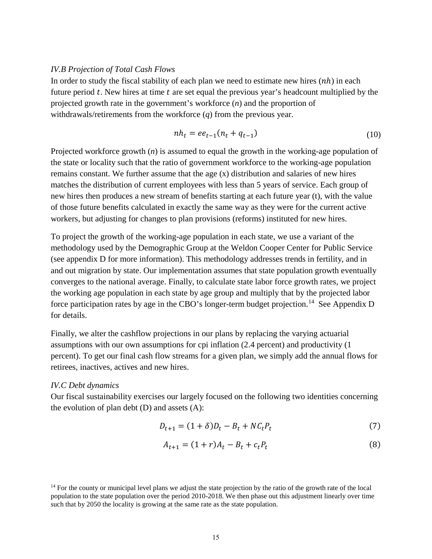### *IV.B Projection of Total Cash Flows*

In order to study the fiscal stability of each plan we need to estimate new hires  $(nh)$  in each future period  $t$ . New hires at time  $t$  are set equal the previous year's headcount multiplied by the projected growth rate in the government's workforce (*n*) and the proportion of withdrawals/retirements from the workforce (*q*) from the previous year.

$$
nh_t = ee_{t-1}(n_t + q_{t-1})
$$
\n(10)

Projected workforce growth (*n*) is assumed to equal the growth in the working-age population of the state or locality such that the ratio of government workforce to the working-age population remains constant. We further assume that the age (x) distribution and salaries of new hires matches the distribution of current employees with less than 5 years of service. Each group of new hires then produces a new stream of benefits starting at each future year (t), with the value of those future benefits calculated in exactly the same way as they were for the current active workers, but adjusting for changes to plan provisions (reforms) instituted for new hires.

To project the growth of the working-age population in each state, we use a variant of the methodology used by the Demographic Group at the Weldon Cooper Center for Public Service (see appendix D for more information). This methodology addresses trends in fertility, and in and out migration by state. Our implementation assumes that state population growth eventually converges to the national average. Finally, to calculate state labor force growth rates, we project the working age population in each state by age group and multiply that by the projected labor force participation rates by age in the CBO's longer-term budget projection.<sup>14</sup> See Appendix D for details.

Finally, we alter the cashflow projections in our plans by replacing the varying actuarial assumptions with our own assumptions for cpi inflation (2.4 percent) and productivity (1 percent). To get our final cash flow streams for a given plan, we simply add the annual flows for retirees, inactives, actives and new hires.

### *IV.C Debt dynamics*

Our fiscal sustainability exercises our largely focused on the following two identities concerning the evolution of plan debt  $(D)$  and assets  $(A)$ :

$$
D_{t+1} = (1+\delta)D_t - B_t + NC_t P_t
$$
\n(7)

$$
A_{t+1} = (1+r)A_t - B_t + c_t P_t \tag{8}
$$

<span id="page-14-0"></span> $14$  For the county or municipal level plans we adjust the state projection by the ratio of the growth rate of the local population to the state population over the period 2010-2018. We then phase out this adjustment linearly over time such that by 2050 the locality is growing at the same rate as the state population.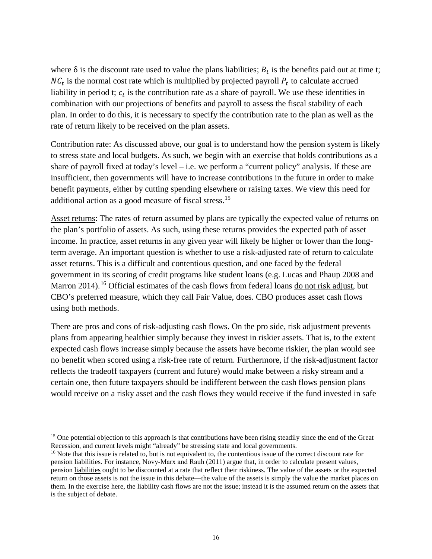where  $\delta$  is the discount rate used to value the plans liabilities;  $B_t$  is the benefits paid out at time t;  $NC<sub>t</sub>$  is the normal cost rate which is multiplied by projected payroll  $P<sub>t</sub>$  to calculate accrued liability in period t;  $c_t$  is the contribution rate as a share of payroll. We use these identities in combination with our projections of benefits and payroll to assess the fiscal stability of each plan. In order to do this, it is necessary to specify the contribution rate to the plan as well as the rate of return likely to be received on the plan assets.

Contribution rate: As discussed above, our goal is to understand how the pension system is likely to stress state and local budgets. As such, we begin with an exercise that holds contributions as a share of payroll fixed at today's level – i.e. we perform a "current policy" analysis. If these are insufficient, then governments will have to increase contributions in the future in order to make benefit payments, either by cutting spending elsewhere or raising taxes. We view this need for additional action as a good measure of fiscal stress.[15](#page-15-0)

Asset returns: The rates of return assumed by plans are typically the expected value of returns on the plan's portfolio of assets. As such, using these returns provides the expected path of asset income. In practice, asset returns in any given year will likely be higher or lower than the longterm average. An important question is whether to use a risk-adjusted rate of return to calculate asset returns. This is a difficult and contentious question, and one faced by the federal government in its scoring of credit programs like student loans (e.g. Lucas and Phaup 2008 and Marron 2014).<sup>[16](#page-15-1)</sup> Official estimates of the cash flows from federal loans do not risk adjust, but CBO's preferred measure, which they call Fair Value, does. CBO produces asset cash flows using both methods.

There are pros and cons of risk-adjusting cash flows. On the pro side, risk adjustment prevents plans from appearing healthier simply because they invest in riskier assets. That is, to the extent expected cash flows increase simply because the assets have become riskier, the plan would see no benefit when scored using a risk-free rate of return. Furthermore, if the risk-adjustment factor reflects the tradeoff taxpayers (current and future) would make between a risky stream and a certain one, then future taxpayers should be indifferent between the cash flows pension plans would receive on a risky asset and the cash flows they would receive if the fund invested in safe

<span id="page-15-0"></span><sup>&</sup>lt;sup>15</sup> One potential objection to this approach is that contributions have been rising steadily since the end of the Great Recession, and current levels might "already" be stressing state and local governments.

<span id="page-15-1"></span><sup>&</sup>lt;sup>16</sup> Note that this issue is related to, but is not equivalent to, the contentious issue of the correct discount rate for pension liabilities. For instance, Novy‐Marx and Rauh (2011) argue that, in order to calculate present values, pension liabilities ought to be discounted at a rate that reflect their riskiness. The value of the assets or the expected return on those assets is not the issue in this debate—the value of the assets is simply the value the market places on them. In the exercise here, the liability cash flows are not the issue; instead it is the assumed return on the assets that is the subject of debate.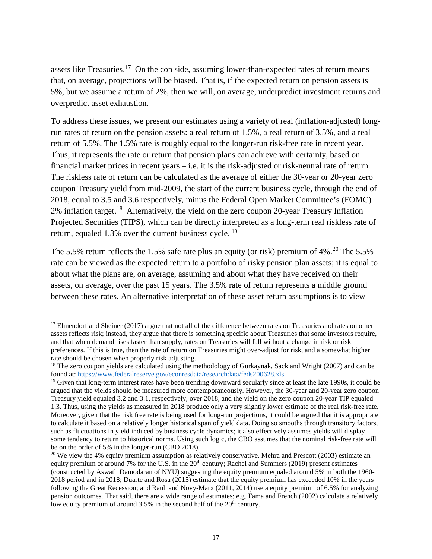assets like Treasuries.<sup>17</sup> On the con side, assuming lower-than-expected rates of return means that, on average, projections will be biased. That is, if the expected return on pension assets is 5%, but we assume a return of 2%, then we will, on average, underpredict investment returns and overpredict asset exhaustion.

To address these issues, we present our estimates using a variety of real (inflation-adjusted) longrun rates of return on the pension assets: a real return of 1.5%, a real return of 3.5%, and a real return of 5.5%. The 1.5% rate is roughly equal to the longer-run risk-free rate in recent year. Thus, it represents the rate or return that pension plans can achieve with certainty, based on financial market prices in recent years – i.e. it is the risk-adjusted or risk-neutral rate of return. The riskless rate of return can be calculated as the average of either the 30-year or 20-year zero coupon Treasury yield from mid-2009, the start of the current business cycle, through the end of 2018, equal to 3.5 and 3.6 respectively, minus the Federal Open Market Committee's (FOMC) 2% inflation target.[18](#page-16-1) Alternatively, the yield on the zero coupon 20-year Treasury Inflation Projected Securities (TIPS), which can be directly interpreted as a long-term real riskless rate of return, equaled 1.3% over the current business cycle. [19](#page-16-2)

The 5.5% return reflects the 1.5% safe rate plus an equity (or risk) premium of  $4\%$ <sup>20</sup> The 5.5% rate can be viewed as the expected return to a portfolio of risky pension plan assets; it is equal to about what the plans are, on average, assuming and about what they have received on their assets, on average, over the past 15 years. The 3.5% rate of return represents a middle ground between these rates. An alternative interpretation of these asset return assumptions is to view

<span id="page-16-0"></span><sup>&</sup>lt;sup>17</sup> Elmendorf and Sheiner (2017) argue that not all of the difference between rates on Treasuries and rates on other assets reflects risk; instead, they argue that there is something specific about Treasuries that some investors require, and that when demand rises faster than supply, rates on Treasuries will fall without a change in risk or risk preferences. If this is true, then the rate of return on Treasuries might over-adjust for risk, and a somewhat higher rate should be chosen when properly risk adjusting.

<span id="page-16-1"></span><sup>&</sup>lt;sup>18</sup> The zero coupon yields are calculated using the methodology of Gurkaynak, Sack and Wright (2007) and can be found at: [https://www.federalreserve.gov/econresdata/researchdata/feds200628.xls.](https://www.federalreserve.gov/econresdata/researchdata/feds200628.xls)<br><sup>19</sup> Given that long-term interest rates have been trending downward secularly since at least the late 1990s, it could be

<span id="page-16-2"></span>argued that the yields should be measured more contemporaneously. However, the 30-year and 20-year zero coupon Treasury yield equaled 3.2 and 3.1, respectively, over 2018, and the yield on the zero coupon 20-year TIP equaled 1.3. Thus, using the yields as measured in 2018 produce only a very slightly lower estimate of the real risk-free rate. Moreover, given that the risk free rate is being used for long-run projections, it could be argued that it is appropriate to calculate it based on a relatively longer historical span of yield data. Doing so smooths through transitory factors, such as fluctuations in yield induced by business cycle dynamics; it also effectively assumes yields will display some tendency to return to historical norms. Using such logic, the CBO assumes that the nominal risk-free rate will be on the order of 5% in the longer-run (CBO 2018).

<span id="page-16-3"></span><sup>&</sup>lt;sup>20</sup> We view the 4% equity premium assumption as relatively conservative. Mehra and Prescott (2003) estimate an equity premium of around 7% for the U.S. in the  $20<sup>th</sup>$  century; Rachel and Summers (2019) present estimates (constructed by Aswath Damodaran of NYU) suggesting the equity premium equaled around 5% n both the 1960- 2018 period and in 2018; Duarte and Rosa (2015) estimate that the equity premium has exceeded 10% in the years following the Great Recession; and Rauh and Novy-Marx (2011, 2014) use a equity premium of 6.5% for analyzing pension outcomes. That said, there are a wide range of estimates; e.g. Fama and French (2002) calculate a relatively low equity premium of around  $3.5\%$  in the second half of the  $20<sup>th</sup>$  century.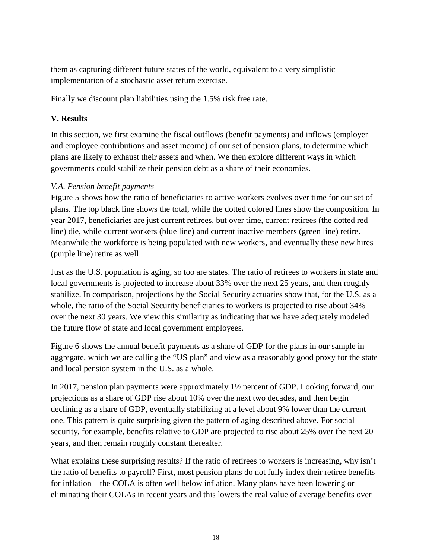them as capturing different future states of the world, equivalent to a very simplistic implementation of a stochastic asset return exercise.

Finally we discount plan liabilities using the 1.5% risk free rate.

# **V. Results**

In this section, we first examine the fiscal outflows (benefit payments) and inflows (employer and employee contributions and asset income) of our set of pension plans, to determine which plans are likely to exhaust their assets and when. We then explore different ways in which governments could stabilize their pension debt as a share of their economies.

# *V.A. Pension benefit payments*

Figure 5 shows how the ratio of beneficiaries to active workers evolves over time for our set of plans. The top black line shows the total, while the dotted colored lines show the composition. In year 2017, beneficiaries are just current retirees, but over time, current retirees (the dotted red line) die, while current workers (blue line) and current inactive members (green line) retire. Meanwhile the workforce is being populated with new workers, and eventually these new hires (purple line) retire as well .

Just as the U.S. population is aging, so too are states. The ratio of retirees to workers in state and local governments is projected to increase about 33% over the next 25 years, and then roughly stabilize. In comparison, projections by the Social Security actuaries show that, for the U.S. as a whole, the ratio of the Social Security beneficiaries to workers is projected to rise about 34% over the next 30 years. We view this similarity as indicating that we have adequately modeled the future flow of state and local government employees.

Figure 6 shows the annual benefit payments as a share of GDP for the plans in our sample in aggregate, which we are calling the "US plan" and view as a reasonably good proxy for the state and local pension system in the U.S. as a whole.

In 2017, pension plan payments were approximately 1½ percent of GDP. Looking forward, our projections as a share of GDP rise about 10% over the next two decades, and then begin declining as a share of GDP, eventually stabilizing at a level about 9% lower than the current one. This pattern is quite surprising given the pattern of aging described above. For social security, for example, benefits relative to GDP are projected to rise about 25% over the next 20 years, and then remain roughly constant thereafter.

What explains these surprising results? If the ratio of retirees to workers is increasing, why isn't the ratio of benefits to payroll? First, most pension plans do not fully index their retiree benefits for inflation—the COLA is often well below inflation. Many plans have been lowering or eliminating their COLAs in recent years and this lowers the real value of average benefits over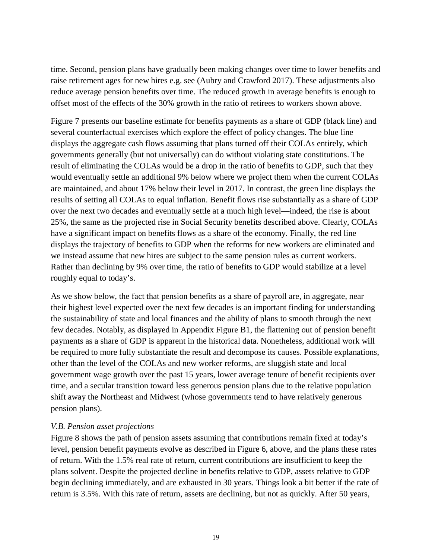time. Second, pension plans have gradually been making changes over time to lower benefits and raise retirement ages for new hires e.g. see (Aubry and Crawford 2017). These adjustments also reduce average pension benefits over time. The reduced growth in average benefits is enough to offset most of the effects of the 30% growth in the ratio of retirees to workers shown above.

Figure 7 presents our baseline estimate for benefits payments as a share of GDP (black line) and several counterfactual exercises which explore the effect of policy changes. The blue line displays the aggregate cash flows assuming that plans turned off their COLAs entirely, which governments generally (but not universally) can do without violating state constitutions. The result of eliminating the COLAs would be a drop in the ratio of benefits to GDP, such that they would eventually settle an additional 9% below where we project them when the current COLAs are maintained, and about 17% below their level in 2017. In contrast, the green line displays the results of setting all COLAs to equal inflation. Benefit flows rise substantially as a share of GDP over the next two decades and eventually settle at a much high level—indeed, the rise is about 25%, the same as the projected rise in Social Security benefits described above. Clearly, COLAs have a significant impact on benefits flows as a share of the economy. Finally, the red line displays the trajectory of benefits to GDP when the reforms for new workers are eliminated and we instead assume that new hires are subject to the same pension rules as current workers. Rather than declining by 9% over time, the ratio of benefits to GDP would stabilize at a level roughly equal to today's.

As we show below, the fact that pension benefits as a share of payroll are, in aggregate, near their highest level expected over the next few decades is an important finding for understanding the sustainability of state and local finances and the ability of plans to smooth through the next few decades. Notably, as displayed in Appendix Figure B1, the flattening out of pension benefit payments as a share of GDP is apparent in the historical data. Nonetheless, additional work will be required to more fully substantiate the result and decompose its causes. Possible explanations, other than the level of the COLAs and new worker reforms, are sluggish state and local government wage growth over the past 15 years, lower average tenure of benefit recipients over time, and a secular transition toward less generous pension plans due to the relative population shift away the Northeast and Midwest (whose governments tend to have relatively generous pension plans).

## *V.B. Pension asset projections*

Figure 8 shows the path of pension assets assuming that contributions remain fixed at today's level, pension benefit payments evolve as described in Figure 6, above, and the plans these rates of return. With the 1.5% real rate of return, current contributions are insufficient to keep the plans solvent. Despite the projected decline in benefits relative to GDP, assets relative to GDP begin declining immediately, and are exhausted in 30 years. Things look a bit better if the rate of return is 3.5%. With this rate of return, assets are declining, but not as quickly. After 50 years,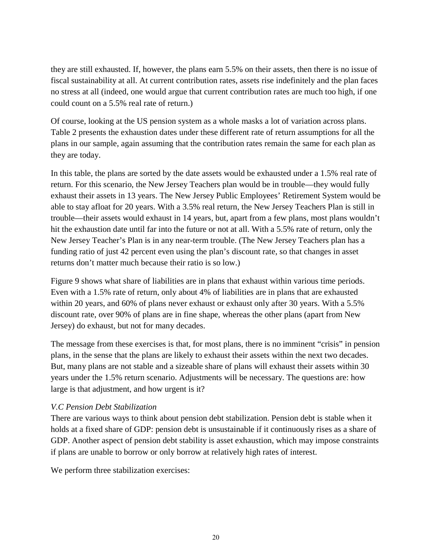they are still exhausted. If, however, the plans earn 5.5% on their assets, then there is no issue of fiscal sustainability at all. At current contribution rates, assets rise indefinitely and the plan faces no stress at all (indeed, one would argue that current contribution rates are much too high, if one could count on a 5.5% real rate of return.)

Of course, looking at the US pension system as a whole masks a lot of variation across plans. Table 2 presents the exhaustion dates under these different rate of return assumptions for all the plans in our sample, again assuming that the contribution rates remain the same for each plan as they are today.

In this table, the plans are sorted by the date assets would be exhausted under a 1.5% real rate of return. For this scenario, the New Jersey Teachers plan would be in trouble—they would fully exhaust their assets in 13 years. The New Jersey Public Employees' Retirement System would be able to stay afloat for 20 years. With a 3.5% real return, the New Jersey Teachers Plan is still in trouble—their assets would exhaust in 14 years, but, apart from a few plans, most plans wouldn't hit the exhaustion date until far into the future or not at all. With a 5.5% rate of return, only the New Jersey Teacher's Plan is in any near-term trouble. (The New Jersey Teachers plan has a funding ratio of just 42 percent even using the plan's discount rate, so that changes in asset returns don't matter much because their ratio is so low.)

Figure 9 shows what share of liabilities are in plans that exhaust within various time periods. Even with a 1.5% rate of return, only about 4% of liabilities are in plans that are exhausted within 20 years, and 60% of plans never exhaust or exhaust only after 30 years. With a 5.5% discount rate, over 90% of plans are in fine shape, whereas the other plans (apart from New Jersey) do exhaust, but not for many decades.

The message from these exercises is that, for most plans, there is no imminent "crisis" in pension plans, in the sense that the plans are likely to exhaust their assets within the next two decades. But, many plans are not stable and a sizeable share of plans will exhaust their assets within 30 years under the 1.5% return scenario. Adjustments will be necessary. The questions are: how large is that adjustment, and how urgent is it?

## *V.C Pension Debt Stabilization*

There are various ways to think about pension debt stabilization. Pension debt is stable when it holds at a fixed share of GDP: pension debt is unsustainable if it continuously rises as a share of GDP. Another aspect of pension debt stability is asset exhaustion, which may impose constraints if plans are unable to borrow or only borrow at relatively high rates of interest.

We perform three stabilization exercises: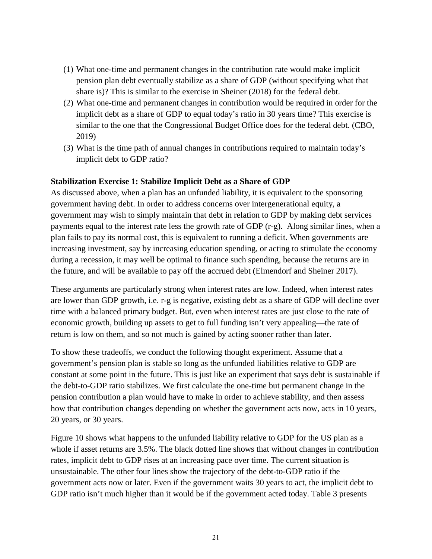- (1) What one-time and permanent changes in the contribution rate would make implicit pension plan debt eventually stabilize as a share of GDP (without specifying what that share is)? This is similar to the exercise in Sheiner (2018) for the federal debt.
- (2) What one-time and permanent changes in contribution would be required in order for the implicit debt as a share of GDP to equal today's ratio in 30 years time? This exercise is similar to the one that the Congressional Budget Office does for the federal debt. (CBO, 2019)
- (3) What is the time path of annual changes in contributions required to maintain today's implicit debt to GDP ratio?

## **Stabilization Exercise 1: Stabilize Implicit Debt as a Share of GDP**

As discussed above, when a plan has an unfunded liability, it is equivalent to the sponsoring government having debt. In order to address concerns over intergenerational equity, a government may wish to simply maintain that debt in relation to GDP by making debt services payments equal to the interest rate less the growth rate of GDP (r-g). Along similar lines, when a plan fails to pay its normal cost, this is equivalent to running a deficit. When governments are increasing investment, say by increasing education spending, or acting to stimulate the economy during a recession, it may well be optimal to finance such spending, because the returns are in the future, and will be available to pay off the accrued debt (Elmendorf and Sheiner 2017).

These arguments are particularly strong when interest rates are low. Indeed, when interest rates are lower than GDP growth, i.e. r-g is negative, existing debt as a share of GDP will decline over time with a balanced primary budget. But, even when interest rates are just close to the rate of economic growth, building up assets to get to full funding isn't very appealing—the rate of return is low on them, and so not much is gained by acting sooner rather than later.

To show these tradeoffs, we conduct the following thought experiment. Assume that a government's pension plan is stable so long as the unfunded liabilities relative to GDP are constant at some point in the future. This is just like an experiment that says debt is sustainable if the debt-to-GDP ratio stabilizes. We first calculate the one-time but permanent change in the pension contribution a plan would have to make in order to achieve stability, and then assess how that contribution changes depending on whether the government acts now, acts in 10 years, 20 years, or 30 years.

Figure 10 shows what happens to the unfunded liability relative to GDP for the US plan as a whole if asset returns are 3.5%. The black dotted line shows that without changes in contribution rates, implicit debt to GDP rises at an increasing pace over time. The current situation is unsustainable. The other four lines show the trajectory of the debt-to-GDP ratio if the government acts now or later. Even if the government waits 30 years to act, the implicit debt to GDP ratio isn't much higher than it would be if the government acted today. Table 3 presents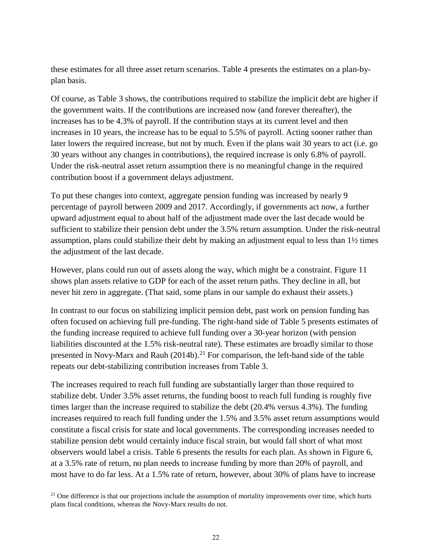these estimates for all three asset return scenarios. Table 4 presents the estimates on a plan-byplan basis.

Of course, as Table 3 shows, the contributions required to stabilize the implicit debt are higher if the government waits. If the contributions are increased now (and forever thereafter), the increases has to be 4.3% of payroll. If the contribution stays at its current level and then increases in 10 years, the increase has to be equal to 5.5% of payroll. Acting sooner rather than later lowers the required increase, but not by much. Even if the plans wait 30 years to act (i.e. go 30 years without any changes in contributions), the required increase is only 6.8% of payroll. Under the risk-neutral asset return assumption there is no meaningful change in the required contribution boost if a government delays adjustment.

To put these changes into context, aggregate pension funding was increased by nearly 9 percentage of payroll between 2009 and 2017. Accordingly, if governments act now, a further upward adjustment equal to about half of the adjustment made over the last decade would be sufficient to stabilize their pension debt under the 3.5% return assumption. Under the risk-neutral assumption, plans could stabilize their debt by making an adjustment equal to less than 1½ times the adjustment of the last decade.

However, plans could run out of assets along the way, which might be a constraint. Figure 11 shows plan assets relative to GDP for each of the asset return paths. They decline in all, but never hit zero in aggregate. (That said, some plans in our sample do exhaust their assets.)

In contrast to our focus on stabilizing implicit pension debt, past work on pension funding has often focused on achieving full pre-funding. The right-hand side of Table 5 presents estimates of the funding increase required to achieve full funding over a 30-year horizon (with pension liabilities discounted at the 1.5% risk-neutral rate). These estimates are broadly similar to those presented in Novy-Marx and Rauh  $(2014b)$ .<sup>[21](#page-21-0)</sup> For comparison, the left-hand side of the table repeats our debt-stabilizing contribution increases from Table 3.

The increases required to reach full funding are substantially larger than those required to stabilize debt. Under 3.5% asset returns, the funding boost to reach full funding is roughly five times larger than the increase required to stabilize the debt (20.4% versus 4.3%). The funding increases required to reach full funding under the 1.5% and 3.5% asset return assumptions would constitute a fiscal crisis for state and local governments. The corresponding increases needed to stabilize pension debt would certainly induce fiscal strain, but would fall short of what most observers would label a crisis. Table 6 presents the results for each plan. As shown in Figure 6, at a 3.5% rate of return, no plan needs to increase funding by more than 20% of payroll, and most have to do far less. At a 1.5% rate of return, however, about 30% of plans have to increase

<span id="page-21-0"></span> $21$  One difference is that our projections include the assumption of mortality improvements over time, which hurts plans fiscal conditions, whereas the Novy-Marx results do not.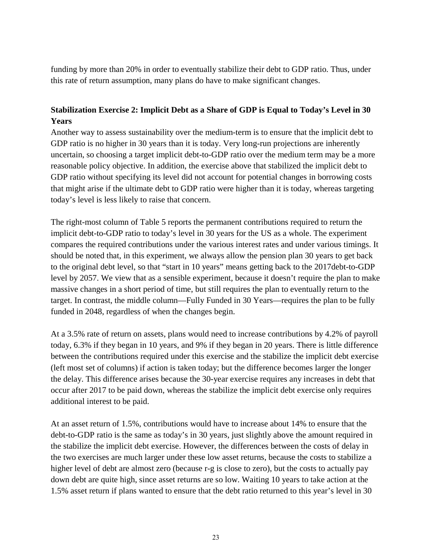funding by more than 20% in order to eventually stabilize their debt to GDP ratio. Thus, under this rate of return assumption, many plans do have to make significant changes.

# **Stabilization Exercise 2: Implicit Debt as a Share of GDP is Equal to Today's Level in 30 Years**

Another way to assess sustainability over the medium-term is to ensure that the implicit debt to GDP ratio is no higher in 30 years than it is today. Very long-run projections are inherently uncertain, so choosing a target implicit debt-to-GDP ratio over the medium term may be a more reasonable policy objective. In addition, the exercise above that stabilized the implicit debt to GDP ratio without specifying its level did not account for potential changes in borrowing costs that might arise if the ultimate debt to GDP ratio were higher than it is today, whereas targeting today's level is less likely to raise that concern.

The right-most column of Table 5 reports the permanent contributions required to return the implicit debt-to-GDP ratio to today's level in 30 years for the US as a whole. The experiment compares the required contributions under the various interest rates and under various timings. It should be noted that, in this experiment, we always allow the pension plan 30 years to get back to the original debt level, so that "start in 10 years" means getting back to the 2017debt-to-GDP level by 2057. We view that as a sensible experiment, because it doesn't require the plan to make massive changes in a short period of time, but still requires the plan to eventually return to the target. In contrast, the middle column—Fully Funded in 30 Years—requires the plan to be fully funded in 2048, regardless of when the changes begin.

At a 3.5% rate of return on assets, plans would need to increase contributions by 4.2% of payroll today, 6.3% if they began in 10 years, and 9% if they began in 20 years. There is little difference between the contributions required under this exercise and the stabilize the implicit debt exercise (left most set of columns) if action is taken today; but the difference becomes larger the longer the delay. This difference arises because the 30-year exercise requires any increases in debt that occur after 2017 to be paid down, whereas the stabilize the implicit debt exercise only requires additional interest to be paid.

At an asset return of 1.5%, contributions would have to increase about 14% to ensure that the debt-to-GDP ratio is the same as today's in 30 years, just slightly above the amount required in the stabilize the implicit debt exercise. However, the differences between the costs of delay in the two exercises are much larger under these low asset returns, because the costs to stabilize a higher level of debt are almost zero (because r-g is close to zero), but the costs to actually pay down debt are quite high, since asset returns are so low. Waiting 10 years to take action at the 1.5% asset return if plans wanted to ensure that the debt ratio returned to this year's level in 30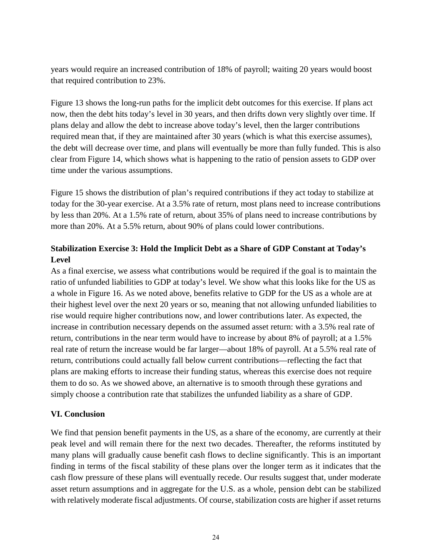years would require an increased contribution of 18% of payroll; waiting 20 years would boost that required contribution to 23%.

Figure 13 shows the long-run paths for the implicit debt outcomes for this exercise. If plans act now, then the debt hits today's level in 30 years, and then drifts down very slightly over time. If plans delay and allow the debt to increase above today's level, then the larger contributions required mean that, if they are maintained after 30 years (which is what this exercise assumes), the debt will decrease over time, and plans will eventually be more than fully funded. This is also clear from Figure 14, which shows what is happening to the ratio of pension assets to GDP over time under the various assumptions.

Figure 15 shows the distribution of plan's required contributions if they act today to stabilize at today for the 30-year exercise. At a 3.5% rate of return, most plans need to increase contributions by less than 20%. At a 1.5% rate of return, about 35% of plans need to increase contributions by more than 20%. At a 5.5% return, about 90% of plans could lower contributions.

# **Stabilization Exercise 3: Hold the Implicit Debt as a Share of GDP Constant at Today's Level**

As a final exercise, we assess what contributions would be required if the goal is to maintain the ratio of unfunded liabilities to GDP at today's level. We show what this looks like for the US as a whole in Figure 16. As we noted above, benefits relative to GDP for the US as a whole are at their highest level over the next 20 years or so, meaning that not allowing unfunded liabilities to rise would require higher contributions now, and lower contributions later. As expected, the increase in contribution necessary depends on the assumed asset return: with a 3.5% real rate of return, contributions in the near term would have to increase by about 8% of payroll; at a 1.5% real rate of return the increase would be far larger—about 18% of payroll. At a 5.5% real rate of return, contributions could actually fall below current contributions—reflecting the fact that plans are making efforts to increase their funding status, whereas this exercise does not require them to do so. As we showed above, an alternative is to smooth through these gyrations and simply choose a contribution rate that stabilizes the unfunded liability as a share of GDP.

# **VI. Conclusion**

We find that pension benefit payments in the US, as a share of the economy, are currently at their peak level and will remain there for the next two decades. Thereafter, the reforms instituted by many plans will gradually cause benefit cash flows to decline significantly. This is an important finding in terms of the fiscal stability of these plans over the longer term as it indicates that the cash flow pressure of these plans will eventually recede. Our results suggest that, under moderate asset return assumptions and in aggregate for the U.S. as a whole, pension debt can be stabilized with relatively moderate fiscal adjustments. Of course, stabilization costs are higher if asset returns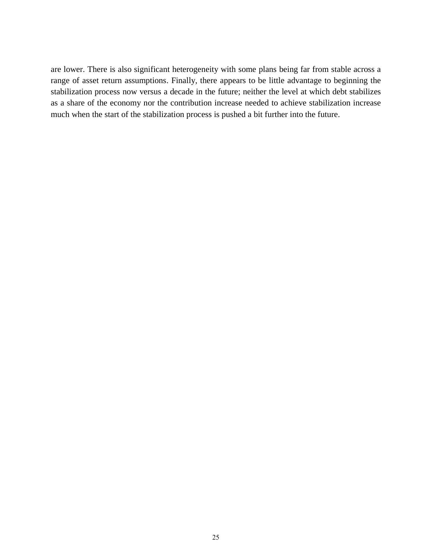are lower. There is also significant heterogeneity with some plans being far from stable across a range of asset return assumptions. Finally, there appears to be little advantage to beginning the stabilization process now versus a decade in the future; neither the level at which debt stabilizes as a share of the economy nor the contribution increase needed to achieve stabilization increase much when the start of the stabilization process is pushed a bit further into the future.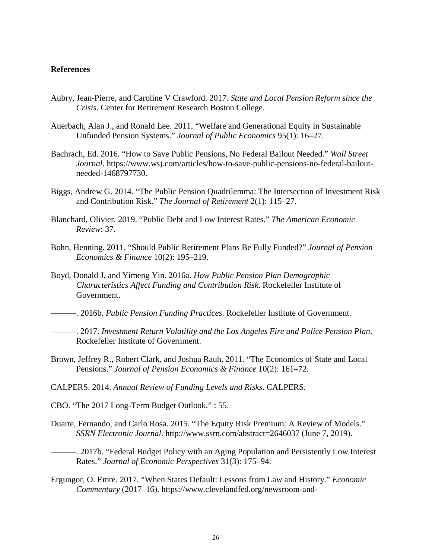### **References**

- Aubry, Jean-Pierre, and Caroline V Crawford. 2017. *State and Local Pension Reform since the Crisis*. Center for Retirement Research Boston College.
- Auerbach, Alan J., and Ronald Lee. 2011. "Welfare and Generational Equity in Sustainable Unfunded Pension Systems." *Journal of Public Economics* 95(1): 16–27.
- Bachrach, Ed. 2016. "How to Save Public Pensions, No Federal Bailout Needed." *Wall Street Journal*. https://www.wsj.com/articles/how-to-save-public-pensions-no-federal-bailoutneeded-1468797730.
- Biggs, Andrew G. 2014. "The Public Pension Quadrilemma: The Intersection of Investment Risk and Contribution Risk." *The Journal of Retirement* 2(1): 115–27.
- Blanchard, Olivier. 2019. "Public Debt and Low Interest Rates." *The American Economic Review*: 37.
- Bohn, Henning. 2011. "Should Public Retirement Plans Be Fully Funded?" *Journal of Pension Economics & Finance* 10(2): 195–219.
- Boyd, Donald J, and Yimeng Yin. 2016a. *How Public Pension Plan Demographic Characteristics Affect Funding and Contribution Risk*. Rockefeller Institute of Government.
- ———. 2016b. *Public Pension Funding Practices*. Rockefeller Institute of Government.
- ———. 2017. *Investment Return Volatility and the Los Angeles Fire and Police Pension Plan*. Rockefeller Institute of Government.
- Brown, Jeffrey R., Robert Clark, and Joshua Rauh. 2011. "The Economics of State and Local Pensions." *Journal of Pension Economics & Finance* 10(2): 161–72.
- CALPERS. 2014. *Annual Review of Funding Levels and Risks*. CALPERS.
- CBO. "The 2017 Long-Term Budget Outlook." : 55.
- Duarte, Fernando, and Carlo Rosa. 2015. "The Equity Risk Premium: A Review of Models." *SSRN Electronic Journal*. http://www.ssrn.com/abstract=2646037 (June 7, 2019).
- ———. 2017b. "Federal Budget Policy with an Aging Population and Persistently Low Interest Rates." *Journal of Economic Perspectives* 31(3): 175–94.
- Ergungor, O. Emre. 2017. "When States Default: Lessons from Law and History." *Economic Commentary* (2017–16). https://www.clevelandfed.org/newsroom-and-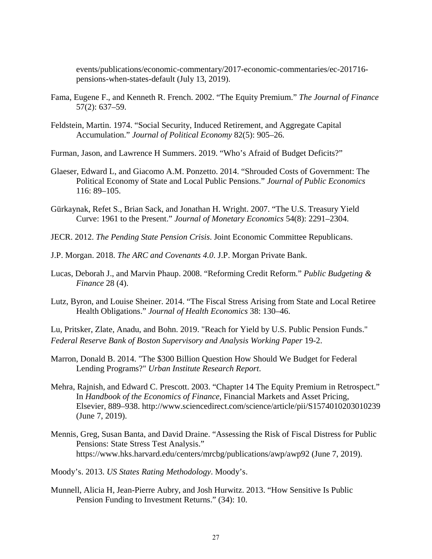events/publications/economic-commentary/2017-economic-commentaries/ec-201716 pensions-when-states-default (July 13, 2019).

- Fama, Eugene F., and Kenneth R. French. 2002. "The Equity Premium." *The Journal of Finance* 57(2): 637–59.
- Feldstein, Martin. 1974. "Social Security, Induced Retirement, and Aggregate Capital Accumulation." *Journal of Political Economy* 82(5): 905–26.
- Furman, Jason, and Lawrence H Summers. 2019. "Who's Afraid of Budget Deficits?"
- Glaeser, Edward L, and Giacomo A.M. Ponzetto. 2014. "Shrouded Costs of Government: The Political Economy of State and Local Public Pensions." *Journal of Public Economics* 116: 89–105.
- Gürkaynak, Refet S., Brian Sack, and Jonathan H. Wright. 2007. "The U.S. Treasury Yield Curve: 1961 to the Present." *Journal of Monetary Economics* 54(8): 2291–2304.
- JECR. 2012. *The Pending State Pension Crisis*. Joint Economic Committee Republicans.
- J.P. Morgan. 2018. *The ARC and Covenants 4.0*. J.P. Morgan Private Bank.
- Lucas, Deborah J., and Marvin Phaup. 2008. "Reforming Credit Reform." *Public Budgeting & Finance* 28 (4).
- Lutz, Byron, and Louise Sheiner. 2014. "The Fiscal Stress Arising from State and Local Retiree Health Obligations." *Journal of Health Economics* 38: 130–46.

Lu, Pritsker, Zlate, Anadu, and Bohn. 2019. "Reach for Yield by U.S. Public Pension Funds." *Federal Reserve Bank of Boston Supervisory and Analysis Working Paper* 19-2.

- Marron, Donald B. 2014. "The \$300 Billion Question How Should We Budget for Federal Lending Programs?" *Urban Institute Research Report*.
- Mehra, Rajnish, and Edward C. Prescott. 2003. "Chapter 14 The Equity Premium in Retrospect." In *Handbook of the Economics of Finance*, Financial Markets and Asset Pricing, Elsevier, 889–938. http://www.sciencedirect.com/science/article/pii/S1574010203010239 (June 7, 2019).
- Mennis, Greg, Susan Banta, and David Draine. "Assessing the Risk of Fiscal Distress for Public Pensions: State Stress Test Analysis." https://www.hks.harvard.edu/centers/mrcbg/publications/awp/awp92 (June 7, 2019).
- Moody's. 2013. *US States Rating Methodology*. Moody's.
- Munnell, Alicia H, Jean-Pierre Aubry, and Josh Hurwitz. 2013. "How Sensitive Is Public Pension Funding to Investment Returns." (34): 10.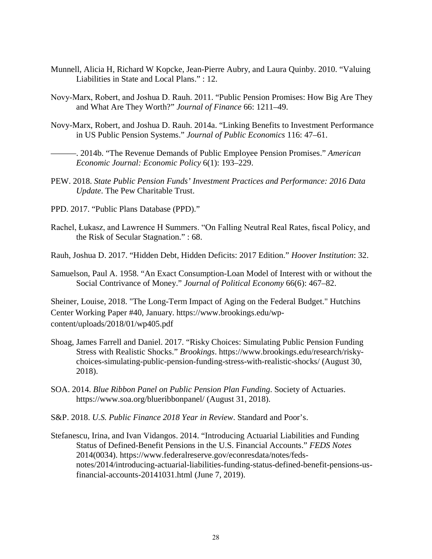- Munnell, Alicia H, Richard W Kopcke, Jean-Pierre Aubry, and Laura Quinby. 2010. "Valuing Liabilities in State and Local Plans." : 12.
- Novy‐Marx, Robert, and Joshua D. Rauh. 2011. "Public Pension Promises: How Big Are They and What Are They Worth?" *Journal of Finance* 66: 1211–49.
- Novy-Marx, Robert, and Joshua D. Rauh. 2014a. "Linking Benefits to Investment Performance in US Public Pension Systems." *Journal of Public Economics* 116: 47–61.

———. 2014b. "The Revenue Demands of Public Employee Pension Promises." *American Economic Journal: Economic Policy* 6(1): 193–229.

- PEW. 2018. *State Public Pension Funds' Investment Practices and Performance: 2016 Data Update*. The Pew Charitable Trust.
- PPD. 2017. "Public Plans Database (PPD)."
- Rachel, Łukasz, and Lawrence H Summers. "On Falling Neutral Real Rates, fiscal Policy, and the Risk of Secular Stagnation." : 68.

Rauh, Joshua D. 2017. "Hidden Debt, Hidden Deficits: 2017 Edition." *Hoover Institution*: 32.

Samuelson, Paul A. 1958. "An Exact Consumption-Loan Model of Interest with or without the Social Contrivance of Money." *Journal of Political Economy* 66(6): 467–82.

Sheiner, Louise, 2018. "The Long-Term Impact of Aging on the Federal Budget." Hutchins Center Working Paper #40, January. https://www.brookings.edu/wpcontent/uploads/2018/01/wp405.pdf

- Shoag, James Farrell and Daniel. 2017. "Risky Choices: Simulating Public Pension Funding Stress with Realistic Shocks." *Brookings*. https://www.brookings.edu/research/riskychoices-simulating-public-pension-funding-stress-with-realistic-shocks/ (August 30, 2018).
- SOA. 2014. *Blue Ribbon Panel on Public Pension Plan Funding*. Society of Actuaries. https://www.soa.org/blueribbonpanel/ (August 31, 2018).
- S&P. 2018. *U.S. Public Finance 2018 Year in Review*. Standard and Poor's.
- Stefanescu, Irina, and Ivan Vidangos. 2014. "Introducing Actuarial Liabilities and Funding Status of Defined-Benefit Pensions in the U.S. Financial Accounts." *FEDS Notes* 2014(0034). https://www.federalreserve.gov/econresdata/notes/fedsnotes/2014/introducing-actuarial-liabilities-funding-status-defined-benefit-pensions-usfinancial-accounts-20141031.html (June 7, 2019).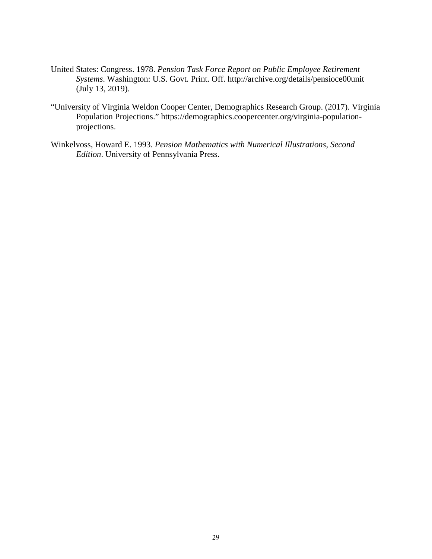- United States: Congress. 1978. *Pension Task Force Report on Public Employee Retirement Systems*. Washington: U.S. Govt. Print. Off. http://archive.org/details/pensioce00unit (July 13, 2019).
- "University of Virginia Weldon Cooper Center, Demographics Research Group. (2017). Virginia Population Projections." https://demographics.coopercenter.org/virginia-populationprojections.
- Winkelvoss, Howard E. 1993. *Pension Mathematics with Numerical Illustrations, Second Edition*. University of Pennsylvania Press.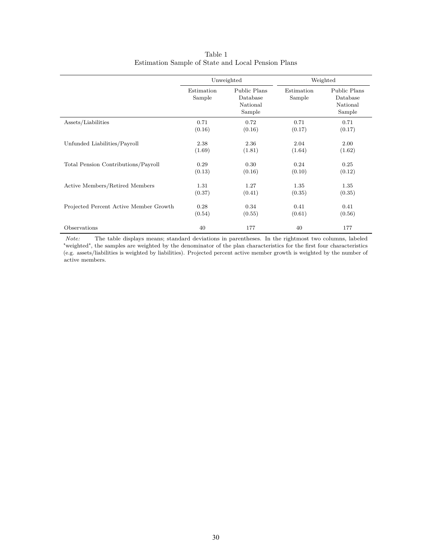|                                        |                      | Unweighted                                     |                      | Weighted                                       |
|----------------------------------------|----------------------|------------------------------------------------|----------------------|------------------------------------------------|
|                                        | Estimation<br>Sample | Public Plans<br>Database<br>National<br>Sample | Estimation<br>Sample | Public Plans<br>Database<br>National<br>Sample |
| Assets/Liabilities                     | 0.71                 | 0.72                                           | 0.71                 | 0.71                                           |
|                                        | (0.16)               | (0.16)                                         | (0.17)               | (0.17)                                         |
| Unfunded Liabilities/Payroll           | 2.38                 | 2.36                                           | 2.04                 | 2.00                                           |
|                                        | (1.69)               | (1.81)                                         | (1.64)               | (1.62)                                         |
| Total Pension Contributions/Payroll    | 0.29                 | 0.30                                           | 0.24                 | 0.25                                           |
|                                        | (0.13)               | (0.16)                                         | (0.10)               | (0.12)                                         |
| Active Members/Retired Members         | 1.31                 | 1.27                                           | 1.35                 | 1.35                                           |
|                                        | (0.37)               | (0.41)                                         | (0.35)               | (0.35)                                         |
| Projected Percent Active Member Growth | 0.28                 | 0.34                                           | 0.41                 | 0.41                                           |
|                                        | (0.54)               | (0.55)                                         | (0.61)               | (0.56)                                         |
| Observations                           | 40                   | 177                                            | 40                   | 177                                            |

Table 1 Estimation Sample of State and Local Pension Plans

*Note:* The table displays means; standard deviations in parentheses. In the rightmost two columns, labeled "weighted", the samples are weighted by the denominator of the plan characteristics for the first four characteristics (e.g. assets/liabilities is weighted by liabilities). Projected percent active member growth is weighted by the number of active members.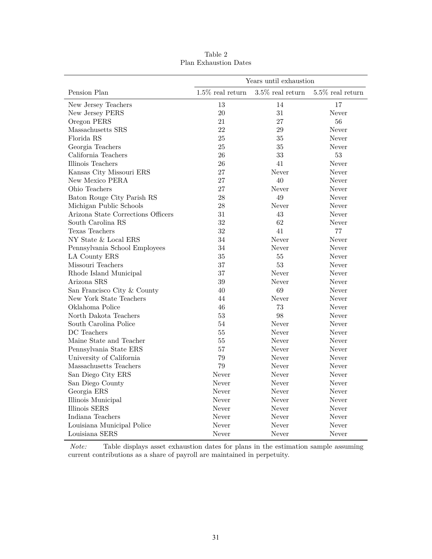| Years until exhaustion             |                     |                     |                     |  |  |  |  |  |
|------------------------------------|---------------------|---------------------|---------------------|--|--|--|--|--|
| Pension Plan                       | $1.5\%$ real return | $3.5\%$ real return | $5.5\%$ real return |  |  |  |  |  |
| New Jersey Teachers                | 13                  | 14                  | 17                  |  |  |  |  |  |
| New Jersey PERS                    | 20                  | 31                  | Never               |  |  |  |  |  |
| Oregon PERS                        | 21                  | 27                  | 56                  |  |  |  |  |  |
| Massachusetts SRS                  | 22                  | 29                  | Never               |  |  |  |  |  |
| Florida RS                         | 25                  | 35                  | Never               |  |  |  |  |  |
| Georgia Teachers                   | 25                  | 35                  | Never               |  |  |  |  |  |
| California Teachers                | 26                  | 33                  | 53                  |  |  |  |  |  |
| Illinois Teachers                  | 26                  | 41                  | Never               |  |  |  |  |  |
| Kansas City Missouri ERS           | 27                  | Never               | Never               |  |  |  |  |  |
| New Mexico PERA                    | 27                  | 40                  | Never               |  |  |  |  |  |
| Ohio Teachers                      | 27                  | Never               | Never               |  |  |  |  |  |
| Baton Rouge City Parish RS         | 28                  | 49                  | Never               |  |  |  |  |  |
| Michigan Public Schools            | 28                  | Never               | Never               |  |  |  |  |  |
| Arizona State Corrections Officers | 31                  | 43                  | Never               |  |  |  |  |  |
| South Carolina RS                  | 32                  | 62                  | Never               |  |  |  |  |  |
| Texas Teachers                     | 32                  | 41                  | 77                  |  |  |  |  |  |
| NY State & Local ERS               | 34                  | Never               | Never               |  |  |  |  |  |
| Pennsylvania School Employees      | 34                  | Never               | Never               |  |  |  |  |  |
| LA County ERS                      | 35                  | 55                  | Never               |  |  |  |  |  |
| Missouri Teachers                  | 37                  | 53                  | Never               |  |  |  |  |  |
| Rhode Island Municipal             | 37                  | Never               | Never               |  |  |  |  |  |
| Arizona SRS                        | 39                  | Never               | Never               |  |  |  |  |  |
| San Francisco City & County        | 40                  | 69                  | Never               |  |  |  |  |  |
| New York State Teachers            | 44                  | Never               | Never               |  |  |  |  |  |
| Oklahoma Police                    | 46                  | 73                  | Never               |  |  |  |  |  |
| North Dakota Teachers              | 53                  | 98                  | Never               |  |  |  |  |  |
| South Carolina Police              | 54                  | Never               | Never               |  |  |  |  |  |
| DC Teachers                        | 55                  | Never               | Never               |  |  |  |  |  |
| Maine State and Teacher            | 55                  | Never               | Never               |  |  |  |  |  |
| Pennsylvania State ERS             | 57                  | Never               | Never               |  |  |  |  |  |
| University of California           | 79                  | Never               | Never               |  |  |  |  |  |
| Massachusetts Teachers             | 79                  | Never               | Never               |  |  |  |  |  |
| San Diego City ERS                 | Never               | Never               | Never               |  |  |  |  |  |
| San Diego County                   | Never               | Never               | Never               |  |  |  |  |  |
| Georgia ERS                        | Never               | Never               | Never               |  |  |  |  |  |
| Illinois Municipal                 | Never               | Never               | Never               |  |  |  |  |  |
| Illinois SERS                      | Never               | Never               | Never               |  |  |  |  |  |
| Indiana Teachers                   | Never               | Never               | Never               |  |  |  |  |  |
| Louisiana Municipal Police         | Never               | Never               | Never               |  |  |  |  |  |
| Louisiana SERS                     | Never               | Never               | Never               |  |  |  |  |  |

Table 2 Plan Exhaustion Dates

*Note:* Table displays asset exhaustion dates for plans in the estimation sample assuming current contributions as a share of payroll are maintained in perpetuity.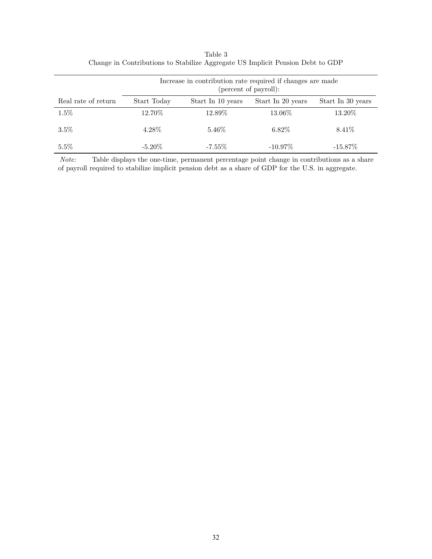|                     | Increase in contribution rate required if changes are made<br>(percent of payroll): |                   |                   |                   |  |  |  |  |  |  |
|---------------------|-------------------------------------------------------------------------------------|-------------------|-------------------|-------------------|--|--|--|--|--|--|
| Real rate of return | Start Today                                                                         | Start In 10 years | Start In 20 years | Start In 30 years |  |  |  |  |  |  |
| 1.5%                | 12.70%                                                                              | 12.89%            | 13.06%            | 13.20%            |  |  |  |  |  |  |
| 3.5%                | 4.28%                                                                               | $5.46\%$          | 6.82\%            | 8.41\%            |  |  |  |  |  |  |
| $5.5\%$             | $-5.20\%$                                                                           | $-7.55\%$         | $-10.97\%$        | $-15.87\%$        |  |  |  |  |  |  |

Table 3 Change in Contributions to Stabilize Aggregate US Implicit Pension Debt to GDP

*Note:* Table displays the one-time, permanent percentage point change in contributions as a share of payroll required to stabilize implicit pension debt as a share of GDP for the U.S. in aggregate.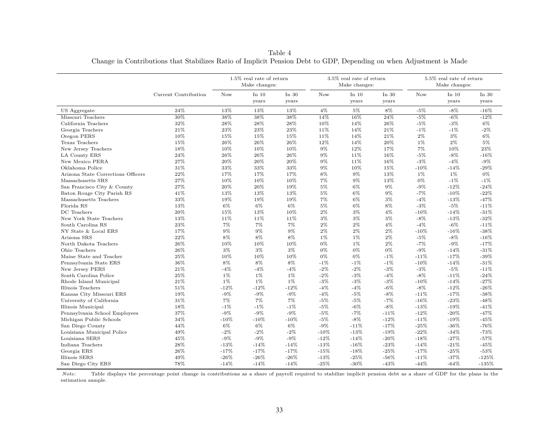1.5% real rate of returnMake changes:3.5% real rate of returnMake changes:5.5% real rate of returnMake changes:Current Contribution Now In 10 yearsIn 30 yearsNow In 10 yearsIn 30 yearsNow In 10 yearsIn 30 yearsUS Aggregate $\frac{1}{24\%}$  $\frac{\%}{\%}$  13% 13% 13% 4% 5% 8% -5% -8% -16%<br> $\frac{\%}{\%}$  -8% -8% -16% Missouri Teachers $30\%$  $\%$  38% 38% 38% 14% 16% 24% -5% -6% -12%<br>http://www.com/https://www.com/http://www.com/http://www.com/http://www.com/http://www.com/http://www.com/http:// California Teacherss  $32\%$  $\frac{\%}{\%}$  28% 28% 28% 10% 14% 26% -5% -3% 6%<br>Maximum 20% 29% 11% 14% 21% 10% 10% 20% Georgia Teacherss 21%  $\frac{\%}{\%}$  23% 23% 23% 11% 14% 21% -1% -1% -2% Oregon PERS $10\%$  $\frac{\%}{\%}$  15% 15% 11% 14% 21% 2% 3% 6% Texas Teachers $15\%$  $\frac{\%}{\%}$  26% 26% 26% 12% 14% 20% 1% 2% 5% New Jersey Teachers $\frac{18\%}{24\%}$  $\frac{\%}{\%}$  10% 10% 10% 9% 12% 17% 7% 10% 23% LA County ERS $\mathbf{S}$  24%  $\%$  26% 26% 26% 9% 11% 16% -5% -8% -16% New Mexico PERA $A = 27\%$  $\frac{\%}{20\%}$  20% 20% 9% 11% 16% -3% -4% -9%<br>M 2297 2297 2297 097 1097 1597 1097 1497 2009 Oklahoma Police $31\%$  $\frac{\%}{\%}$  33% 33% 33% 9% 10% 15% -10% -14% -29%<br>http://www.existen.com/html Arizona State Corrections Officers $\frac{22\%}{27\%}$  $\frac{\%}{\%}$  17% 17% 17% 8% 9% 13% 1% 1% 0%<br>http://www.marchive.com/2007/2007/2007/2007/2007/2012/2012 Massachusetts SRSS 27%  $\frac{\%}{\%}$  10% 10% 10% 7% 9% 13% 0% -1% -1%<br>https://www.com/https://www.com/http://www.com/http://www.com/html San Francisco City & County27%<br>41%  $\%$  20% 20% 19% 5% 6% 9% -9% -12% -24% Baton Rouge City Parish RS $8 \t 41\%$  $\frac{\%}{\%}$  13% 13% 13% 5% 6% 9% -7% -10% -22% Massachusetts Teachers $\begin{array}{c} 33\% \\ 13\% \end{array}$  $\frac{\%}{\%}$  19% 19% 7% 6% 3% -4% -13% -47%<br>https://www.existence/existence/existence/existence/existence/existence/existence/existence/existence/existenc Florida RS $13\%$  $\frac{9}{10}$  6% 6%  $\frac{6}{10}$  5% 6% 8% -3% -5% -11%<br>15% -12% -19% -19% 9% 9% 19% -19% -19% -19% DC Teachers $20\%$  $\frac{\%}{\%}$  15% 13% 10% 2% 3% 4% -10% -14% -31% New York State Teachers $\frac{13\%}{23\%}$  $\frac{\%}{\%}$  11% 11% 3% 3% -8% -13% -32% South Carolina RS $\text{S}$  23%  $\%$  7% 7% 2% 2% 4% -4% -6% -11%<br>respectively and the series of the series of the series of the series of the series NY State & Local ERS $17\%$  $\frac{\%}{\%}$  9% 9% 2% 2% 2% -10% -16% -38% -38% Arizona SRS $\mathbf{S}$  22%  $\frac{\%}{\%}$  8% 8%  $\frac{8\%}{\%}$  1%  $\frac{1\%}{\%}$  2% -5% -8% -16% North Dakota Teachers $26\%$  26%  $\frac{\%}{\%}$  10% 10% 10% 1% 2% -7% -9% -17% Ohio Teachers $26\%$  $\frac{3}{6}$  3%  $\frac{3}{6}$  3%  $\frac{3}{6}$  0%  $\frac{0}{6}$  0% -9% -14% -31% Maine State and Teacher $\begin{array}{l} 25\% \\ 36\% \end{array}$  10% 10% 10% 0% 0% -1% -11% -17% -39% Pennsylvania State ERS $36\%$  $\frac{\%}{\%}$  8% 8% -1% -1% -1% -10% -14% -31%<br>http://www.enu.com/html New Jersey PERS $21\%$  $\frac{9}{2}$  -4% -4% -4% -2% -3% -3% -5% -11%<br>http://www.en.com/http://www.en.com/html South Carolina Police 25% $\frac{\%}{\%}$  1% 1% 1% -2% -3% -4% -8% -11% -24%<br>% 10% 10% 10% 90% 90% 90% 10% 14% 970% Rhode Island Municipal 21% $\frac{\%}{\%}$  1% 1% 1% -3% -3% -10% -14% -27% Illinois Teacherss  $51\%$  $\frac{\%}{\%}$  -12% -12% -12% -4% -4% -6% -8% -12% -26% Kansas City Missouri ERS $\frac{19\%}{31\%}$  -9% -9% -9% -4% -5% -8% -11% -17% -38% University of Californiaa  $31\%$  $\frac{\%}{\%}$  7% 7% -5% -5% -7% -16% -23% -48%<br>% -10% -10% -10% -0% -0% -0% -12% -10% -110% Illinois Municipal 18% -1% -1% -1% -5% -6% -8% -13% -19% -41% Pennsylvania School Employees 37% $\%$  -9% -9% -9% -5% -7% -11% -12% -20% -47% Michigan Public Schools $\mathbf{s} = 34\%$  $\frac{\%}{\%}$  -10% -10% -10% -5% -8% -12% -11% -19% -45%<br>http://www.existen.com/html -20% -110% -110% -170% -170% -260% -260% San Diego County $y = 44%$  $\frac{6}{6}$  6% 6% -9% -11% -17% -25% -36% -76%<br>موجود موجود 2007 -1007 -1207 -1007 -2017 -2017 -2017 Louisiana Municipal Police $49\%$  $\frac{\%}{\%}$  -2% -2% -2% -10% -13% -19% -22% -34% -73% Louisiana SERS $45\%$  $\frac{9}{20}$  -9% -9% -12% -14% -20% -18% -27% -57% -57% Indiana Teachers $28\%$  $\frac{\%}{\%}$  -13% -14% -14% -13% -16% -23% -14% -21% -45%<br>% -17% -17% -17% -16% -23% -14% -21% -45% Georgia ERS $\frac{26\%}{26\%}$  $\%$  -17% -17% -17% -15% -18% -25% -17% -25% -53% Illinois SERS $\frac{19\%}{100\%}$  $\%$  -26% -26% -26% -13% -25% -56% -11% -37% -125%<br>% -14% -14% -14% -25% -25% -42% -11% -42% -125% San Diego City ERSS 78%  $\%$  -14% -14% -14% -25% -30% -43% -44% -64% -135%

Table 4Change in Contributions that Stabilizes Ratio of Implicit Pension Debt to GDP, Depending on when Adjustment is Made

*Note:* Table displays the percentage point change in contributions as <sup>a</sup> share of payroll required to stabilize implicit pension debt as <sup>a</sup> share of GDP for the <sup>p</sup>lans in theestimation sample.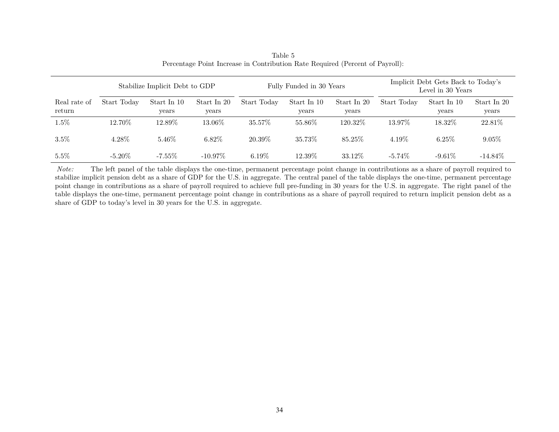|                        |             | Stabilize Implicit Debt to GDP |                      |             | Fully Funded in 30 Years |                      | Implicit Debt Gets Back to Today's<br>Level in 30 Years |                      |                      |  |
|------------------------|-------------|--------------------------------|----------------------|-------------|--------------------------|----------------------|---------------------------------------------------------|----------------------|----------------------|--|
| Real rate of<br>return | Start Today | Start In 10<br>years           | Start In 20<br>years | Start Today | Start In 10<br>years     | Start In 20<br>years | Start Today                                             | Start In 10<br>years | Start In 20<br>years |  |
| $1.5\%$                | 12.70%      | 12.89%                         | 13.06%               | 35.57%      | 55.86%                   | 120.32\%             | 13.97%                                                  | 18.32\%              | 22.81\%              |  |
| 3.5%                   | 4.28%       | 5.46\%                         | $6.82\%$             | 20.39\%     | 35.73%                   | 85.25\%              | 4.19%                                                   | $6.25\%$             | 9.05%                |  |
| $5.5\%$                | -5.20 $\%$  | $-7.55\%$                      | $-10.97\%$           | $6.19\%$    | $12.39\%$                | 33.12\%              | $-5.74\%$                                               | $-9.61\%$            | $-14.84\%$           |  |

Table <sup>5</sup>Percentage Point Increase in Contribution Rate Required (Percent of Payroll):

*Note:* The left pane<sup>l</sup> of the table displays the one-time, permanent percentage point change in contributions as <sup>a</sup> share of payroll required to stabilize implicit pension debt as <sup>a</sup> share of GDP for the U.S. in aggregate. The central panel of the table displays the one-time, permanent percentage point change in contributions as <sup>a</sup> share of payroll required to achieve full pre-funding in 30 years for the U.S. in aggregate. The right panel of the table displays the one-time, permanent percentage point change in contributions as <sup>a</sup> share of payroll required to return implicit pension debt as <sup>a</sup>share of GDP to today's level in 30 years for the U.S. in aggregate.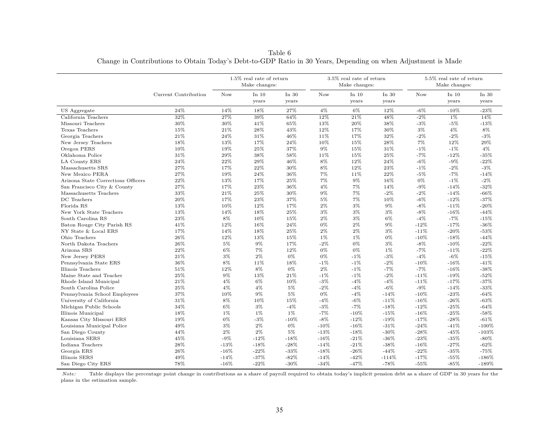Table <sup>6</sup>Change in Contributions to Obtain Today's Debt-to-GDP Ratio in 30 Years, Depending on when Adjustment is Made

|                                    |                      |        | $1.5\%$ real rate of return<br>Make changes: |         |        | 3.5% real rate of return<br>Make changes: |         | 5.5% real rate of return<br>Make changes: |         |         |
|------------------------------------|----------------------|--------|----------------------------------------------|---------|--------|-------------------------------------------|---------|-------------------------------------------|---------|---------|
|                                    | Current Contribution | Now    | In $10$                                      | In $30$ | Now    | In $10$                                   | In $30$ | <b>Now</b>                                | In $10$ | In $30$ |
|                                    |                      |        | vears                                        | years   |        | years                                     | years   |                                           | years   | years   |
| US Aggregate                       | 24%                  | 14%    | 18%                                          | 27%     | $4\%$  | 6%                                        | 12%     | $-6%$                                     | $-10%$  | $-23%$  |
| California Teachers                | 32%                  | 27%    | 39%                                          | 64%     | 12%    | 21%                                       | 48%     | $-2%$                                     | $1\%$   | 14%     |
| Missouri Teachers                  | 30%                  | $30\%$ | $41\%$                                       | 65%     | 13%    | 20%                                       | 38%     | $-3%$                                     | $-5%$   | $-13%$  |
| Texas Teachers                     | $15\%$               | 21%    | $28\%$                                       | 43%     | 12%    | 17%                                       | $30\%$  | $3\%$                                     | $4\%$   | $8\%$   |
| Georgia Teachers                   | 21%                  | 24%    | 31%                                          | 46%     | 11%    | 17%                                       | 32%     | $-2%$                                     | $-2%$   | $-3%$   |
| New Jersey Teachers                | 18%                  | 13%    | 17%                                          | 24%     | 10%    | 15%                                       | 28%     | 7%                                        | 12%     | 29%     |
| Oregon PERS                        | 10%                  | 19%    | 25%                                          | 37%     | 9%     | 15%                                       | 31%     | $-1%$                                     | $-1\%$  | $4\%$   |
| Oklahoma Police                    | 31\%                 | 29%    | 38%                                          | 58%     | 11%    | 15%                                       | 25%     | $-7%$                                     | $-12%$  | $-35%$  |
| LA County ERS                      | 24%                  | 22%    | 29%                                          | 46%     | 8%     | 12%                                       | 24%     | $-6%$                                     | $-9\%$  | $-22%$  |
| Massachusetts SRS                  | 27%                  | 17%    | 22%                                          | $30\%$  | 8%     | 12%                                       | 23%     | $-1%$                                     | $-2\%$  | $-3\%$  |
| New Mexico PERA                    | 27%                  | 19%    | 24%                                          | 36%     | 7%     | 11%                                       | 22%     | $-5%$                                     | $-7%$   | $-14%$  |
| Arizona State Corrections Officers | 22%                  | 13%    | 17%                                          | 25%     | 7%     | $9\%$                                     | 16%     | $0\%$                                     | $-1\%$  | $-2\%$  |
| San Francisco City & County        | 27%                  | 17%    | $23\%$                                       | 36%     | 4%     | 7%                                        | 14%     | $-9%$                                     | $-14%$  | $-32%$  |
| Massachusetts Teachers             | 33%                  | 21%    | 25%                                          | 30%     | 9%     | 7%                                        | $-2\%$  | $-2%$                                     | $-14%$  | $-66%$  |
| DC Teachers                        | 20%                  | 17%    | 23%                                          | 37%     | $5\%$  | $7\%$                                     | 10%     | $-6%$                                     | $-12%$  | $-37%$  |
| Florida RS                         | 13%                  | 10%    | 12%                                          | 17%     | 2%     | $3\%$                                     | 9%      | $-8%$                                     | $-11%$  | $-20%$  |
| New York State Teachers            | 13%                  | 14%    | 18%                                          | 25%     | 3%     | 3%                                        | 3%      | $-8%$                                     | $-16%$  | $-44%$  |
| South Carolina RS                  | 23%                  | 8%     | 10%                                          | 15%     | $2\%$  | $3\%$                                     | $6\%$   | $-4%$                                     | $-7%$   | $-15%$  |
| Baton Rouge City Parish RS         | 41%                  | 12%    | 16%                                          | 24%     | 0%     | $2\%$                                     | 9%      | $-12%$                                    | $-17%$  | $-36%$  |
| NY State & Local ERS               | 17%                  | 14%    | 18%                                          | 25%     | $2\%$  | $2\%$                                     | 3%      | $-11%$                                    | $-20%$  | $-53%$  |
| Ohio Teachers                      | 26%                  | 12%    | 13%                                          | 15%     | $1\%$  | $1\%$                                     | 0%      | $-10%$                                    | $-18%$  | $-44%$  |
| North Dakota Teachers              | 26%                  | 5%     | $9\%$                                        | 17%     | $-2%$  | $0\%$                                     | 3%      | $-8%$                                     | $-10\%$ | $-22%$  |
| Arizona SRS                        | 22%                  | 6%     | 7%                                           | 12%     | $0\%$  | 0%                                        | $1\%$   | $-7%$                                     | $-11%$  | $-22%$  |
| New Jersey PERS                    | 21%                  | $3\%$  | $2\%$                                        | $0\%$   | $0\%$  | $-1\%$                                    | $-3%$   | $-4%$                                     | $-6\%$  | $-15%$  |
| Pennsylvania State ERS             | 36%                  | 8%     | 11%                                          | 18%     | $-1%$  | $-1\%$                                    | $-2%$   | $-10%$                                    | $-16%$  | $-41%$  |
| Illinois Teachers                  | 51%                  | 12%    | 8%                                           | $0\%$   | $2\%$  | $-1\%$                                    | $-7%$   | $-7%$                                     | $-16%$  | $-38%$  |
| Maine State and Teacher            | 25%                  | 9%     | 13%                                          | 21%     | $-1%$  | $-1\%$                                    | $-2%$   | $-11%$                                    | $-19%$  | $-52\%$ |
| Rhode Island Municipal             | 21%                  | 4%     | 6%                                           | 10%     | $-3%$  | $-4%$                                     | $-4%$   | $-11%$                                    | $-17%$  | $-37%$  |
| South Carolina Police              | 25%                  | 4%     | $4\%$                                        | $5\%$   | $-2%$  | $-4\%$                                    | $-6\%$  | $-9%$                                     | $-14%$  | $-33%$  |
| Pennsylvania School Employees      | 37%                  | 10%    | 9%                                           | 5%      | 0%     | $-4%$                                     | $-14%$  | $-10%$                                    | $-23%$  | $-64%$  |
| University of California           | 31%                  | 8%     | 10%                                          | 15%     | $-4%$  | $-6\%$                                    | $-11%$  | $-16\%$                                   | $-26%$  | $-63%$  |
| Michigan Public Schools            | 34%                  | 6%     | $3\%$                                        | $-4%$   | $-3%$  | $-7%$                                     | $-18%$  | $-12%$                                    | $-25%$  | $-64%$  |
| Illinois Municipal                 | 18%                  | 1%     | $1\%$                                        | 1%      | $-7%$  | $-10%$                                    | $-15%$  | $-16%$                                    | $-25%$  | $-58%$  |
| Kansas City Missouri ERS           | 19%                  | 0%     | $-3%$                                        | $-10%$  | $-8\%$ | $-12%$                                    | $-19%$  | $-17%$                                    | $-28%$  | $-61%$  |
| Louisiana Municipal Police         | 49%                  | 3%     | $2\%$                                        | $0\%$   | $-10%$ | $-16%$                                    | $-31%$  | $-24%$                                    | $-41%$  | $-100%$ |
| San Diego County                   | 44%                  | $2\%$  | $2\%$                                        | $5\%$   | $-13%$ | $-18%$                                    | $-30\%$ | $-28%$                                    | $-45%$  | $-103%$ |
| Louisiana SERS                     | 45%                  | $-9\%$ | $-12%$                                       | $-18%$  | $-16%$ | $-21%$                                    | $-36%$  | $-23%$                                    | $-35%$  | $-80\%$ |
| Indiana Teachers                   | 28%                  | $-13%$ | $-18%$                                       | $-28%$  | $-14%$ | $-21%$                                    | $-38%$  | $-16%$                                    | $-27%$  | $-62%$  |
| Georgia ERS                        | 26%                  | $-16%$ | $-22%$                                       | $-33%$  | $-18%$ | $-26%$                                    | $-44%$  | $-22%$                                    | $-35%$  | $-75%$  |
| Illinois SERS                      | 49%                  | $-14%$ | $-37%$                                       | $-82%$  | $-14%$ | $-42%$                                    | $-114%$ | $-17%$                                    | $-55%$  | $-186%$ |
| San Diego City ERS                 | 78%                  | $-16%$ | $-22%$                                       | $-30\%$ | $-34%$ | $-47%$                                    | $-78%$  | $-55%$                                    | $-85%$  | $-189%$ |

*Note:* Table displays the percentage point change in contributions as <sup>a</sup> share of payroll required to obtain today's implicit pension debt as <sup>a</sup> share of GDP in <sup>30</sup> years for the plans in the estimation sample.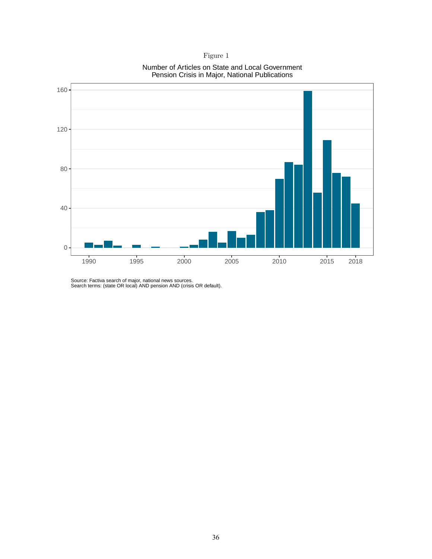#### Number of Articles on State and Local Government Pension Crisis in Major, National Publications



Source: Factiva search of major, national news sources. Search terms: (state OR local) AND pension AND (crisis OR default).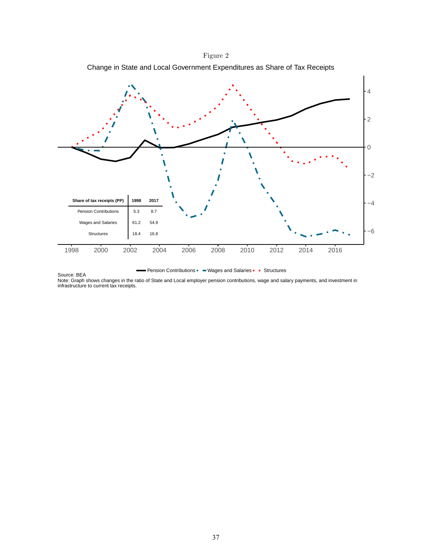

Figure 2 Change in State and Local Government Expenditures as Share of Tax Receipts

**Pension Contributions - Wages and Salaries - Structures** 

Source: BEA Note: Graph shows changes in the ratio of State and Local employer pension contributions, wage and salary payments, and investment in infrastructure to current tax receipts.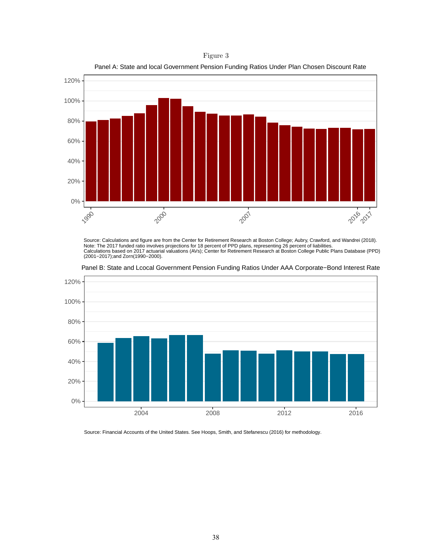Figure 3 Panel A: State and local Government Pension Funding Ratios Under Plan Chosen Discount Rate



Source: Calculations and figure are from the Center for Retirement Research at Boston College; Aubry, Crawford, and Wandrei (2018). Note: The 2017 funded ratio involves projections for 18 percent of PPD plans, representing 26 percent of liabilities.<br>Calculations based on 2017 actuarial valuations (AVs); Center for Retirement Research at Boston College



Panel B: State and Lcocal Government Pension Funding Ratios Under AAA Corporate−Bond Interest Rate

Source: Financial Accounts of the United States. See Hoops, Smith, and Stefanescu (2016) for methodology.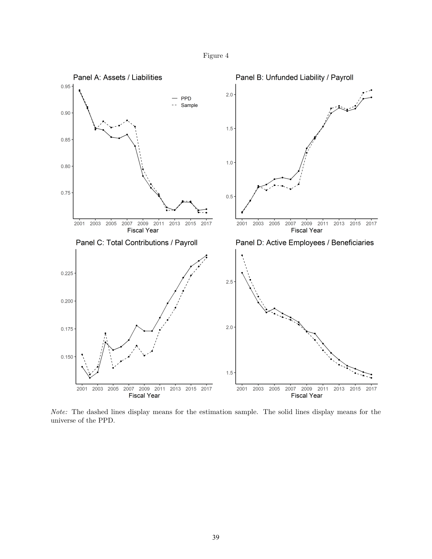



*Note:* The dashed lines display means for the estimation sample. The solid lines display means for the universe of the PPD.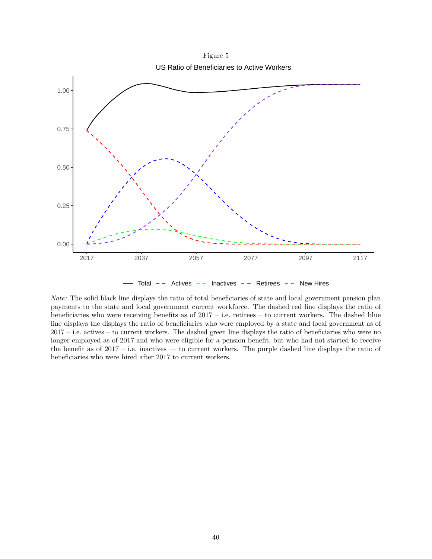Figure 5 US Ratio of Beneficiaries to Active Workers



*Note:* The solid black line displays the ratio of total beneficiaries of state and local government pension plan payments to the state and local government current workforce. The dashed red line displays the ratio of beneficiaries who were receiving benefits as of  $2017 - i.e.$  retirees – to current workers. The dashed blue line displays the displays the ratio of beneficiaries who were employed by a state and local government as of 2017 – i.e. actives – to current workers. The dashed green line displays the ratio of beneficiaries who were no longer employed as of 2017 and who were eligible for a pension benefit, but who had not started to receive the benefit as of  $2017$  – i.e. inactives — to current workers. The purple dashed line displays the ratio of beneficiaries who were hired after 2017 to current workers.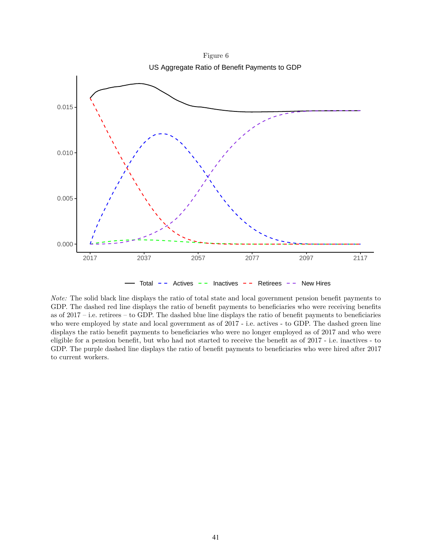

*Note:* The solid black line displays the ratio of total state and local government pension benefit payments to GDP. The dashed red line displays the ratio of benefit payments to beneficiaries who were receiving benefits as of 2017 – i.e. retirees – to GDP. The dashed blue line displays the ratio of benefit payments to beneficiaries who were employed by state and local government as of 2017 - i.e. actives - to GDP. The dashed green line displays the ratio benefit payments to beneficiaries who were no longer employed as of 2017 and who were eligible for a pension benefit, but who had not started to receive the benefit as of 2017 - i.e. inactives - to GDP. The purple dashed line displays the ratio of benefit payments to beneficiaries who were hired after 2017 to current workers.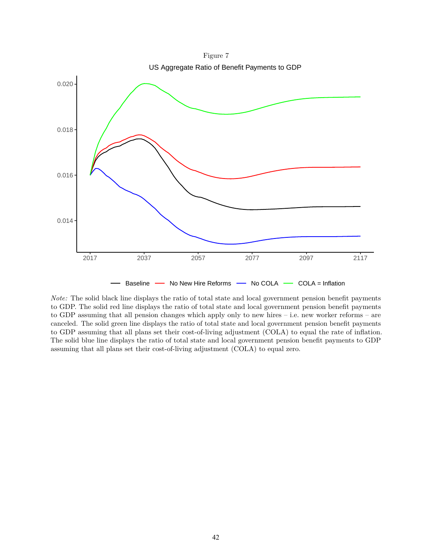Figure 7 US Aggregate Ratio of Benefit Payments to GDP



*Note:* The solid black line displays the ratio of total state and local government pension benefit payments to GDP. The solid red line displays the ratio of total state and local government pension benefit payments to GDP assuming that all pension changes which apply only to new hires – i.e. new worker reforms – are canceled. The solid green line displays the ratio of total state and local government pension benefit payments to GDP assuming that all plans set their cost-of-living adjustment (COLA) to equal the rate of inflation. The solid blue line displays the ratio of total state and local government pension benefit payments to GDP assuming that all plans set their cost-of-living adjustment (COLA) to equal zero.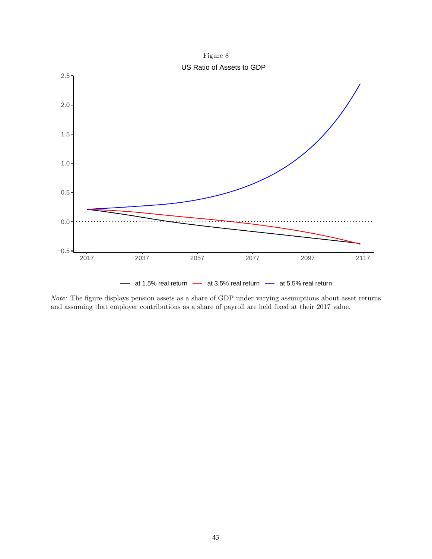



*Note:* The figure displays pension assets as a share of GDP under varying assumptions about asset returns and assuming that employer contributions as a share of payroll are held fixed at their 2017 value.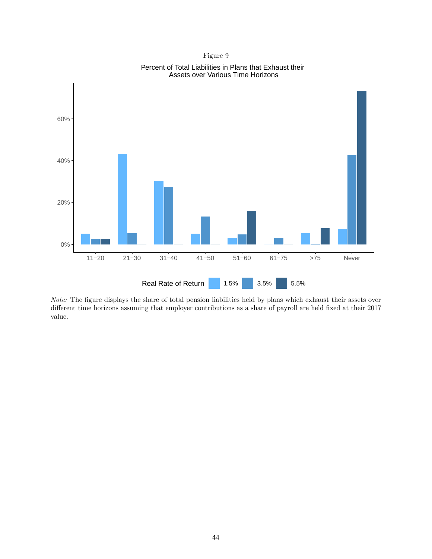



Percent of Total Liabilities in Plans that Exhaust their Assets over Various Time Horizons

*Note:* The figure displays the share of total pension liabilities held by plans which exhaust their assets over different time horizons assuming that employer contributions as a share of payroll are held fixed at their 2017 value.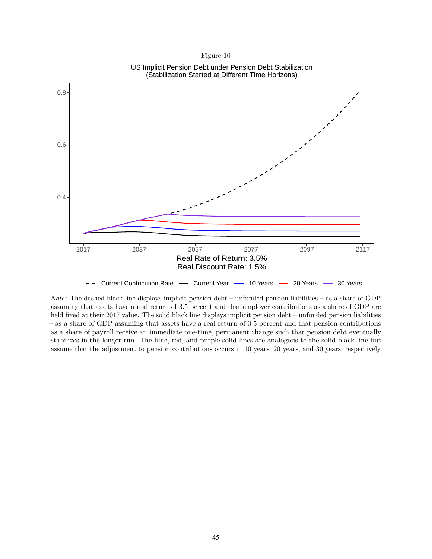

*Note:* The dashed black line displays implicit pension debt – unfunded pension liabilities – as a share of GDP assuming that assets have a real return of 3.5 percent and that employer contributions as a share of GDP are held fixed at their 2017 value. The solid black line displays implicit pension debt – unfunded pension liabilities – as a share of GDP assuming that assets have a real return of 3.5 percent and that pension contributions as a share of payroll receive an immediate one-time, permanent change such that pension debt eventually stabilizes in the longer-run. The blue, red, and purple solid lines are analogous to the solid black line but assume that the adjustment to pension contributions occurs in 10 years, 20 years, and 30 years, respectively.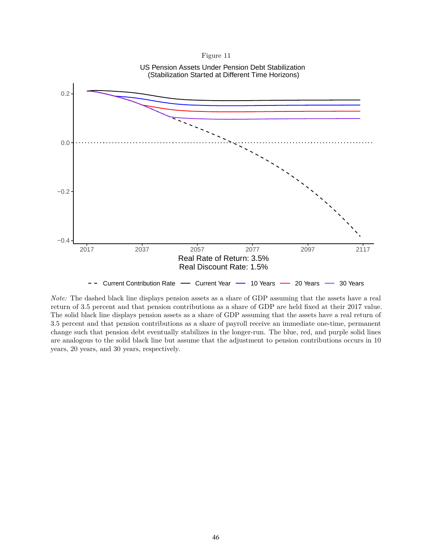



*Note:* The dashed black line displays pension assets as a share of GDP assuming that the assets have a real return of 3.5 percent and that pension contributions as a share of GDP are held fixed at their 2017 value. The solid black line displays pension assets as a share of GDP assuming that the assets have a real return of 3.5 percent and that pension contributions as a share of payroll receive an immediate one-time, permanent change such that pension debt eventually stabilizes in the longer-run. The blue, red, and purple solid lines are analogous to the solid black line but assume that the adjustment to pension contributions occurs in 10 years, 20 years, and 30 years, respectively.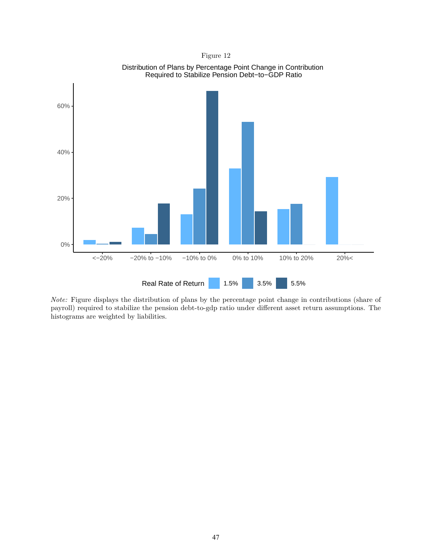

Distribution of Plans by Percentage Point Change in Contribution

*Note:* Figure displays the distribution of plans by the percentage point change in contributions (share of payroll) required to stabilize the pension debt-to-gdp ratio under different asset return assumptions. The histograms are weighted by liabilities.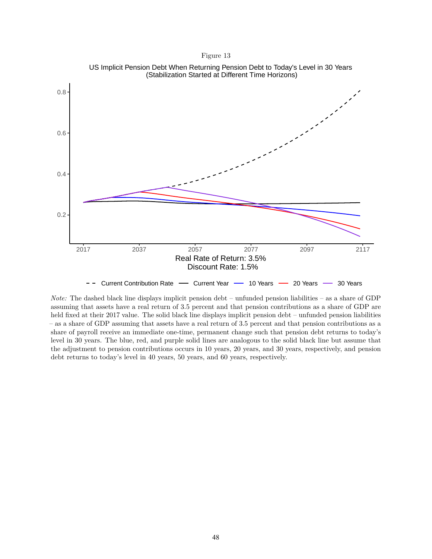

US Implicit Pension Debt When Returning Pension Debt to Today's Level in 30 Years (Stabilization Started at Different Time Horizons)

*Note:* The dashed black line displays implicit pension debt – unfunded pension liabilities – as a share of GDP assuming that assets have a real return of 3.5 percent and that pension contributions as a share of GDP are held fixed at their 2017 value. The solid black line displays implicit pension debt – unfunded pension liabilities – as a share of GDP assuming that assets have a real return of 3.5 percent and that pension contributions as a share of payroll receive an immediate one-time, permanent change such that pension debt returns to today's level in 30 years. The blue, red, and purple solid lines are analogous to the solid black line but assume that the adjustment to pension contributions occurs in 10 years, 20 years, and 30 years, respectively, and pension debt returns to today's level in 40 years, 50 years, and 60 years, respectively.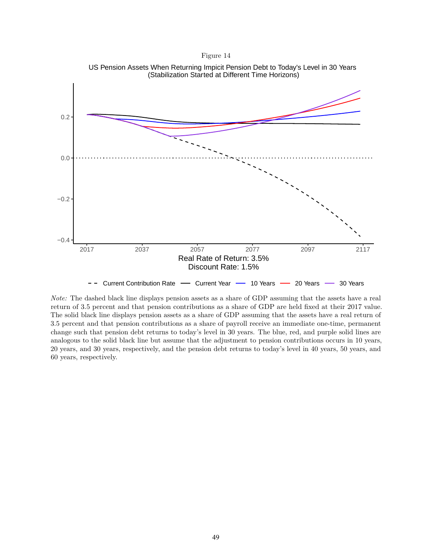



*Note:* The dashed black line displays pension assets as a share of GDP assuming that the assets have a real return of 3.5 percent and that pension contributions as a share of GDP are held fixed at their 2017 value. The solid black line displays pension assets as a share of GDP assuming that the assets have a real return of 3.5 percent and that pension contributions as a share of payroll receive an immediate one-time, permanent change such that pension debt returns to today's level in 30 years. The blue, red, and purple solid lines are analogous to the solid black line but assume that the adjustment to pension contributions occurs in 10 years, 20 years, and 30 years, respectively, and the pension debt returns to today's level in 40 years, 50 years, and 60 years, respectively.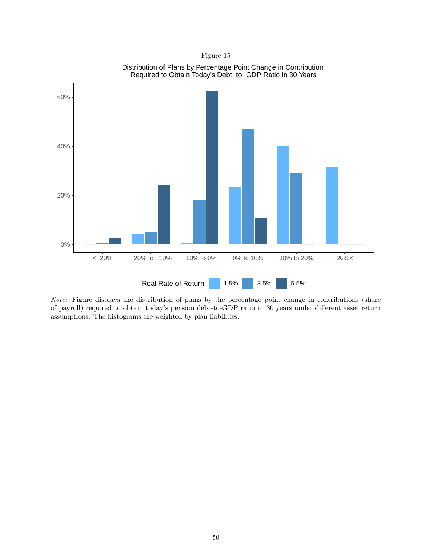

*Note:* Figure displays the distribution of plans by the percentage point change in contributions (share of payroll) required to obtain today's pension debt-to-GDP ratio in 30 years under different asset return assumptions. The histograms are weighted by plan liabilities.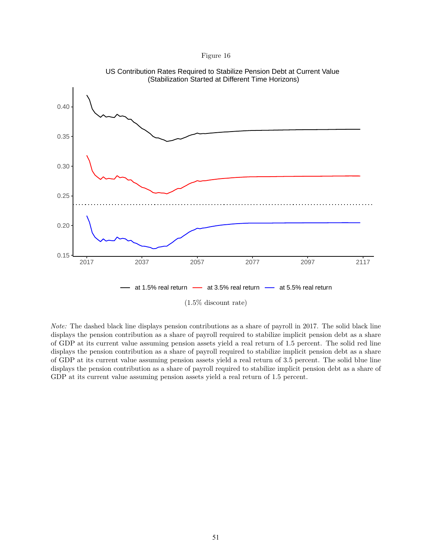



*Note:* The dashed black line displays pension contributions as a share of payroll in 2017. The solid black line displays the pension contribution as a share of payroll required to stabilize implicit pension debt as a share of GDP at its current value assuming pension assets yield a real return of 1.5 percent. The solid red line displays the pension contribution as a share of payroll required to stabilize implicit pension debt as a share of GDP at its current value assuming pension assets yield a real return of 3.5 percent. The solid blue line displays the pension contribution as a share of payroll required to stabilize implicit pension debt as a share of GDP at its current value assuming pension assets yield a real return of 1.5 percent.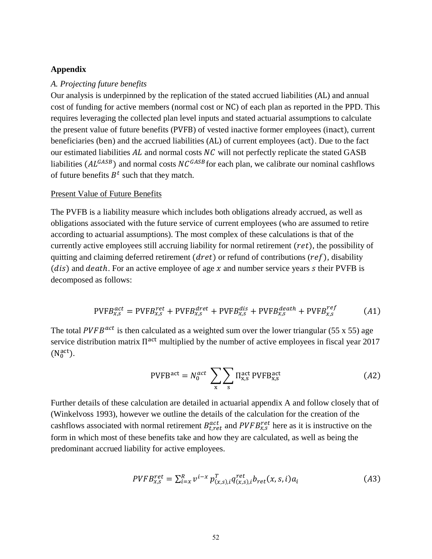### **Appendix**

### *A. Projecting future benefits*

Our analysis is underpinned by the replication of the stated accrued liabilities (AL) and annual cost of funding for active members (normal cost or NC) of each plan as reported in the PPD. This requires leveraging the collected plan level inputs and stated actuarial assumptions to calculate the present value of future benefits (PVFB) of vested inactive former employees (inact), current beneficiaries (ben) and the accrued liabilities (AL) of current employees (act). Due to the fact our estimated liabilities  $AL$  and normal costs  $NC$  will not perfectly replicate the stated GASB liabilities ( $AL^{GASB}$ ) and normal costs  $NC^{GASB}$  for each plan, we calibrate our nominal cashflows of future benefits  $B<sup>t</sup>$  such that they match.

### Present Value of Future Benefits

The PVFB is a liability measure which includes both obligations already accrued, as well as obligations associated with the future service of current employees (who are assumed to retire according to actuarial assumptions). The most complex of these calculations is that of the currently active employees still accruing liability for normal retirement  $(ret)$ , the possibility of quitting and claiming deferred retirement ( $dret$ ) or refund of contributions ( $ref$ ), disability (*dis*) and *death*. For an active employee of age  $x$  and number service years s their PVFB is decomposed as follows:

$$
PVFB_{x,s}^{act} = PVFB_{x,s}^{ret} + PVFB_{x,s}^{dret} + PVFB_{x,s}^{dis} + PVFB_{x,s}^{death} + PVFB_{x,s}^{ref}
$$
 (A1)

The total PVFB<sup>act</sup> is then calculated as a weighted sum over the lower triangular (55 x 55) age service distribution matrix  $\Pi^{\text{act}}$  multiplied by the number of active employees in fiscal year 2017  $(N_0^{\text{act}})$ .

$$
PVFBact = N0act \sum_{x} \sum_{s} \Pi_{x,s}^{act} PVFB_{x,s}^{act}
$$
 (A2)

Further details of these calculation are detailed in actuarial appendix A and follow closely that of (Winkelvoss 1993), however we outline the details of the calculation for the creation of the cashflows associated with normal retirement  $B_{t,ret}^{act}$  and  $PVFB_{x,s}^{ret}$  here as it is instructive on the form in which most of these benefits take and how they are calculated, as well as being the predominant accrued liability for active employees.

$$
PVFB_{x,s}^{ret} = \sum_{i=x}^{R} v^{i-x} p_{(x,s),i}^{T} q_{(x,s),i}^{ret} b_{ret}(x,s,i) a_i
$$
 (A3)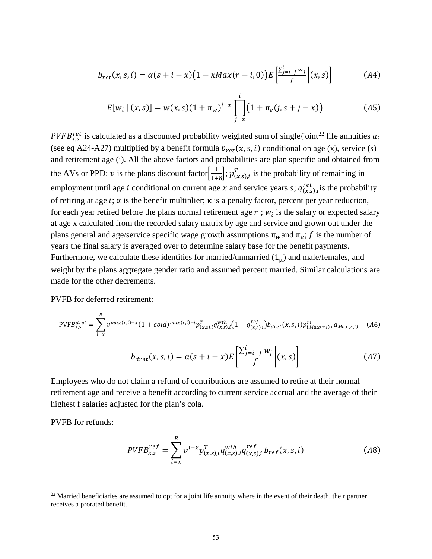$$
b_{ret}(x,s,i) = \alpha(s+i-x)\big(1-\kappa M a x(r-i,0)\big) \mathbf{E}\left[\frac{\sum_{j=i-f}^{i} w_j}{f}\right](x,s)\right] \tag{A4}
$$

$$
E[w_i | (x, s)] = w(x, s)(1 + \pi_w)^{i-x} \prod_{j=x}^{i} (1 + \pi_e(j, s + j - x))
$$
 (A5)

PVFB<sup>ret</sup> is calculated as a discounted probability weighted sum of single/joint<sup>[22](#page-52-0)</sup> life annuities  $a_i$ (see eq A24-A27) multiplied by a benefit formula  $b_{ret}(x, s, i)$  conditional on age (x), service (s) and retirement age (i). All the above factors and probabilities are plan specific and obtained from the AVs or PPD:  $v$  is the plans discount factor  $\left[\frac{1}{1+\delta}\right]$ ;  $p_{(x,s),i}^T$  is the probability of remaining in employment until age *i* conditional on current age *x* and service years *s*;  $q_{(x,s),i}^{ret}$  is the probability of retiring at age  $i$ ;  $\alpha$  is the benefit multiplier;  $\kappa$  is a penalty factor, percent per year reduction, for each year retired before the plans normal retirement age  $r$ ;  $w_i$  is the salary or expected salary at age x calculated from the recorded salary matrix by age and service and grown out under the plans general and age/service specific wage growth assumptions  $\pi_w$  and  $\pi_e$ ; f is the number of years the final salary is averaged over to determine salary base for the benefit payments. Furthermore, we calculate these identities for married/unmarried  $(1<sub>\mu</sub>)$  and male/females, and weight by the plans aggregate gender ratio and assumed percent married. Similar calculations are made for the other decrements.

PVFB for deferred retirement:

$$
PVFB_{x,s}^{dret} = \sum_{i=x}^{R} v^{max(r,i)-x} (1 + cola)^{max(r,i)-i} p_{(x,s),i}^{T} q_{(x,s),i}^{wth} (1 - q_{(x,s),i}^{ref}) b_{dret}(x,s,i) p_{i,Max(r,i)}^{m}, a_{Max(r,i)} \quad (A6)
$$

$$
b_{dret}(x,s,i) = \alpha(s+i-x) E\left[\frac{\sum_{j=i-f}^{i} w_j}{f}\right](x,s)
$$
(A7)

Employees who do not claim a refund of contributions are assumed to retire at their normal retirement age and receive a benefit according to current service accrual and the average of their highest f salaries adjusted for the plan's cola.

PVFB for refunds:

$$
PVFB_{x,s}^{ref} = \sum_{i=x}^{R} v^{i-x} p_{(x,s),i}^T q_{(x,s),i}^{wth} q_{(x,s),i}^{ref} b_{ref}(x,s,i)
$$
 (A8)

<span id="page-52-0"></span><sup>22</sup> Married beneficiaries are assumed to opt for a joint life annuity where in the event of their death, their partner receives a prorated benefit.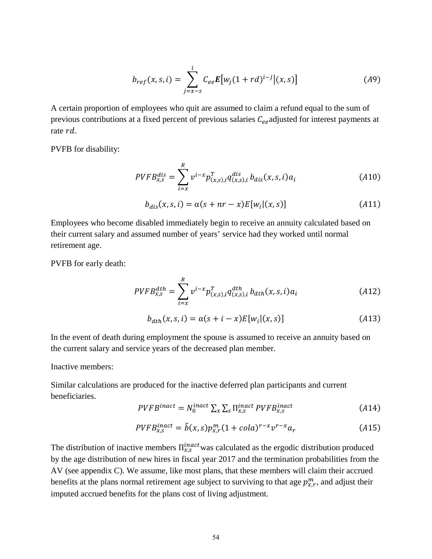$$
b_{ref}(x, s, i) = \sum_{j=x-s}^{i} C_{ee} E[w_j (1 + rd)^{i-j}](x, s)] \tag{A9}
$$

A certain proportion of employees who quit are assumed to claim a refund equal to the sum of previous contributions at a fixed percent of previous salaries  $C_{ee}$  adjusted for interest payments at rate  $rd$ .

PVFB for disability:

$$
PVFB_{x,s}^{dis} = \sum_{i=x}^{R} v^{i-x} p_{(x,s),i}^{T} q_{(x,s),i}^{dis} b_{dis}(x,s,i) a_i
$$
 (A10)

$$
b_{dis}(x,s,i) = \alpha(s+nr-x)E[w_i|(x,s)] \qquad (A11)
$$

Employees who become disabled immediately begin to receive an annuity calculated based on their current salary and assumed number of years' service had they worked until normal retirement age.

PVFB for early death:

$$
PVFB_{x,s}^{dth} = \sum_{i=x}^{R} v^{i-x} p_{(x,s),i}^{T} q_{(x,s),i}^{dth} b_{dth}(x,s,i) a_i
$$
 (A12)

$$
b_{dth}(x, s, i) = \alpha(s + i - x)E[w_i|(x, s)] \qquad (A13)
$$

In the event of death during employment the spouse is assumed to receive an annuity based on the current salary and service years of the decreased plan member.

Inactive members:

Similar calculations are produced for the inactive deferred plan participants and current beneficiaries.

$$
PVFB^{inact} = N_0^{inact} \sum_{x} \sum_{s} \prod_{x,s}^{inact} PVFB_{x,s}^{inact}
$$
 (A14)

$$
PVFB_{x,s}^{inact} = \tilde{b}(x,s)p_{x,r}^m(1+cola)^{r-x}v^{r-x}a_r
$$
\n
$$
(A15)
$$

The distribution of inactive members  $\Pi_{x,s}^{inact}$  was calculated as the ergodic distribution produced by the age distribution of new hires in fiscal year 2017 and the termination probabilities from the AV (see appendix C). We assume, like most plans, that these members will claim their accrued benefits at the plans normal retirement age subject to surviving to that age  $p_{x,r}^m$ , and adjust their imputed accrued benefits for the plans cost of living adjustment.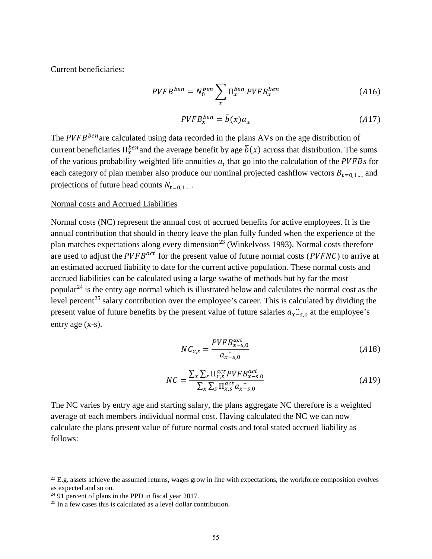Current beneficiaries:

$$
PVFB^{ben} = N_0^{ben} \sum_{x} \Pi_x^{ben} PVFB_x^{ben}
$$
 (A16)

$$
PVFB_x^{ben} = \bar{b}(x)a_x \tag{A17}
$$

The  $PVFB^{ben}$  are calculated using data recorded in the plans AVs on the age distribution of current beneficiaries  $\Pi_x^{ben}$  and the average benefit by age  $b(x)$  across that distribution. The sums of the various probability weighted life annuities  $a_i$  that go into the calculation of the PVFBs for each category of plan member also produce our nominal projected cashflow vectors  $B_{t=0,1}$  and projections of future head counts  $N_{t=0,1}$ ...

### Normal costs and Accrued Liabilities

Normal costs (NC) represent the annual cost of accrued benefits for active employees. It is the annual contribution that should in theory leave the plan fully funded when the experience of the plan matches expectations along every dimension<sup>23</sup> (Winkelvoss 1993). Normal costs therefore are used to adjust the  $PVFB^{act}$  for the present value of future normal costs ( $PVFNC$ ) to arrive at an estimated accrued liability to date for the current active population. These normal costs and accrued liabilities can be calculated using a large swathe of methods but by far the most popular<sup>[24](#page-54-1)</sup> is the entry age normal which is illustrated below and calculates the normal cost as the level percent<sup>[25](#page-54-2)</sup> salary contribution over the employee's career. This is calculated by dividing the present value of future benefits by the present value of future salaries  $a_{x-s,0}$  at the employee's entry age (x-s).

$$
NC_{x,s} = \frac{PVFB_{x-s,0}^{act}}{a_{x-s,0}}\tag{A18}
$$

$$
NC = \frac{\sum_{x} \sum_{s} \prod_{x,s}^{act} PVFB_{x-s,0}^{act}}{\sum_{x} \sum_{s} \prod_{x,s}^{act} a_{x-s,0}}
$$
(A19)

The NC varies by entry age and starting salary, the plans aggregate NC therefore is a weighted average of each members individual normal cost. Having calculated the NC we can now calculate the plans present value of future normal costs and total stated accrued liability as follows:

<span id="page-54-0"></span> $23$  E.g. assets achieve the assumed returns, wages grow in line with expectations, the workforce composition evolves as expected and so on.<br> $24\,91$  percent of plans in the PPD in fiscal year 2017.

<span id="page-54-1"></span>

<span id="page-54-2"></span> $25$  In a few cases this is calculated as a level dollar contribution.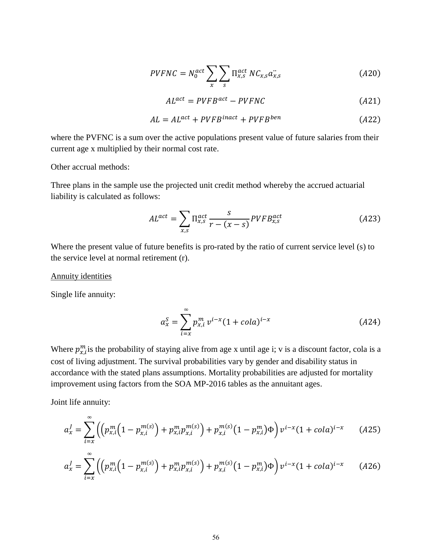$$
PVFNC = N_0^{act} \sum_{x} \sum_{s} \Pi_{x,s}^{act} NC_{x,s} a_{x,s}^{\cdot \cdot}
$$
 (A20)

$$
AL^{act} = PVFB^{act} - PVFNC \tag{A21}
$$

$$
AL = AL^{act} + PVFB^{inact} + PVFB^{ben}
$$
 (A22)

where the PVFNC is a sum over the active populations present value of future salaries from their current age x multiplied by their normal cost rate.

Other accrual methods:

Three plans in the sample use the projected unit credit method whereby the accrued actuarial liability is calculated as follows:

$$
AL^{act} = \sum_{x,s} \prod_{x,s}^{act} \frac{s}{r - (x - s)} PVFB_{x,s}^{act}
$$
 (A23)

Where the present value of future benefits is pro-rated by the ratio of current service level (s) to the service level at normal retirement (r).

### Annuity identities

Single life annuity:

$$
a_x^S = \sum_{i=x}^{\infty} p_{x,i}^m v^{i-x} (1 + cola)^{i-x}
$$
 (A24)

Where  $p_{x,i}^m$  is the probability of staying alive from age x until age i; v is a discount factor, cola is a cost of living adjustment. The survival probabilities vary by gender and disability status in accordance with the stated plans assumptions. Mortality probabilities are adjusted for mortality improvement using factors from the SOA MP-2016 tables as the annuitant ages.

Joint life annuity:

∞

$$
a_x^J = \sum_{i=x} \left( \left( p_{x,i}^m \left( 1 - p_{x,i}^{m(s)} \right) + p_{x,i}^m p_{x,i}^{m(s)} \right) + p_{x,i}^{m(s)} \left( 1 - p_{x,i}^m \right) \Phi \right) v^{i-x} (1 + \text{cola})^{i-x} \tag{A25}
$$

$$
a_x^j = \sum_{i=x}^{\infty} \left( \left( p_{x,i}^m \left( 1 - p_{x,i}^{m(s)} \right) + p_{x,i}^m p_{x,i}^{m(s)} \right) + p_{x,i}^{m(s)} \left( 1 - p_{x,i}^m \right) \Phi \right) v^{i-x} (1 + \text{cola})^{i-x} \tag{A26}
$$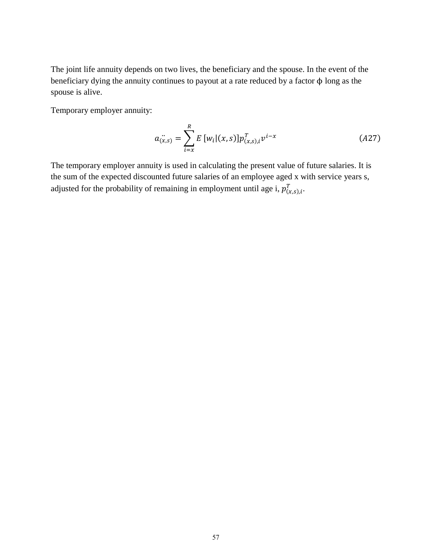The joint life annuity depends on two lives, the beneficiary and the spouse. In the event of the beneficiary dying the annuity continues to payout at a rate reduced by a factor ϕ long as the spouse is alive.

Temporary employer annuity:

$$
a_{(x,s)}^{\cdot \cdot \cdot} = \sum_{i=x}^{R} E\left[w_i|(x,s)\right] p_{(x,s),i}^T v^{i-x}
$$
 (A27)

The temporary employer annuity is used in calculating the present value of future salaries. It is the sum of the expected discounted future salaries of an employee aged x with service years s, adjusted for the probability of remaining in employment until age i,  $p_{(x,s),i}^T$ .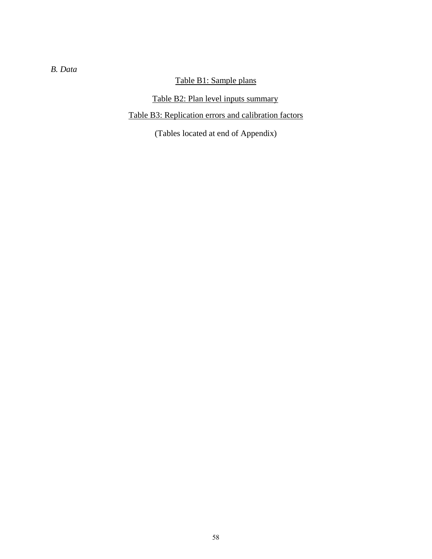# *B. Data*

# Table B1: Sample plans

# Table B2: Plan level inputs summary

# Table B3: Replication errors and calibration factors

(Tables located at end of Appendix)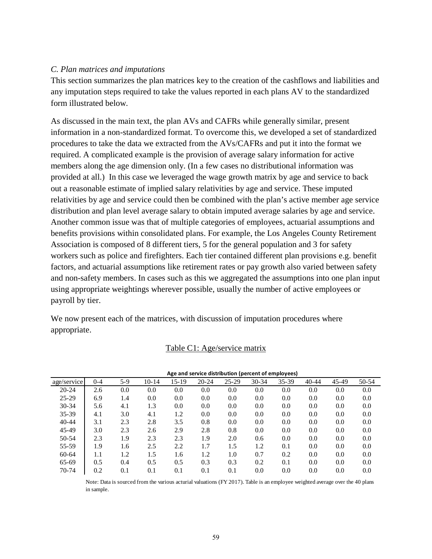## *C. Plan matrices and imputations*

This section summarizes the plan matrices key to the creation of the cashflows and liabilities and any imputation steps required to take the values reported in each plans AV to the standardized form illustrated below.

As discussed in the main text, the plan AVs and CAFRs while generally similar, present information in a non-standardized format. To overcome this, we developed a set of standardized procedures to take the data we extracted from the AVs/CAFRs and put it into the format we required. A complicated example is the provision of average salary information for active members along the age dimension only. (In a few cases no distributional information was provided at all.) In this case we leveraged the wage growth matrix by age and service to back out a reasonable estimate of implied salary relativities by age and service. These imputed relativities by age and service could then be combined with the plan's active member age service distribution and plan level average salary to obtain imputed average salaries by age and service. Another common issue was that of multiple categories of employees, actuarial assumptions and benefits provisions within consolidated plans. For example, the Los Angeles County Retirement Association is composed of 8 different tiers, 5 for the general population and 3 for safety workers such as police and firefighters. Each tier contained different plan provisions e.g. benefit factors, and actuarial assumptions like retirement rates or pay growth also varied between safety and non-safety members. In cases such as this we aggregated the assumptions into one plan input using appropriate weightings wherever possible, usually the number of active employees or payroll by tier.

We now present each of the matrices, with discussion of imputation procedures where appropriate.

| Age and service distribution (percent of employees) |         |     |         |       |           |           |           |       |           |       |       |
|-----------------------------------------------------|---------|-----|---------|-------|-----------|-----------|-----------|-------|-----------|-------|-------|
| age/service                                         | $0 - 4$ | 5-9 | $10-14$ | 15-19 | $20 - 24$ | $25 - 29$ | $30 - 34$ | 35-39 | $40 - 44$ | 45-49 | 50-54 |
| $20 - 24$                                           | 2.6     | 0.0 | 0.0     | 0.0   | 0.0       | 0.0       | 0.0       | 0.0   | 0.0       | 0.0   | 0.0   |
| $25 - 29$                                           | 6.9     | 1.4 | 0.0     | 0.0   | 0.0       | 0.0       | 0.0       | 0.0   | 0.0       | 0.0   | 0.0   |
| $30 - 34$                                           | 5.6     | 4.1 | 1.3     | 0.0   | 0.0       | 0.0       | 0.0       | 0.0   | 0.0       | 0.0   | 0.0   |
| 35-39                                               | 4.1     | 3.0 | 4.1     | 1.2   | 0.0       | 0.0       | 0.0       | 0.0   | 0.0       | 0.0   | 0.0   |
| $40 - 44$                                           | 3.1     | 2.3 | 2.8     | 3.5   | 0.8       | 0.0       | 0.0       | 0.0   | 0.0       | 0.0   | 0.0   |
| 45-49                                               | 3.0     | 2.3 | 2.6     | 2.9   | 2.8       | 0.8       | 0.0       | 0.0   | 0.0       | 0.0   | 0.0   |
| 50-54                                               | 2.3     | 1.9 | 2.3     | 2.3   | 1.9       | 2.0       | 0.6       | 0.0   | 0.0       | 0.0   | 0.0   |
| 55-59                                               | 1.9     | 1.6 | 2.5     | 2.2   | 1.7       | 1.5       | 1.2       | 0.1   | 0.0       | 0.0   | 0.0   |
| 60-64                                               | 1.1     | 1.2 | 1.5     | 1.6   | 1.2       | 1.0       | 0.7       | 0.2   | 0.0       | 0.0   | 0.0   |
| 65-69                                               | 0.5     | 0.4 | 0.5     | 0.5   | 0.3       | 0.3       | 0.2       | 0.1   | 0.0       | 0.0   | 0.0   |
| 70-74                                               | 0.2     | 0.1 | 0.1     | 0.1   | 0.1       | 0.1       | 0.0       | 0.0   | 0.0       | 0.0   | 0.0   |

### Table C1: Age/service matrix

Note: Data is sourced from the various acturial valuations (FY 2017). Table is an employee weighted average over the 40 plans in sample.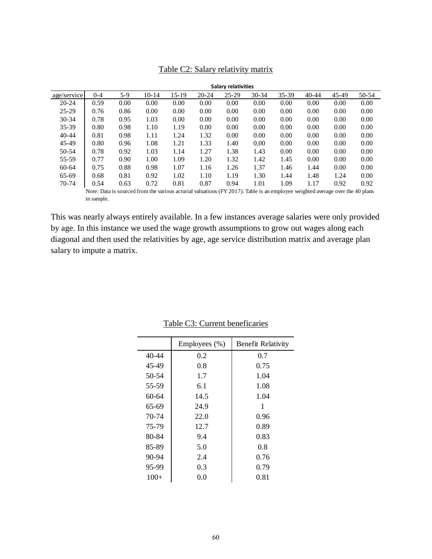| <b>Salary relativities</b> |            |      |                                                                                                                               |         |           |           |           |           |           |           |       |
|----------------------------|------------|------|-------------------------------------------------------------------------------------------------------------------------------|---------|-----------|-----------|-----------|-----------|-----------|-----------|-------|
| age/service                | $0 - 4$    | 5-9  | $10-14$                                                                                                                       | $15-19$ | $20 - 24$ | $25 - 29$ | $30 - 34$ | $35 - 39$ | $40 - 44$ | $45 - 49$ | 50-54 |
| $20 - 24$                  | 0.59       | 0.00 | 0.00                                                                                                                          | 0.00    | 0.00      | 0.00      | 0.00      | 0.00      | 0.00      | 0.00      | 0.00  |
| $25 - 29$                  | 0.76       | 0.86 | 0.00                                                                                                                          | 0.00    | 0.00      | 0.00      | 0.00      | 0.00      | 0.00      | 0.00      | 0.00  |
| $30-34$                    | 0.78       | 0.95 | 1.03                                                                                                                          | 0.00    | 0.00      | 0.00      | 0.00      | 0.00      | 0.00      | 0.00      | 0.00  |
| $35 - 39$                  | 0.80       | 0.98 | 1.10                                                                                                                          | 1.19    | 0.00      | 0.00      | 0.00      | 0.00      | 0.00      | 0.00      | 0.00  |
| $40 - 44$                  | 0.81       | 0.98 | 1.11                                                                                                                          | 1.24    | 1.32      | 0.00      | 0.00      | 0.00      | 0.00      | 0.00      | 0.00  |
| 45-49                      | 0.80       | 0.96 | 1.08                                                                                                                          | 1.21    | 1.33      | 1.40      | 0.00      | 0.00      | 0.00      | 0.00      | 0.00  |
| 50-54                      | 0.78       | 0.92 | 1.03                                                                                                                          | 1.14    | 1.27      | 1.38      | 1.43      | 0.00      | 0.00      | 0.00      | 0.00  |
| 55-59                      | 0.77       | 0.90 | 1.00                                                                                                                          | 1.09    | 1.20      | 1.32      | 1.42      | 1.45      | 0.00      | 0.00      | 0.00  |
| 60-64                      | 0.75       | 0.88 | 0.98                                                                                                                          | 1.07    | 1.16      | 1.26      | 1.37      | 1.46      | 1.44      | 0.00      | 0.00  |
| 65-69                      | 0.68       | 0.81 | 0.92                                                                                                                          | 1.02    | 1.10      | 1.19      | 1.30      | 1.44      | 1.48      | 1.24      | 0.00  |
| 70-74                      | 0.54       | 0.63 | 0.72                                                                                                                          | 0.81    | 0.87      | 0.94      | 1.01      | 1.09      | 1.17      | 0.92      | 0.92  |
|                            |            |      | Note: Data is sourced from the various acturial valuations (FY 2017). Table is an employee weighted average over the 40 plans |         |           |           |           |           |           |           |       |
|                            | in sample. |      |                                                                                                                               |         |           |           |           |           |           |           |       |

## Table C2: Salary relativity matrix

This was nearly always entirely available. In a few instances average salaries were only provided by age. In this instance we used the wage growth assumptions to grow out wages along each diagonal and then used the relativities by age, age service distribution matrix and average plan salary to impute a matrix.

|           | Employees (%) | <b>Benefit Relativity</b> |
|-----------|---------------|---------------------------|
| $40 - 44$ | 0.2           | 0.7                       |
| 45-49     | 0.8           | 0.75                      |
| 50-54     | 1.7           | 1.04                      |
| 55-59     | 6.1           | 1.08                      |
| 60-64     | 14.5          | 1.04                      |
| 65-69     | 24.9          | 1                         |
| 70-74     | 22.0          | 0.96                      |
| 75-79     | 12.7          | 0.89                      |
| 80-84     | 9.4           | 0.83                      |
| 85-89     | 5.0           | 0.8                       |
| 90-94     | 2.4           | 0.76                      |
| 95-99     | 0.3           | 0.79                      |
| $100+$    | 0.0           | 0.81                      |

## Table C3: Current beneficaries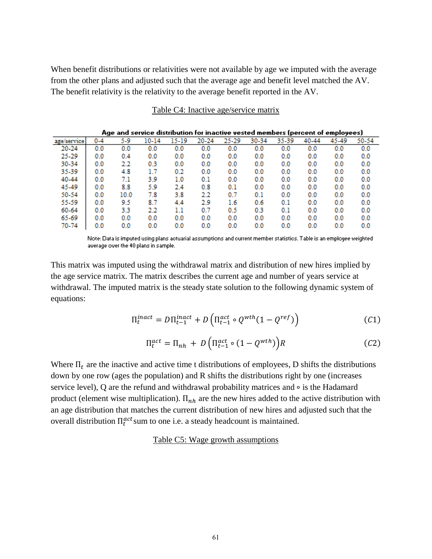When benefit distributions or relativities were not available by age we imputed with the average from the other plans and adjusted such that the average age and benefit level matched the AV. The benefit relativity is the relativity to the average benefit reported in the AV.

|             | Age and service distribution for inactive vested members (percent of employees) |      |          |       |       |       |       |       |       |          |       |  |  |
|-------------|---------------------------------------------------------------------------------|------|----------|-------|-------|-------|-------|-------|-------|----------|-------|--|--|
| age/service | $0 - 4$                                                                         | 5-9  | 10-14    | 15-19 | 20-24 | 25-29 | 30-34 | 35-39 | 40-44 | 45-49    | 50-54 |  |  |
| 20-24       | $_{0.0}$                                                                        | 0.0  | $_{0.0}$ | 0.0   | 0.0   | 0.0   | 0.0   | 0.0   | 0.0   | 0.0      | 0.0   |  |  |
| 25-29       | $_{0.0}$                                                                        | 0.4  | 0.0      | 0.0   | 0.0   | 0.0   | 0.0   | 0.0   | 0.0   | 0.0      | 0.0   |  |  |
| 30-34       | $_{0.0}$                                                                        | 2.2  | 0.3      | 0.0   | 0.0   | 0.0   | 0.0   | 0.0   | 0.0   | 0.0      | 0.0   |  |  |
| 35-39       | $_{0.0}$                                                                        | 4.8  | 1.7      | 0.2   | 0.0   | 0.0   | 0.0   | 0.0   | 0.0   | 0.0      | 0.0   |  |  |
| 40-44       | $_{0.0}$                                                                        | 7.1  | 3.9      | 1.0   | 0.1   | 0.0   | 0.0   | 0.0   | 0.0   | 0.0      | 0.0   |  |  |
| 45-49       | $_{0.0}$                                                                        | 8.8  | 5.9      | 2.4   | 0.8   | 0.1   | 0.0   | 0.0   | 0.0   | 0.0      | 0.0   |  |  |
| 50-54       | $_{0.0}$                                                                        | 10.0 | 7.8      | 3.8   | 2.2   | 0.7   | 0.1   | 0.0   | 0.0   | 0.0      | 0.0   |  |  |
| 55-59       | $_{0.0}$                                                                        | 9.5  | 8.7      | 4.4   | 2.9   | 1.6   | 0.6   | 0.1   | 0.0   | 0.0      | 0.0   |  |  |
| 60-64       | $_{0.0}$                                                                        | 3.3  | 2.2      | 1.1   | 0.7   | 0.5   | 0.3   | 0.1   | 0.0   | 0.0      | 0.0   |  |  |
| 65-69       | $_{0.0}$                                                                        | 0.0  | 0.0      | 0.0   | 0.0   | 0.0   | 0.0   | 0.0   | 0.0   | 0.0      | 0.0   |  |  |
| 70-74       | 0.0                                                                             | 0.0  | $_{0.0}$ | 0.0   | 0.0   | 0.0   | 0.0   | 0.0   | 0.0   | $_{0.0}$ | 0.0   |  |  |

### Table C4: Inactive age/service matrix

Note: Data is imputed using plans actuarial assumptions and current member statistics. Table is an employee weighted average over the 40 plans in sample.

This matrix was imputed using the withdrawal matrix and distribution of new hires implied by the age service matrix. The matrix describes the current age and number of years service at withdrawal. The imputed matrix is the steady state solution to the following dynamic system of equations:

$$
\Pi_t^{inact} = D\Pi_{t-1}^{inact} + D\left(\Pi_{t-1}^{act} \circ Q^{with}(1 - Q^{ref})\right)
$$
 (C1)

$$
\Pi_t^{act} = \Pi_{nh} + D\left(\Pi_{t-1}^{act} \circ (1 - Q^{wth})\right)R\tag{C2}
$$

Where  $\Pi_t$  are the inactive and active time t distributions of employees, D shifts the distributions down by one row (ages the population) and R shifts the distributions right by one (increases service level), Q are the refund and withdrawal probability matrices and ∘ is the Hadamard product (element wise multiplication).  $\Pi_{nh}$  are the new hires added to the active distribution with an age distribution that matches the current distribution of new hires and adjusted such that the overall distribution  $\Pi_t^{act}$ sum to one i.e. a steady headcount is maintained.

Table C5: Wage growth assumptions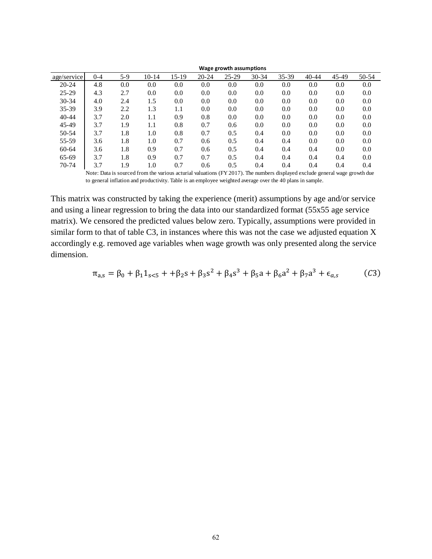| Wage growth assumptions |         |       |         |       |           |           |           |       |           |       |       |
|-------------------------|---------|-------|---------|-------|-----------|-----------|-----------|-------|-----------|-------|-------|
| age/service             | $0 - 4$ | $5-9$ | $10-14$ | 15-19 | $20 - 24$ | $25 - 29$ | $30 - 34$ | 35-39 | $40 - 44$ | 45-49 | 50-54 |
| $20 - 24$               | 4.8     | 0.0   | 0.0     | 0.0   | 0.0       | 0.0       | 0.0       | 0.0   | 0.0       | 0.0   | 0.0   |
| $25 - 29$               | 4.3     | 2.7   | 0.0     | 0.0   | 0.0       | 0.0       | 0.0       | 0.0   | 0.0       | 0.0   | 0.0   |
| 30-34                   | 4.0     | 2.4   | 1.5     | 0.0   | 0.0       | 0.0       | 0.0       | 0.0   | 0.0       | 0.0   | 0.0   |
| 35-39                   | 3.9     | 2.2   | 1.3     | 1.1   | 0.0       | 0.0       | 0.0       | 0.0   | 0.0       | 0.0   | 0.0   |
| $40 - 44$               | 3.7     | 2.0   | 1.1     | 0.9   | 0.8       | 0.0       | 0.0       | 0.0   | 0.0       | 0.0   | 0.0   |
| 45-49                   | 3.7     | 1.9   | 1.1     | 0.8   | 0.7       | 0.6       | 0.0       | 0.0   | 0.0       | 0.0   | 0.0   |
| 50-54                   | 3.7     | 1.8   | 1.0     | 0.8   | 0.7       | 0.5       | 0.4       | 0.0   | 0.0       | 0.0   | 0.0   |
| 55-59                   | 3.6     | 1.8   | 1.0     | 0.7   | 0.6       | 0.5       | 0.4       | 0.4   | 0.0       | 0.0   | 0.0   |
| 60-64                   | 3.6     | 1.8   | 0.9     | 0.7   | 0.6       | 0.5       | 0.4       | 0.4   | 0.4       | 0.0   | 0.0   |
| 65-69                   | 3.7     | 1.8   | 0.9     | 0.7   | 0.7       | 0.5       | 0.4       | 0.4   | 0.4       | 0.4   | 0.0   |
| 70-74                   | 3.7     | 1.9   | 1.0     | 0.7   | 0.6       | 0.5       | 0.4       | 0.4   | 0.4       | 0.4   | 0.4   |

Note: Data is sourced from the various acturial valuations (FY 2017). The numbers displayed exclude general wage growth due to general inflation and productivity. Table is an employee weighted average over the 40 plans in sample.

This matrix was constructed by taking the experience (merit) assumptions by age and/or service and using a linear regression to bring the data into our standardized format (55x55 age service matrix). We censored the predicted values below zero. Typically, assumptions were provided in similar form to that of table C3, in instances where this was not the case we adjusted equation X accordingly e.g. removed age variables when wage growth was only presented along the service dimension.

$$
\pi_{a,s} = \beta_0 + \beta_1 1_{s<5} + \beta_2 s + \beta_3 s^2 + \beta_4 s^3 + \beta_5 a + \beta_6 a^2 + \beta_7 a^3 + \epsilon_{a,s}
$$
 (C3)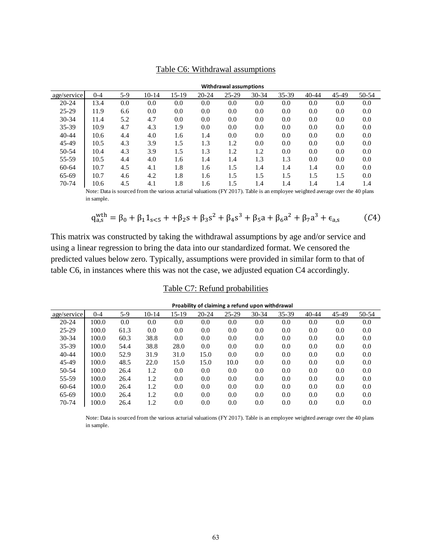| Withdrawal assumptions |         |       |                                                                                                                                                                                                                                                                                                                                                                                                       |         |           |           |       |       |           |       |       |
|------------------------|---------|-------|-------------------------------------------------------------------------------------------------------------------------------------------------------------------------------------------------------------------------------------------------------------------------------------------------------------------------------------------------------------------------------------------------------|---------|-----------|-----------|-------|-------|-----------|-------|-------|
| age/service            | $0 - 4$ | $5-9$ | $10-14$                                                                                                                                                                                                                                                                                                                                                                                               | $15-19$ | $20 - 24$ | $25 - 29$ | 30-34 | 35-39 | $40 - 44$ | 45-49 | 50-54 |
| $20 - 24$              | 13.4    | 0.0   | 0.0                                                                                                                                                                                                                                                                                                                                                                                                   | 0.0     | 0.0       | 0.0       | 0.0   | 0.0   | 0.0       | 0.0   | 0.0   |
| $25 - 29$              | 11.9    | 6.6   | 0.0                                                                                                                                                                                                                                                                                                                                                                                                   | 0.0     | 0.0       | 0.0       | 0.0   | 0.0   | 0.0       | 0.0   | 0.0   |
| 30-34                  | 11.4    | 5.2   | 4.7                                                                                                                                                                                                                                                                                                                                                                                                   | 0.0     | 0.0       | 0.0       | 0.0   | 0.0   | 0.0       | 0.0   | 0.0   |
| 35-39                  | 10.9    | 4.7   | 4.3                                                                                                                                                                                                                                                                                                                                                                                                   | 1.9     | 0.0       | 0.0       | 0.0   | 0.0   | 0.0       | 0.0   | 0.0   |
| $40 - 44$              | 10.6    | 4.4   | 4.0                                                                                                                                                                                                                                                                                                                                                                                                   | 1.6     | 1.4       | 0.0       | 0.0   | 0.0   | 0.0       | 0.0   | 0.0   |
| 45-49                  | 10.5    | 4.3   | 3.9                                                                                                                                                                                                                                                                                                                                                                                                   | 1.5     | 1.3       | 1.2       | 0.0   | 0.0   | 0.0       | 0.0   | 0.0   |
| 50-54                  | 10.4    | 4.3   | 3.9                                                                                                                                                                                                                                                                                                                                                                                                   | 1.5     | 1.3       | 1.2       | 1.2   | 0.0   | 0.0       | 0.0   | 0.0   |
| 55-59                  | 10.5    | 4.4   | 4.0                                                                                                                                                                                                                                                                                                                                                                                                   | 1.6     | 1.4       | 1.4       | 1.3   | 1.3   | 0.0       | 0.0   | 0.0   |
| 60-64                  | 10.7    | 4.5   | 4.1                                                                                                                                                                                                                                                                                                                                                                                                   | 1.8     | 1.6       | 1.5       | 1.4   | 1.4   | 1.4       | 0.0   | 0.0   |
| 65-69                  | 10.7    | 4.6   | 4.2                                                                                                                                                                                                                                                                                                                                                                                                   | 1.8     | 1.6       | 1.5       | 1.5   | 1.5   | 1.5       | 1.5   | 0.0   |
| 70-74                  | 10.6    | 4.5   | 4.1                                                                                                                                                                                                                                                                                                                                                                                                   | 1.8     | 1.6       | 1.5       | 1.4   | 1.4   | 1.4       | 1.4   | 1.4   |
|                        |         |       | $\mathbf{M}_{\text{eff}}$ , $\mathbf{D}_{\text{eff}}$ , $\mathbf{L}_{\text{eff}}$ , $\mathbf{L}_{\text{eff}}$ , $\mathbf{L}_{\text{eff}}$ , $\mathbf{L}_{\text{eff}}$ , $\mathbf{L}_{\text{eff}}$ , $\mathbf{L}_{\text{eff}}$ , $\mathbf{L}_{\text{eff}}$ , $\mathbf{L}_{\text{eff}}$ , $\mathbf{L}_{\text{eff}}$ , $\mathbf{L}_{\text{eff}}$ , $\mathbf{L}_{\text{eff}}$ , $\mathbf{L}_{\text{eff}}$ |         |           |           |       |       |           |       |       |

### Table C6: Withdrawal assumptions

Note: Data is sourced from the various acturial valuations (FY 2017). Table is an employee weighted average over the 40 plans in sample.

$$
q_{a,s}^{\text{with}} = \beta_0 + \beta_1 1_{s<5} + \beta_2 s + \beta_3 s^2 + \beta_4 s^3 + \beta_5 a + \beta_6 a^2 + \beta_7 a^3 + \epsilon_{a,s} \tag{C4}
$$

This matrix was constructed by taking the withdrawal assumptions by age and/or service and using a linear regression to bring the data into our standardized format. We censored the predicted values below zero. Typically, assumptions were provided in similar form to that of table C6, in instances where this was not the case, we adjusted equation C4 accordingly.

## Table C7: Refund probabilities

| Proability of claiming a refund upon withdrawal |         |       |         |         |           |           |       |       |           |       |       |
|-------------------------------------------------|---------|-------|---------|---------|-----------|-----------|-------|-------|-----------|-------|-------|
| age/service                                     | $0 - 4$ | $5-9$ | $10-14$ | 15-19   | $20 - 24$ | $25 - 29$ | 30-34 | 35-39 | $40 - 44$ | 45-49 | 50-54 |
| $20 - 24$                                       | 100.0   | 0.0   | 0.0     | 0.0     | 0.0       | 0.0       | 0.0   | 0.0   | 0.0       | 0.0   | 0.0   |
| $25 - 29$                                       | 100.0   | 61.3  | 0.0     | 0.0     | 0.0       | 0.0       | 0.0   | 0.0   | 0.0       | 0.0   | 0.0   |
| 30-34                                           | 100.0   | 60.3  | 38.8    | 0.0     | 0.0       | 0.0       | 0.0   | 0.0   | 0.0       | 0.0   | 0.0   |
| $35 - 39$                                       | 100.0   | 54.4  | 38.8    | 28.0    | 0.0       | 0.0       | 0.0   | 0.0   | 0.0       | 0.0   | 0.0   |
| $40 - 44$                                       | 100.0   | 52.9  | 31.9    | 31.0    | 15.0      | 0.0       | 0.0   | 0.0   | 0.0       | 0.0   | 0.0   |
| 45-49                                           | 100.0   | 48.5  | 22.0    | 15.0    | 15.0      | 10.0      | 0.0   | 0.0   | 0.0       | 0.0   | 0.0   |
| 50-54                                           | 100.0   | 26.4  | 1.2     | $0.0\,$ | 0.0       | 0.0       | 0.0   | 0.0   | 0.0       | 0.0   | 0.0   |
| 55-59                                           | 100.0   | 26.4  | 1.2     | 0.0     | 0.0       | 0.0       | 0.0   | 0.0   | 0.0       | 0.0   | 0.0   |
| $60-64$                                         | 100.0   | 26.4  | 1.2     | 0.0     | 0.0       | 0.0       | 0.0   | 0.0   | 0.0       | 0.0   | 0.0   |
| 65-69                                           | 100.0   | 26.4  | 1.2     | 0.0     | 0.0       | 0.0       | 0.0   | 0.0   | 0.0       | 0.0   | 0.0   |
| 70-74                                           | 100.0   | 26.4  | 1.2     | 0.0     | 0.0       | 0.0       | 0.0   | 0.0   | 0.0       | 0.0   | 0.0   |

Note: Data is sourced from the various acturial valuations (FY 2017). Table is an employee weighted average over the 40 plans in sample.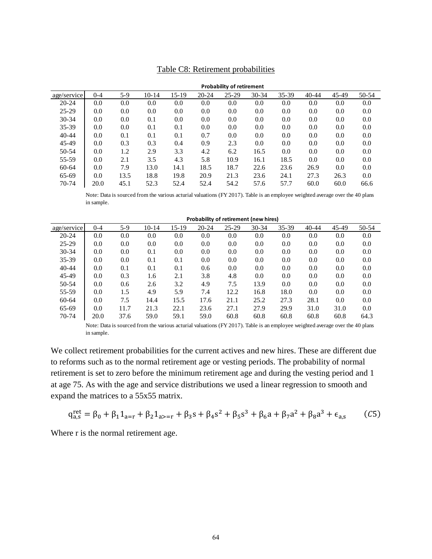|             | <b>Probability of retirement</b> |       |           |       |           |           |           |       |           |       |       |
|-------------|----------------------------------|-------|-----------|-------|-----------|-----------|-----------|-------|-----------|-------|-------|
| age/service | $0 - 4$                          | $5-9$ | $10 - 14$ | 15-19 | $20 - 24$ | $25 - 29$ | $30 - 34$ | 35-39 | $40 - 44$ | 45-49 | 50-54 |
| $20 - 24$   | 0.0                              | 0.0   | 0.0       | 0.0   | 0.0       | 0.0       | 0.0       | 0.0   | 0.0       | 0.0   | 0.0   |
| $25-29$     | 0.0                              | 0.0   | 0.0       | 0.0   | 0.0       | 0.0       | $0.0\,$   | 0.0   | 0.0       | 0.0   | 0.0   |
| $30 - 34$   | 0.0                              | 0.0   | 0.1       | 0.0   | 0.0       | 0.0       | 0.0       | 0.0   | 0.0       | 0.0   | 0.0   |
| 35-39       | 0.0                              | 0.0   | 0.1       | 0.1   | 0.0       | 0.0       | 0.0       | 0.0   | 0.0       | 0.0   | 0.0   |
| $40 - 44$   | 0.0                              | 0.1   | 0.1       | 0.1   | 0.7       | 0.0       | 0.0       | 0.0   | 0.0       | 0.0   | 0.0   |
| 45-49       | 0.0                              | 0.3   | 0.3       | 0.4   | 0.9       | 2.3       | 0.0       | 0.0   | 0.0       | 0.0   | 0.0   |
| 50-54       | 0.0                              | 1.2   | 2.9       | 3.3   | 4.2       | 6.2       | 16.5      | 0.0   | 0.0       | 0.0   | 0.0   |
| 55-59       | 0.0                              | 2.1   | 3.5       | 4.3   | 5.8       | 10.9      | 16.1      | 18.5  | 0.0       | 0.0   | 0.0   |
| 60-64       | 0.0                              | 7.9   | 13.0      | 14.1  | 18.5      | 18.7      | 22.6      | 23.6  | 26.9      | 0.0   | 0.0   |
| 65-69       | 0.0                              | 13.5  | 18.8      | 19.8  | 20.9      | 21.3      | 23.6      | 24.1  | 27.3      | 26.3  | 0.0   |
| 70-74       | 20.0                             | 45.1  | 52.3      | 52.4  | 52.4      | 54.2      | 57.6      | 57.7  | 60.0      | 60.0  | 66.6  |

### Table C8: Retirement probabilities

Note: Data is sourced from the various acturial valuations (FY 2017). Table is an employee weighted average over the 40 plans in sample.

|             | Probability of retirement (new hires) |       |           |       |           |         |           |       |           |       |       |
|-------------|---------------------------------------|-------|-----------|-------|-----------|---------|-----------|-------|-----------|-------|-------|
| age/service | $0 - 4$                               | $5-9$ | $10 - 14$ | 15-19 | $20 - 24$ | $25-29$ | $30 - 34$ | 35-39 | $40 - 44$ | 45-49 | 50-54 |
| $20 - 24$   | 0.0                                   | 0.0   | 0.0       | 0.0   | 0.0       | 0.0     | 0.0       | 0.0   | 0.0       | 0.0   | 0.0   |
| $25 - 29$   | 0.0                                   | 0.0   | 0.0       | 0.0   | 0.0       | 0.0     | 0.0       | 0.0   | 0.0       | 0.0   | 0.0   |
| $30 - 34$   | 0.0                                   | 0.0   | 0.1       | 0.0   | 0.0       | 0.0     | 0.0       | 0.0   | $0.0\,$   | 0.0   | 0.0   |
| 35-39       | 0.0                                   | 0.0   | 0.1       | 0.1   | 0.0       | 0.0     | 0.0       | 0.0   | 0.0       | 0.0   | 0.0   |
| $40 - 44$   | 0.0                                   | 0.1   | 0.1       | 0.1   | 0.6       | 0.0     | 0.0       | 0.0   | 0.0       | 0.0   | 0.0   |
| 45-49       | 0.0                                   | 0.3   | 1.6       | 2.1   | 3.8       | 4.8     | 0.0       | 0.0   | 0.0       | 0.0   | 0.0   |
| 50-54       | 0.0                                   | 0.6   | 2.6       | 3.2   | 4.9       | 7.5     | 13.9      | 0.0   | 0.0       | 0.0   | 0.0   |
| 55-59       | 0.0                                   | 1.5   | 4.9       | 5.9   | 7.4       | 12.2    | 16.8      | 18.0  | 0.0       | 0.0   | 0.0   |
| 60-64       | 0.0                                   | 7.5   | 14.4      | 15.5  | 17.6      | 21.1    | 25.2      | 27.3  | 28.1      | 0.0   | 0.0   |
| 65-69       | 0.0                                   | 11.7  | 21.3      | 22.1  | 23.6      | 27.1    | 27.9      | 29.9  | 31.0      | 31.0  | 0.0   |
| 70-74       | 20.0                                  | 37.6  | 59.0      | 59.1  | 59.0      | 60.8    | 60.8      | 60.8  | 60.8      | 60.8  | 64.3  |

Note: Data is sourced from the various acturial valuations (FY 2017). Table is an employee weighted average over the 40 plans in sample.

We collect retirement probabilities for the current actives and new hires. These are different due to reforms such as to the normal retirement age or vesting periods. The probability of normal retirement is set to zero before the minimum retirement age and during the vesting period and 1 at age 75. As with the age and service distributions we used a linear regression to smooth and expand the matrices to a 55x55 matrix.

$$
q_{a,s}^{\text{ret}} = \beta_0 + \beta_1 1_{a=r} + \beta_2 1_{a>=r} + \beta_3 s + \beta_4 s^2 + \beta_5 s^3 + \beta_6 a + \beta_7 a^2 + \beta_8 a^3 + \epsilon_{a,s} \tag{C5}
$$

Where r is the normal retirement age.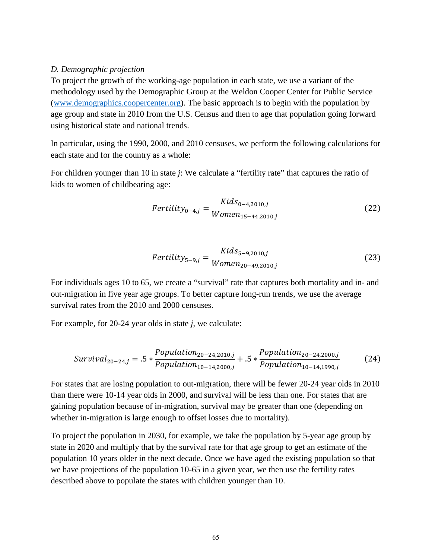### *D. Demographic projection*

To project the growth of the working-age population in each state, we use a variant of the methodology used by the Demographic Group at the Weldon Cooper Center for Public Service [\(www.demographics.coopercenter.org\)](http://www.demographics.coopercenter.org/). The basic approach is to begin with the population by age group and state in 2010 from the U.S. Census and then to age that population going forward using historical state and national trends.

In particular, using the 1990, 2000, and 2010 censuses, we perform the following calculations for each state and for the country as a whole:

For children younger than 10 in state *j*: We calculate a "fertility rate" that captures the ratio of kids to women of childbearing age:

$$
Fertility_{0-4,j} = \frac{Kids_{0-4,2010,j}}{Women_{15-44,2010,j}}
$$
 (22)

$$
Fertility_{5-9,j} = \frac{Kids_{5-9,2010,j}}{Women_{20-49,2010,j}}
$$
(23)

For individuals ages 10 to 65, we create a "survival" rate that captures both mortality and in- and out-migration in five year age groups. To better capture long-run trends, we use the average survival rates from the 2010 and 2000 censuses.

For example, for 20-24 year olds in state *j*, we calculate:

$$
Survival20-24,j = .5 *  $\frac{Population_{20-24,2010,j}}{Population_{10-14,2000,j}} + .5 *  $\frac{Population_{20-24,2000,j}}{Population_{10-14,1990,j}}$  (24)$
$$

For states that are losing population to out-migration, there will be fewer 20-24 year olds in 2010 than there were 10-14 year olds in 2000, and survival will be less than one. For states that are gaining population because of in-migration, survival may be greater than one (depending on whether in-migration is large enough to offset losses due to mortality).

To project the population in 2030, for example, we take the population by 5-year age group by state in 2020 and multiply that by the survival rate for that age group to get an estimate of the population 10 years older in the next decade. Once we have aged the existing population so that we have projections of the population 10-65 in a given year, we then use the fertility rates described above to populate the states with children younger than 10.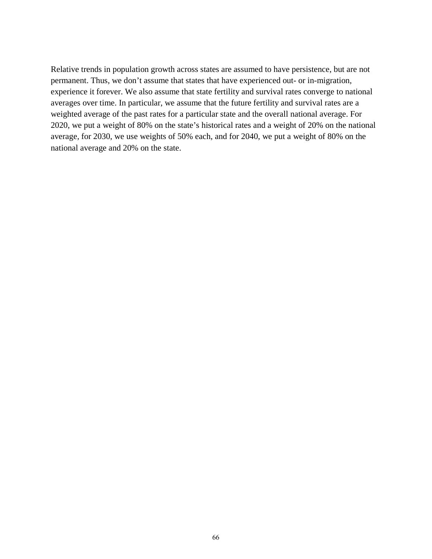Relative trends in population growth across states are assumed to have persistence, but are not permanent. Thus, we don't assume that states that have experienced out- or in-migration, experience it forever. We also assume that state fertility and survival rates converge to national averages over time. In particular, we assume that the future fertility and survival rates are a weighted average of the past rates for a particular state and the overall national average. For 2020, we put a weight of 80% on the state's historical rates and a weight of 20% on the national average, for 2030, we use weights of 50% each, and for 2040, we put a weight of 80% on the national average and 20% on the state.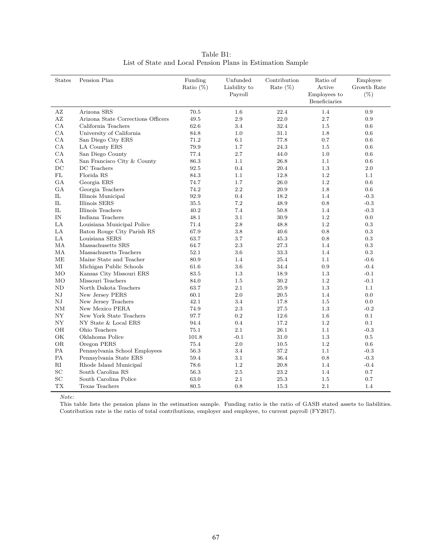| Table B1:                                                  |  |  |  |  |  |
|------------------------------------------------------------|--|--|--|--|--|
| List of State and Local Pension Plans in Estimation Sample |  |  |  |  |  |

| <b>States</b>  | Pension Plan                       | Funding<br>Ratio $(\%)$ | Unfunded<br>Liability to<br>Payroll | Contribution<br>Rate $(\%)$ | Ratio of<br>Active<br>Employees to<br>Beneficiaries | Employee<br>Growth Rate<br>$(\%)$ |
|----------------|------------------------------------|-------------------------|-------------------------------------|-----------------------------|-----------------------------------------------------|-----------------------------------|
| ΑZ             | Arizona SRS                        | 70.5                    | 1.6                                 | 22.4                        | 1.4                                                 | 0.9                               |
| AZ             | Arizona State Corrections Officers | 49.5                    | $2.9\,$                             | 22.0                        | 2.7                                                 | 0.9                               |
| CA             | California Teachers                | 62.6                    | 3.4                                 | 32.4                        | 1.5                                                 | 0.6                               |
| CA             | University of California           | 84.8                    | 1.0                                 | 31.1                        | 1.8                                                 | 0.6                               |
| CA             | San Diego City ERS                 | 71.2                    | 6.1                                 | 77.8                        | 0.7                                                 | 0.6                               |
| CA             | LA County ERS                      | 79.9                    | 1.7                                 | 24.3                        | 1.5                                                 | 0.6                               |
| CA             | San Diego County                   | 77.4                    | 2.7                                 | 44.0                        | 1.0                                                 | 0.6                               |
| CA             | San Francisco City & County        | 86.3                    | 1.1                                 | 26.8                        | 1.1                                                 | 0.6                               |
| DC             | DC Teachers                        | 92.5                    | 0.4                                 | 20.4                        | 1.3                                                 | 2.0                               |
| FL             | Florida RS                         | 84.3                    | 1.1                                 | 12.8                        | 1.2                                                 | 1.1                               |
| GA             | Georgia ERS                        | 74.7                    | 1.7                                 | 26.0                        | 1.2                                                 | 0.6                               |
| GA             | Georgia Teachers                   | 74.2                    | 2.2                                 | 20.9                        | 1.8                                                 | 0.6                               |
| IL             | Illinois Municipal                 | 92.9                    | 0.4                                 | 18.2                        | 1.4                                                 | $-0.3$                            |
| IL             | Illinois SERS                      | 35.5                    | 7.2                                 | 48.9                        | 0.8                                                 | $-0.3$                            |
| IL             | Illinois Teachers                  | 40.2                    | 7.4                                 | 50.8                        | 1.4                                                 | $-0.3$                            |
| IN             | Indiana Teachers                   | 48.1                    | 3.1                                 | 30.9                        | 1.2                                                 | 0.0                               |
| LA             | Louisiana Municipal Police         | 71.4                    | 2.8                                 | 48.8                        | 1.2                                                 | $0.3\,$                           |
| LA             | Baton Rouge City Parish RS         | 67.9                    | 3.8                                 | 40.6                        | 0.8                                                 | 0.3                               |
| LA             | Louisiana SERS                     | 63.7                    | 3.7                                 | 45.3                        | 0.8                                                 | 0.3                               |
| MA             | Massachusetts SRS                  | 64.7                    | 2.3                                 | 27.3                        | 1.4                                                 | 0.3                               |
| МA             | Massachusetts Teachers             | 52.1                    | 3.6                                 | 33.3                        | 1.4                                                 | 0.3                               |
| ME             | Maine State and Teacher            | 80.9                    | 1.4                                 | 25.4                        | 1.1                                                 | $-0.6$                            |
| МI             | Michigan Public Schools            | 61.6                    | 3.6                                 | 34.4                        | 0.9                                                 | $-0.4$                            |
| MO             | Kansas City Missouri ERS           | 83.5                    | 1.3                                 | 18.9                        | $1.3\,$                                             | $-0.1$                            |
| MO             | Missouri Teachers                  | 84.0                    | 1.5                                 | 30.2                        | 1.2                                                 | $-0.1$                            |
| N <sub>D</sub> | North Dakota Teachers              | 63.7                    | 2.1                                 | 25.9                        | 1.3                                                 | 1.1                               |
| NJ             | New Jersey PERS                    | 60.1                    | 2.0                                 | 20.5                        | 1.4                                                 | 0.0                               |
| NJ             | New Jersey Teachers                | 42.1                    | 3.4                                 | 17.8                        | 1.5                                                 | 0.0                               |
| NM             | New Mexico PERA                    | 74.9                    | 2.3                                 | 27.5                        | 1.3                                                 | $-0.2$                            |
| NY             | New York State Teachers            | 97.7                    | 0.2                                 | 12.6                        | 1.6                                                 | 0.1                               |
| NY             | NY State & Local ERS               | 94.4                    | 0.4                                 | 17.2                        | 1.2                                                 | 0.1                               |
| OН             | Ohio Teachers                      | 75.1                    | 2.1                                 | 26.1                        | 1.1                                                 | $-0.3$                            |
| OK             | Oklahoma Police                    | 101.8                   | $-0.1$                              | 31.0                        | 1.3                                                 | 0.5                               |
| <b>OR</b>      | Oregon PERS                        | 75.4                    | 2.0                                 | 10.5                        | 1.2                                                 | 0.6                               |
| PA             | Pennsylvania School Employees      | 56.3                    | 3.4                                 | 37.2                        | 1.1                                                 | $-0.3$                            |
| PA             | Pennsylvania State ERS             | 59.4                    | 3.1                                 | 36.4                        | 0.8                                                 | $-0.3$                            |
| $\rm RI$       | Rhode Island Municipal             | 78.6                    | 1.2                                 | 20.8                        | 1.4                                                 | $-0.4$                            |
| SC             | South Carolina RS                  | 56.3                    | 2.5                                 | 23.2                        | 1.4                                                 | 0.7                               |
| SC             | South Carolina Police              | 63.0                    | 2.1                                 | 25.3                        | 1.5                                                 | 0.7                               |
| <b>TX</b>      | Texas Teachers                     | 80.5                    | 0.8                                 | 15.3                        | 2.1                                                 | 1.4                               |

*Note:*

This table lists the pension plans in the estimation sample. Funding ratio is the ratio of GASB stated assets to liabilities. Contribution rate is the ratio of total contributions, employer and employee, to current payroll (FY2017).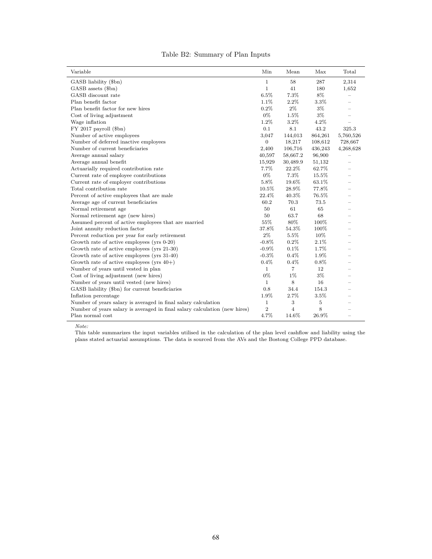|  |  | Table B2: Summary of Plan Inputs |  |  |  |
|--|--|----------------------------------|--|--|--|
|--|--|----------------------------------|--|--|--|

| Variable                                                                   | Min            | Mean           | Max     | Total                    |
|----------------------------------------------------------------------------|----------------|----------------|---------|--------------------------|
| GASB liability (\$bn)                                                      | $\mathbf{1}$   | 58             | 287     | 2,314                    |
| GASB assets (\$bn)                                                         | $\mathbf{1}$   | 41             | 180     | 1,652                    |
| GASB discount rate                                                         | 6.5%           | 7.3%           | 8%      |                          |
| Plan benefit factor                                                        | 1.1%           | 2.2%           | 3.3%    |                          |
| Plan benefit factor for new hires                                          | 0.2%           | $2\%$          | $3\%$   |                          |
| Cost of living adjustment                                                  | $0\%$          | 1.5%           | 3%      |                          |
| Wage inflation                                                             | 1.2%           | 3.2%           | 4.2%    |                          |
| $FY$ 2017 payroll $(\$bn)$                                                 | 0.1            | 8.1            | 43.2    | 325.3                    |
| Number of active employees                                                 | 3,047          | 144,013        | 864,261 | 5,760,526                |
| Number of deferred inactive employees                                      | 0              | 18,217         | 108,612 | 728,667                  |
| Number of current beneficiaries                                            | 2,400          | 106,716        | 436,243 | 4,268,628                |
| Average annual salary                                                      | 40,597         | 58,667.2       | 96,900  |                          |
| Average annual benefit                                                     | 15,929         | 30,489.9       | 51,132  | $\overline{\phantom{0}}$ |
| Actuarially required contribution rate                                     | 7.7%           | 22.2%          | 62.7%   |                          |
| Current rate of employee contributions                                     | $0\%$          | 7.3%           | 15.5%   | $\equiv$                 |
| Current rate of employer contributions                                     | 5.8%           | 19.6%          | 63.1%   | $\equiv$                 |
| Total contribution rate                                                    | 10.5%          | 28.9%          | 77.8%   |                          |
| Percent of active employees that are male                                  | 22.4%          | 40.3%          | 76.5%   |                          |
| Average age of current beneficiaries                                       | 60.2           | 70.3           | 73.5    |                          |
| Normal retirement age                                                      | 50             | 61             | 65      | $=$                      |
| Normal retirement age (new hires)                                          | 50             | 63.7           | 68      |                          |
| Assumed percent of active employees that are married                       | 55%            | 80%            | 100%    | $\overline{\phantom{0}}$ |
| Joint annuity reduction factor                                             | 37.8%          | 54.3%          | 100%    |                          |
| Percent reduction per year for early retirement                            | $2\%$          | 5.5%           | 10%     |                          |
| Growth rate of active employees (yrs $0-20$ )                              | $-0.8\%$       | 0.2%           | 2.1%    | $=$                      |
| Growth rate of active employees (yrs 21-30)                                | $-0.9\%$       | 0.1%           | 1.7%    |                          |
| Growth rate of active employees (yrs 31-40)                                | $-0.3%$        | 0.4%           | 1.9%    |                          |
| Growth rate of active employees (yrs $40+$ )                               | $0.4\%$        | 0.4%           | $0.8\%$ | $=$                      |
| Number of years until vested in plan                                       | $\mathbf{1}$   | $\overline{7}$ | 12      | $\overline{\phantom{0}}$ |
| Cost of living adjustment (new hires)                                      | $0\%$          | 1%             | 3%      | $\equiv$                 |
| Number of years until vested (new hires)                                   | $\mathbf{1}$   | 8              | 16      | $=$                      |
| GASB liability (\$bn) for current beneficiaries                            | 0.8            | 34.4           | 154.3   | $=$                      |
| Inflation percentage                                                       | 1.9%           | 2.7%           | 3.5%    | $\equiv$                 |
| Number of years salary is averaged in final salary calculation             | $\mathbf{1}$   | 3              | 5       | $=$                      |
| Number of years salary is averaged in final salary calculation (new hires) | $\overline{2}$ | $\overline{4}$ | 8       |                          |
| Plan normal cost                                                           | 4.7%           | 14.6%          | 26.9%   | $\overline{\phantom{0}}$ |

*Note:*

This table summarizes the input variables utilised in the calculation of the plan level cashflow and liability using the plans stated actuarial assumptions. The data is sourced from the AVs and the Bostong College PPD database.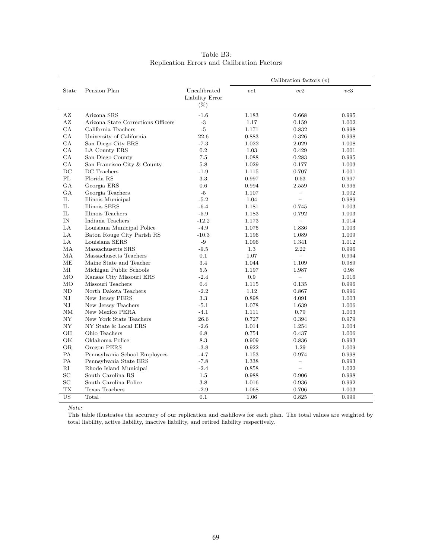|             |                                    |                                           |       | Calibration factors $(v)$ |       |
|-------------|------------------------------------|-------------------------------------------|-------|---------------------------|-------|
| State       | Pension Plan                       | Uncalibrated<br>Liability Error<br>$(\%)$ | vc1   | vc2                       | vc3   |
| ΑZ          | Arizona SRS                        | $-1.6$                                    | 1.183 | 0.668                     | 0.995 |
| AZ          | Arizona State Corrections Officers | $-3$                                      | 1.17  | 0.159                     | 1.002 |
| CA          | California Teachers                | $-5$                                      | 1.171 | 0.832                     | 0.998 |
| CA          | University of California           | 22.6                                      | 0.883 | 0.326                     | 0.998 |
| CA          | San Diego City ERS                 | $-7.3$                                    | 1.022 | 2.029                     | 1.008 |
| CA          | LA County ERS                      | 0.2                                       | 1.03  | 0.429                     | 1.001 |
| CA          | San Diego County                   | 7.5                                       | 1.088 | 0.283                     | 0.995 |
| CA          | San Francisco City & County        | 5.8                                       | 1.029 | 0.177                     | 1.003 |
| $_{\rm DC}$ | DC Teachers                        | $-1.9$                                    | 1.115 | 0.707                     | 1.001 |
| FL          | Florida RS                         | 3.3                                       | 0.997 | 0.63                      | 0.997 |
| GA          | Georgia ERS                        | 0.6                                       | 0.994 | 2.559                     | 0.996 |
| <b>GA</b>   | Georgia Teachers                   | $-5$                                      | 1.107 | $\equiv$                  | 1.002 |
| IL          | Illinois Municipal                 | $-5.2$                                    | 1.04  | ÷                         | 0.989 |
| IL          | Illinois SERS                      | $-6.4$                                    | 1.181 | 0.745                     | 1.003 |
| IL          | Illinois Teachers                  | $-5.9$                                    | 1.183 | 0.792                     | 1.003 |
| IN          | Indiana Teachers                   | $-12.2$                                   | 1.173 | $\overline{\phantom{0}}$  | 1.014 |
| LA          | Louisiana Municipal Police         | $-4.9$                                    | 1.075 | 1.836                     | 1.003 |
| LA          | Baton Rouge City Parish RS         | $-10.3$                                   | 1.196 | 1.089                     | 1.009 |
| LA          | Louisiana SERS                     | $-9$                                      | 1.096 | 1.341                     | 1.012 |
| MA          | Massachusetts SRS                  | $-9.5$                                    | 1.3   | 2.22                      | 0.996 |
| MA          | Massachusetts Teachers             | 0.1                                       | 1.07  | $\equiv$                  | 0.994 |
| MЕ          | Maine State and Teacher            | 3.4                                       | 1.044 | 1.109                     | 0.989 |
| МI          | Michigan Public Schools            | 5.5                                       | 1.197 | 1.987                     | 0.98  |
| <b>MO</b>   | Kansas City Missouri ERS           | $-2.4$                                    | 0.9   | $=$                       | 1.016 |
| MO          | Missouri Teachers                  | 0.4                                       | 1.115 | 0.135                     | 0.996 |
| ND          | North Dakota Teachers              | $-2.2$                                    | 1.12  | 0.867                     | 0.996 |
| $_{\rm NJ}$ | New Jersey PERS                    | 3.3                                       | 0.898 | 4.091                     | 1.003 |
| $_{\rm NJ}$ | New Jersey Teachers                | $-5.1$                                    | 1.078 | 1.639                     | 1.006 |
| NM          | New Mexico PERA                    | $-4.1$                                    | 1.111 | 0.79                      | 1.003 |
| NY          | New York State Teachers            | 26.6                                      | 0.727 | 0.394                     | 0.979 |
| <b>NY</b>   | NY State & Local ERS               | $-2.6$                                    | 1.014 | 1.254                     | 1.004 |
| OН          | Ohio Teachers                      | 6.8                                       | 0.754 | 0.437                     | 1.006 |
| OK          | Oklahoma Police                    | 8.3                                       | 0.909 | 0.836                     | 0.993 |
| <b>OR</b>   | Oregon PERS                        | $-3.8$                                    | 0.922 | 1.29                      | 1.009 |
| PA          | Pennsylvania School Employees      | $-4.7$                                    | 1.153 | 0.974                     | 0.998 |
| PA          | Pennsylvania State ERS             | $-7.8$                                    | 1.338 | $\equiv$                  | 0.993 |
| RI          | Rhode Island Municipal             | $-2.4$                                    | 0.858 | $\equiv$                  | 1.022 |
| SC          | South Carolina RS                  | 1.5                                       | 0.988 | 0.906                     | 0.998 |
| SC          | South Carolina Police              | 3.8                                       | 1.016 | 0.936                     | 0.992 |
| TX          | Texas Teachers                     | $-2.9$                                    | 1.068 | 0.706                     | 1.003 |
| <b>US</b>   | Total                              | 0.1                                       | 1.06  | 0.825                     | 0.999 |

### Table B3: Replication Errors and Calibration Factors

*Note:*

This table illustrates the accuracy of our replication and cashflows for each plan. The total values are weighted by total liability, active liability, inactive liability, and retired liability respectively.